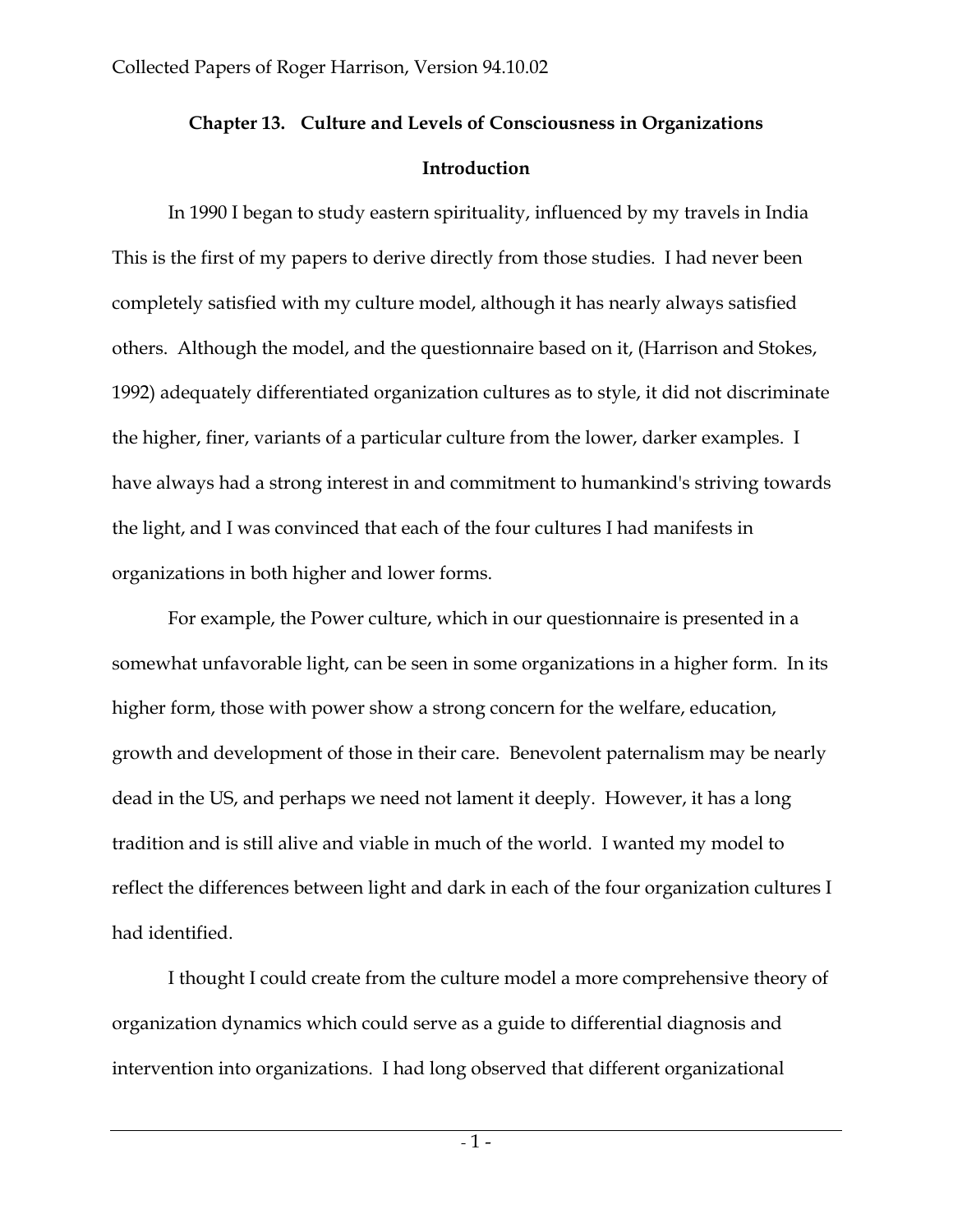# **Chapter 13. Culture and Levels of Consciousness in Organizations Introduction**

In 1990 I began to study eastern spirituality, influenced by my travels in India This is the first of my papers to derive directly from those studies. I had never been completely satisfied with my culture model, although it has nearly always satisfied others. Although the model, and the questionnaire based on it, (Harrison and Stokes, 1992) adequately differentiated organization cultures as to style, it did not discriminate the higher, finer, variants of a particular culture from the lower, darker examples. I have always had a strong interest in and commitment to humankind's striving towards the light, and I was convinced that each of the four cultures I had manifests in organizations in both higher and lower forms.

For example, the Power culture, which in our questionnaire is presented in a somewhat unfavorable light, can be seen in some organizations in a higher form. In its higher form, those with power show a strong concern for the welfare, education, growth and development of those in their care. Benevolent paternalism may be nearly dead in the US, and perhaps we need not lament it deeply. However, it has a long tradition and is still alive and viable in much of the world. I wanted my model to reflect the differences between light and dark in each of the four organization cultures I had identified.

I thought I could create from the culture model a more comprehensive theory of organization dynamics which could serve as a guide to differential diagnosis and intervention into organizations. I had long observed that different organizational

*-* 1 -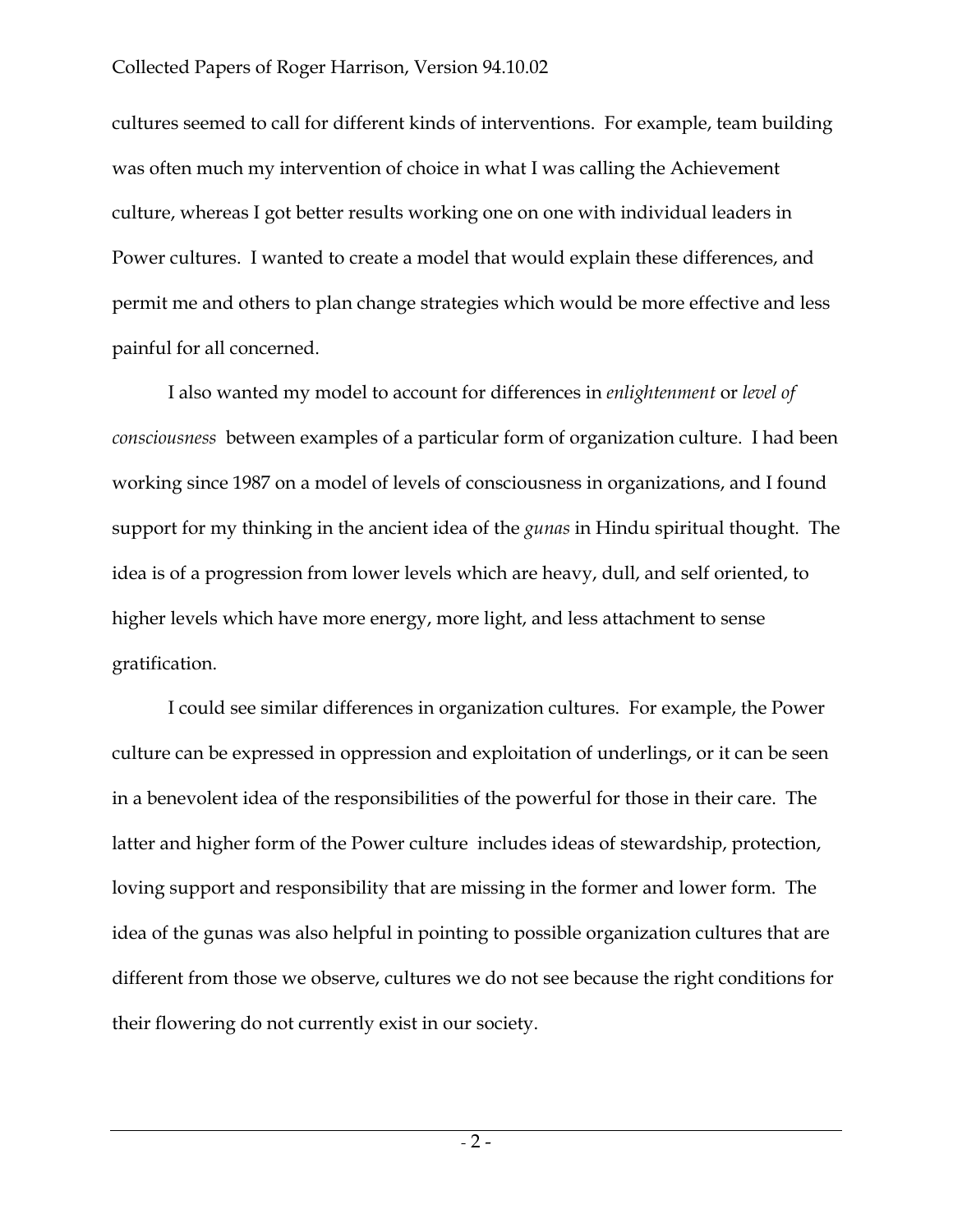cultures seemed to call for different kinds of interventions. For example, team building was often much my intervention of choice in what I was calling the Achievement culture, whereas I got better results working one on one with individual leaders in Power cultures. I wanted to create a model that would explain these differences, and permit me and others to plan change strategies which would be more effective and less painful for all concerned.

I also wanted my model to account for differences in *enlightenment* or *level of consciousness* between examples of a particular form of organization culture. I had been working since 1987 on a model of levels of consciousness in organizations, and I found support for my thinking in the ancient idea of the *gunas* in Hindu spiritual thought. The idea is of a progression from lower levels which are heavy, dull, and self oriented, to higher levels which have more energy, more light, and less attachment to sense gratification.

I could see similar differences in organization cultures. For example, the Power culture can be expressed in oppression and exploitation of underlings, or it can be seen in a benevolent idea of the responsibilities of the powerful for those in their care. The latter and higher form of the Power culture includes ideas of stewardship, protection, loving support and responsibility that are missing in the former and lower form. The idea of the gunas was also helpful in pointing to possible organization cultures that are different from those we observe, cultures we do not see because the right conditions for their flowering do not currently exist in our society.

*-* 2 -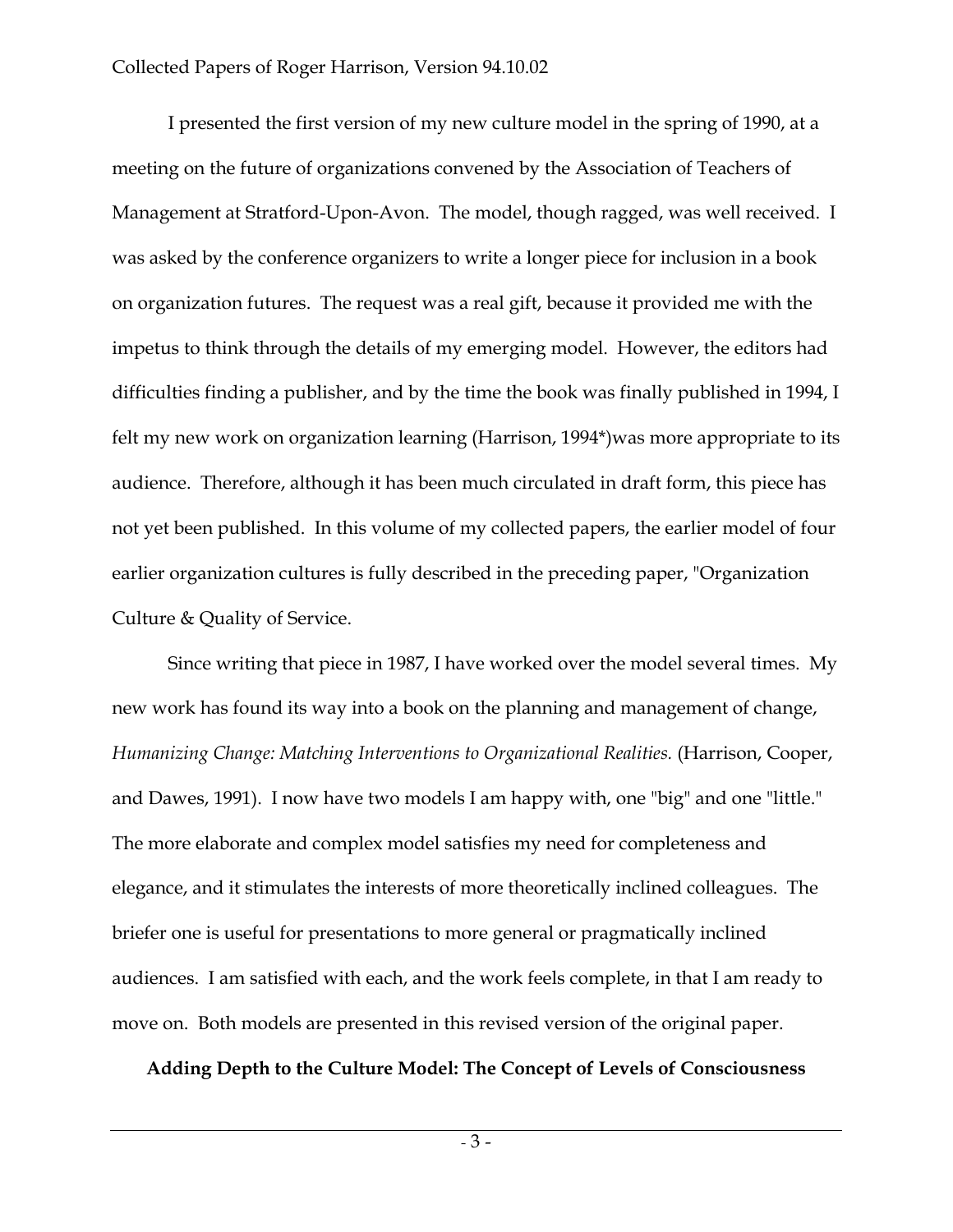I presented the first version of my new culture model in the spring of 1990, at a meeting on the future of organizations convened by the Association of Teachers of Management at Stratford-Upon-Avon. The model, though ragged, was well received. I was asked by the conference organizers to write a longer piece for inclusion in a book on organization futures. The request was a real gift, because it provided me with the impetus to think through the details of my emerging model. However, the editors had difficulties finding a publisher, and by the time the book was finally published in 1994, I felt my new work on organization learning (Harrison, 1994\*)was more appropriate to its audience. Therefore, although it has been much circulated in draft form, this piece has not yet been published. In this volume of my collected papers, the earlier model of four earlier organization cultures is fully described in the preceding paper, "Organization Culture & Quality of Service.

Since writing that piece in 1987, I have worked over the model several times. My new work has found its way into a book on the planning and management of change, *Humanizing Change: Matching Interventions to Organizational Realities.* (Harrison, Cooper, and Dawes, 1991). I now have two models I am happy with, one "big" and one "little." The more elaborate and complex model satisfies my need for completeness and elegance, and it stimulates the interests of more theoretically inclined colleagues. The briefer one is useful for presentations to more general or pragmatically inclined audiences. I am satisfied with each, and the work feels complete, in that I am ready to move on. Both models are presented in this revised version of the original paper.

#### **Adding Depth to the Culture Model: The Concept of Levels of Consciousness**

*-* 3 -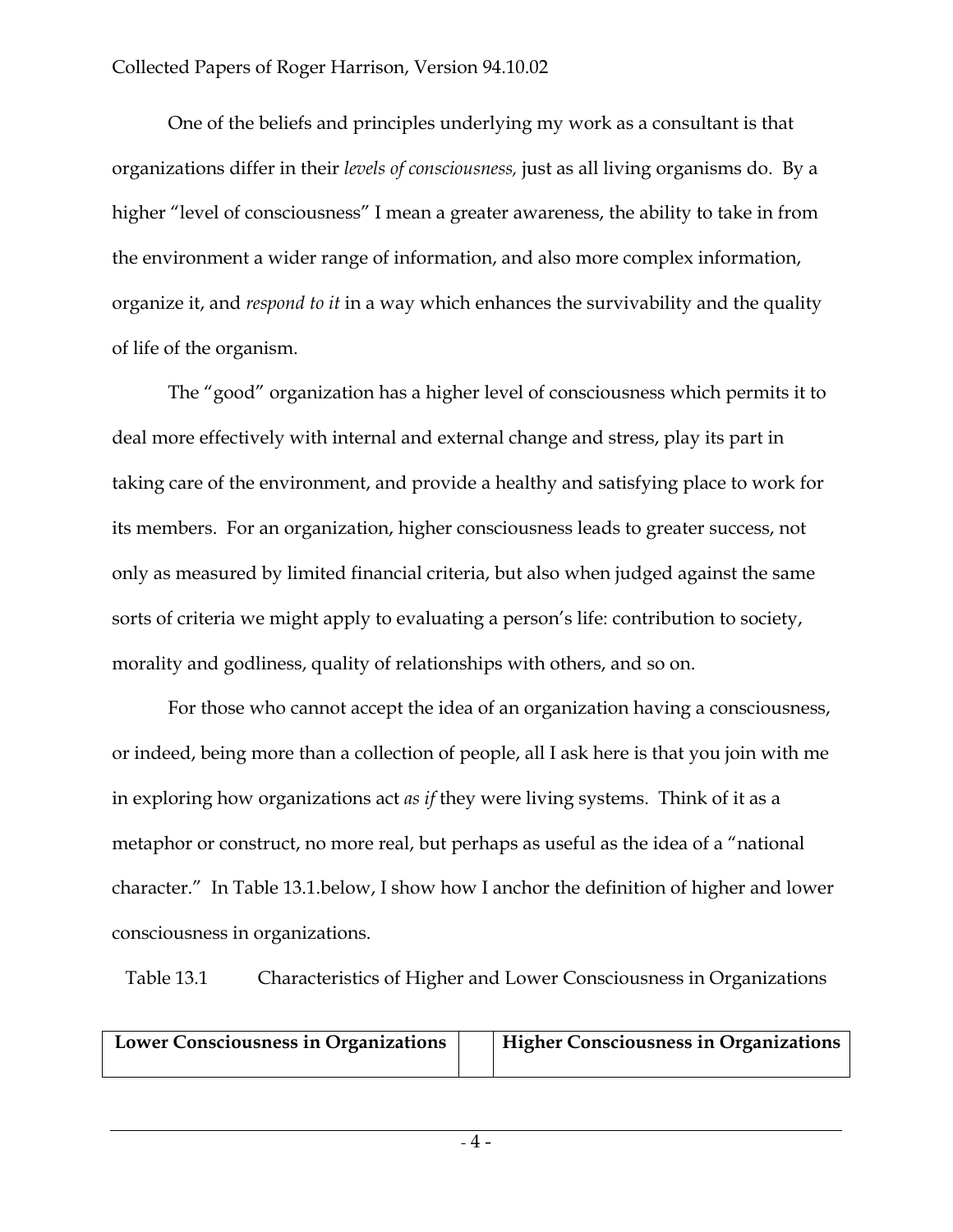One of the beliefs and principles underlying my work as a consultant is that organizations differ in their *levels of consciousness,* just as all living organisms do. By a higher "level of consciousness" I mean a greater awareness, the ability to take in from the environment a wider range of information, and also more complex information, organize it, and *respond to it* in a way which enhances the survivability and the quality of life of the organism.

The "good" organization has a higher level of consciousness which permits it to deal more effectively with internal and external change and stress, play its part in taking care of the environment, and provide a healthy and satisfying place to work for its members. For an organization, higher consciousness leads to greater success, not only as measured by limited financial criteria, but also when judged against the same sorts of criteria we might apply to evaluating a person's life: contribution to society, morality and godliness, quality of relationships with others, and so on.

For those who cannot accept the idea of an organization having a consciousness, or indeed, being more than a collection of people, all I ask here is that you join with me in exploring how organizations act *as if* they were living systems. Think of it as a metaphor or construct, no more real, but perhaps as useful as the idea of a "national character." In Table 13.1.below, I show how I anchor the definition of higher and lower consciousness in organizations.

Table 13.1 Characteristics of Higher and Lower Consciousness in Organizations

| <b>Lower Consciousness in Organizations</b> | <b>Higher Consciousness in Organizations</b> |
|---------------------------------------------|----------------------------------------------|
|                                             |                                              |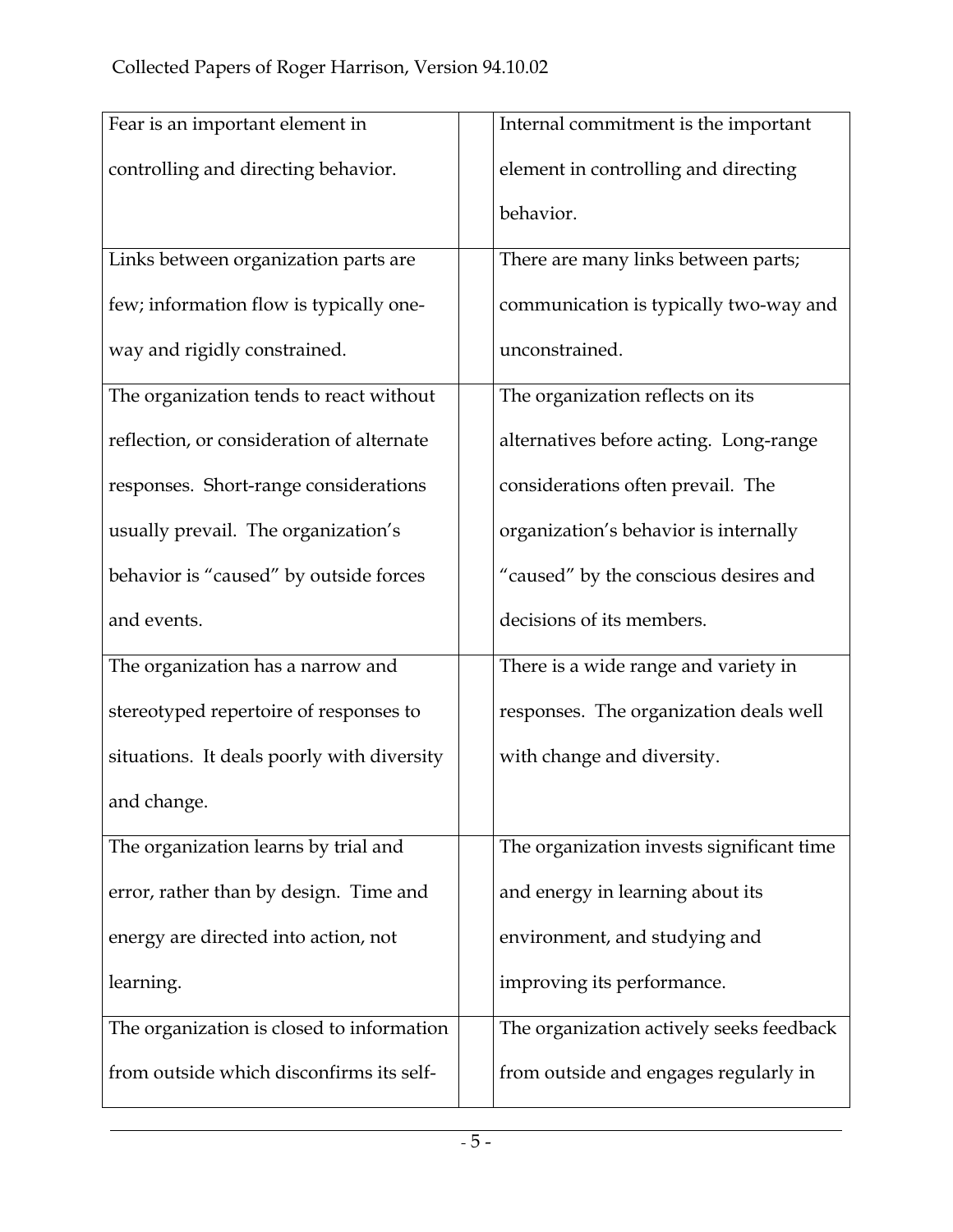| Fear is an important element in            | Internal commitment is the important      |
|--------------------------------------------|-------------------------------------------|
| controlling and directing behavior.        | element in controlling and directing      |
|                                            | behavior.                                 |
| Links between organization parts are       | There are many links between parts;       |
| few; information flow is typically one-    | communication is typically two-way and    |
| way and rigidly constrained.               | unconstrained.                            |
| The organization tends to react without    | The organization reflects on its          |
| reflection, or consideration of alternate  | alternatives before acting. Long-range    |
| responses. Short-range considerations      | considerations often prevail. The         |
| usually prevail. The organization's        | organization's behavior is internally     |
| behavior is "caused" by outside forces     | "caused" by the conscious desires and     |
| and events.                                | decisions of its members.                 |
| The organization has a narrow and          | There is a wide range and variety in      |
| stereotyped repertoire of responses to     | responses. The organization deals well    |
| situations. It deals poorly with diversity | with change and diversity.                |
| and change.                                |                                           |
| The organization learns by trial and       | The organization invests significant time |
| error, rather than by design. Time and     | and energy in learning about its          |
| energy are directed into action, not       | environment, and studying and             |
| learning.                                  | improving its performance.                |
| The organization is closed to information  | The organization actively seeks feedback  |
| from outside which disconfirms its self-   | from outside and engages regularly in     |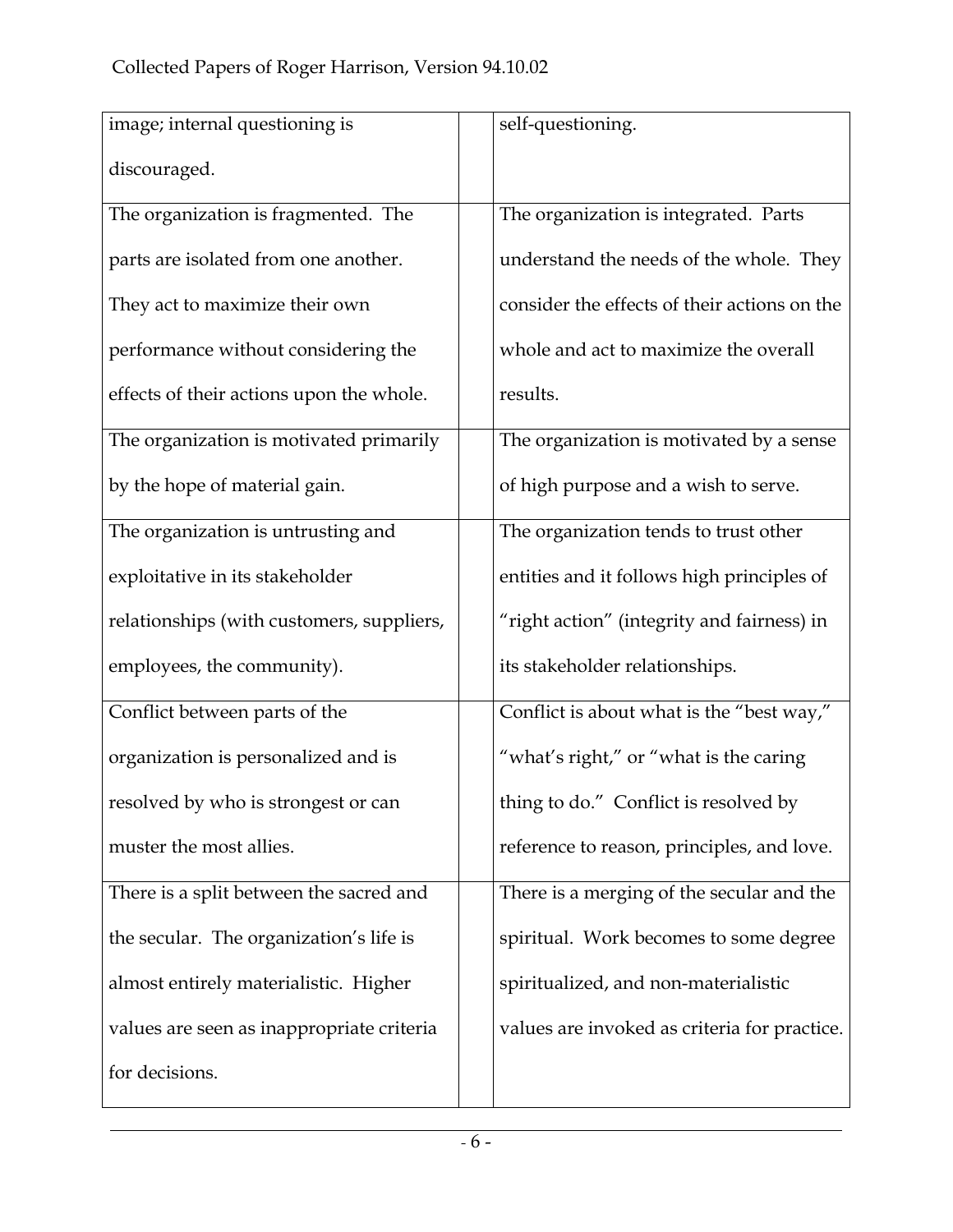| image; internal questioning is            | self-questioning.                            |
|-------------------------------------------|----------------------------------------------|
| discouraged.                              |                                              |
| The organization is fragmented. The       | The organization is integrated. Parts        |
| parts are isolated from one another.      | understand the needs of the whole. They      |
| They act to maximize their own            | consider the effects of their actions on the |
| performance without considering the       | whole and act to maximize the overall        |
| effects of their actions upon the whole.  | results.                                     |
| The organization is motivated primarily   | The organization is motivated by a sense     |
| by the hope of material gain.             | of high purpose and a wish to serve.         |
| The organization is untrusting and        | The organization tends to trust other        |
| exploitative in its stakeholder           | entities and it follows high principles of   |
| relationships (with customers, suppliers, | "right action" (integrity and fairness) in   |
| employees, the community).                | its stakeholder relationships.               |
| Conflict between parts of the             | Conflict is about what is the "best way,"    |
| organization is personalized and is       | "what's right," or "what is the caring       |
| resolved by who is strongest or can       | thing to do." Conflict is resolved by        |
| muster the most allies.                   | reference to reason, principles, and love.   |
| There is a split between the sacred and   | There is a merging of the secular and the    |
| the secular. The organization's life is   | spiritual. Work becomes to some degree       |
| almost entirely materialistic. Higher     | spiritualized, and non-materialistic         |
| values are seen as inappropriate criteria | values are invoked as criteria for practice. |
| for decisions.                            |                                              |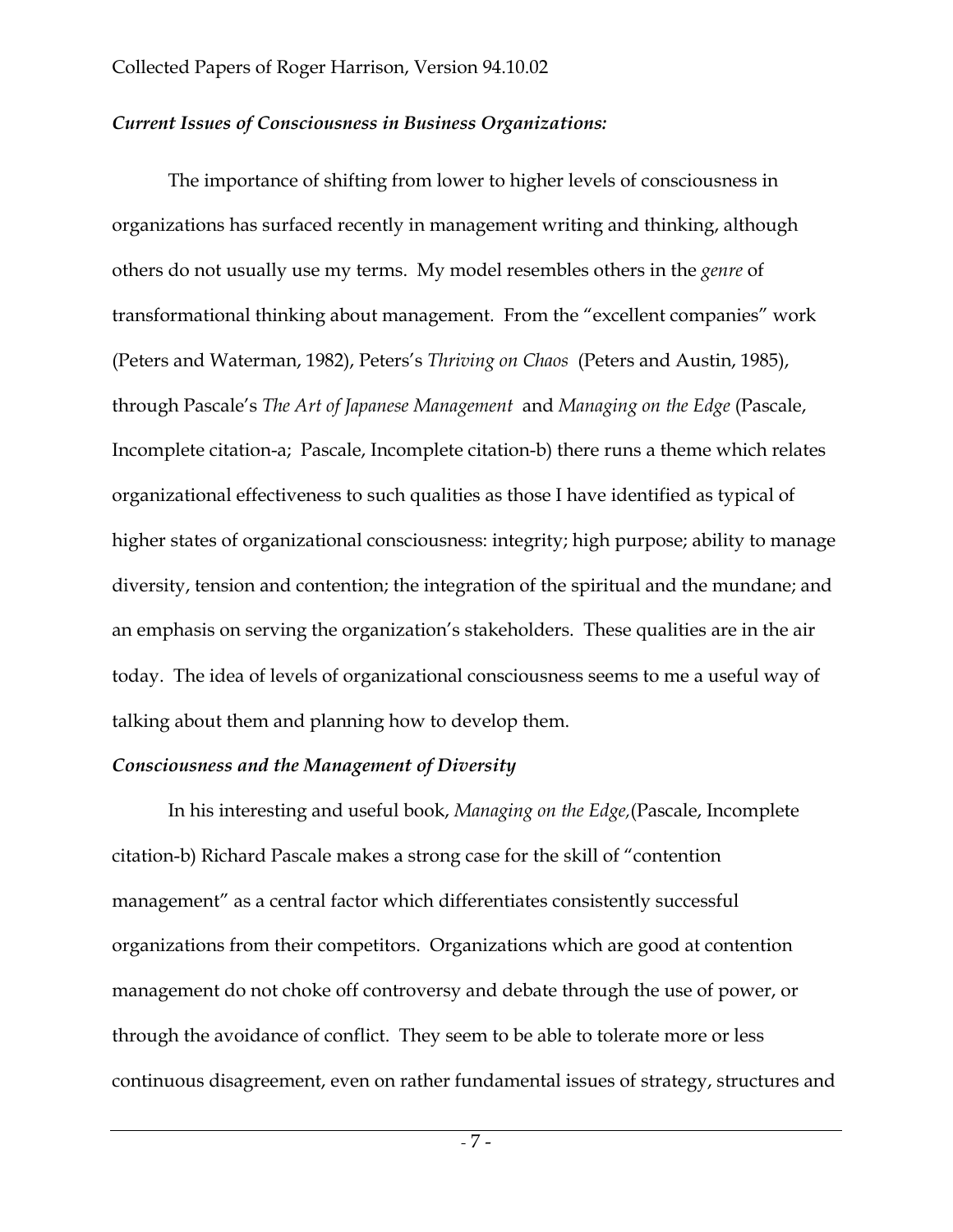#### *Current Issues of Consciousness in Business Organizations:*

The importance of shifting from lower to higher levels of consciousness in organizations has surfaced recently in management writing and thinking, although others do not usually use my terms. My model resembles others in the *genre* of transformational thinking about management. From the "excellent companies" work (Peters and Waterman, 1982), Peters's *Thriving on Chaos* (Peters and Austin, 1985), through Pascale's *The Art of Japanese Management* and *Managing on the Edge* (Pascale, Incomplete citation-a; Pascale, Incomplete citation-b) there runs a theme which relates organizational effectiveness to such qualities as those I have identified as typical of higher states of organizational consciousness: integrity; high purpose; ability to manage diversity, tension and contention; the integration of the spiritual and the mundane; and an emphasis on serving the organization's stakeholders. These qualities are in the air today. The idea of levels of organizational consciousness seems to me a useful way of talking about them and planning how to develop them.

#### *Consciousness and the Management of Diversity*

In his interesting and useful book, *Managing on the Edge,*(Pascale, Incomplete citation-b) Richard Pascale makes a strong case for the skill of "contention management" as a central factor which differentiates consistently successful organizations from their competitors. Organizations which are good at contention management do not choke off controversy and debate through the use of power, or through the avoidance of conflict. They seem to be able to tolerate more or less continuous disagreement, even on rather fundamental issues of strategy, structures and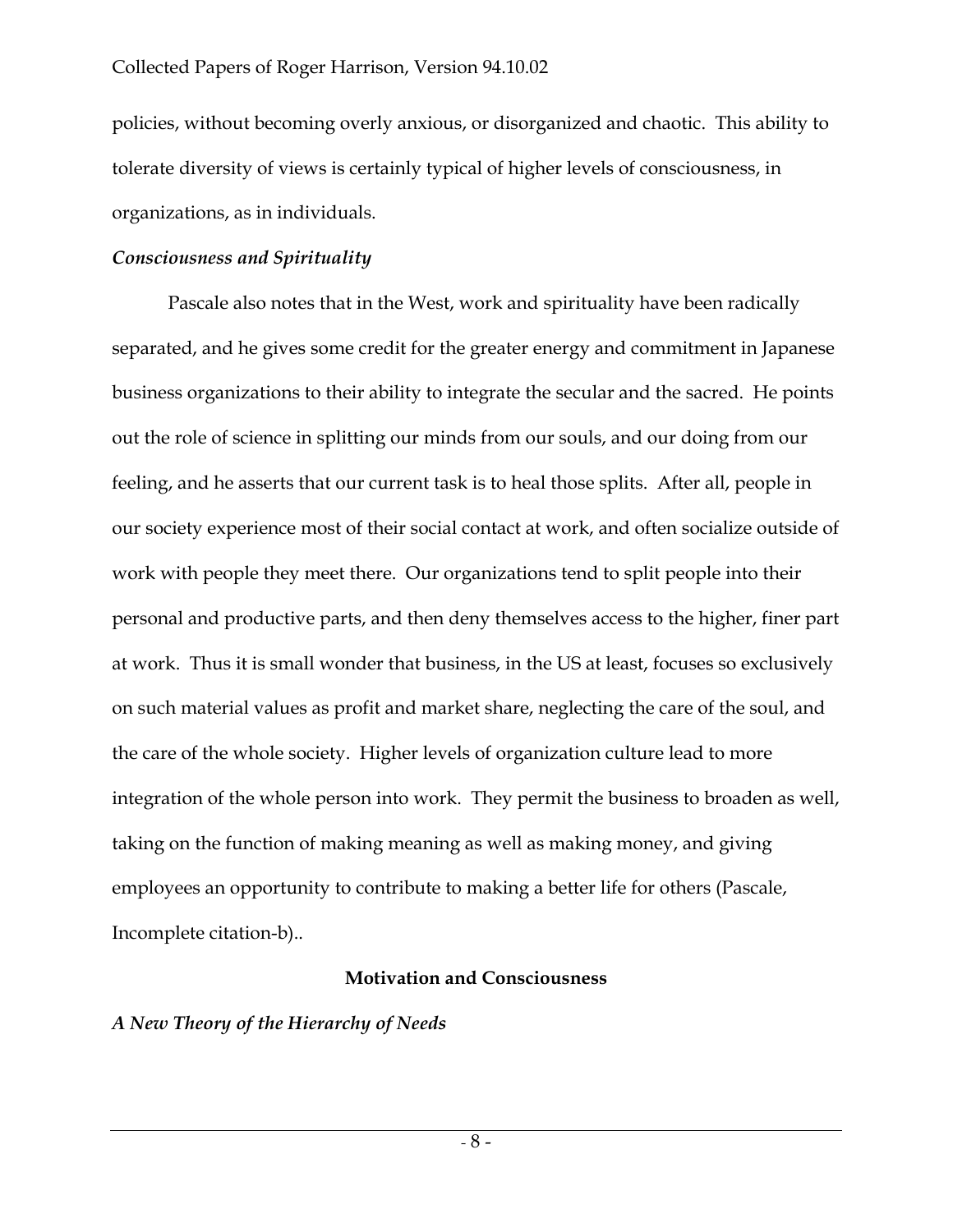policies, without becoming overly anxious, or disorganized and chaotic. This ability to tolerate diversity of views is certainly typical of higher levels of consciousness, in organizations, as in individuals.

#### *Consciousness and Spirituality*

Pascale also notes that in the West, work and spirituality have been radically separated, and he gives some credit for the greater energy and commitment in Japanese business organizations to their ability to integrate the secular and the sacred. He points out the role of science in splitting our minds from our souls, and our doing from our feeling, and he asserts that our current task is to heal those splits. After all, people in our society experience most of their social contact at work, and often socialize outside of work with people they meet there. Our organizations tend to split people into their personal and productive parts, and then deny themselves access to the higher, finer part at work. Thus it is small wonder that business, in the US at least, focuses so exclusively on such material values as profit and market share, neglecting the care of the soul, and the care of the whole society. Higher levels of organization culture lead to more integration of the whole person into work. They permit the business to broaden as well, taking on the function of making meaning as well as making money, and giving employees an opportunity to contribute to making a better life for others (Pascale, Incomplete citation-b)..

#### **Motivation and Consciousness**

#### *A New Theory of the Hierarchy of Needs*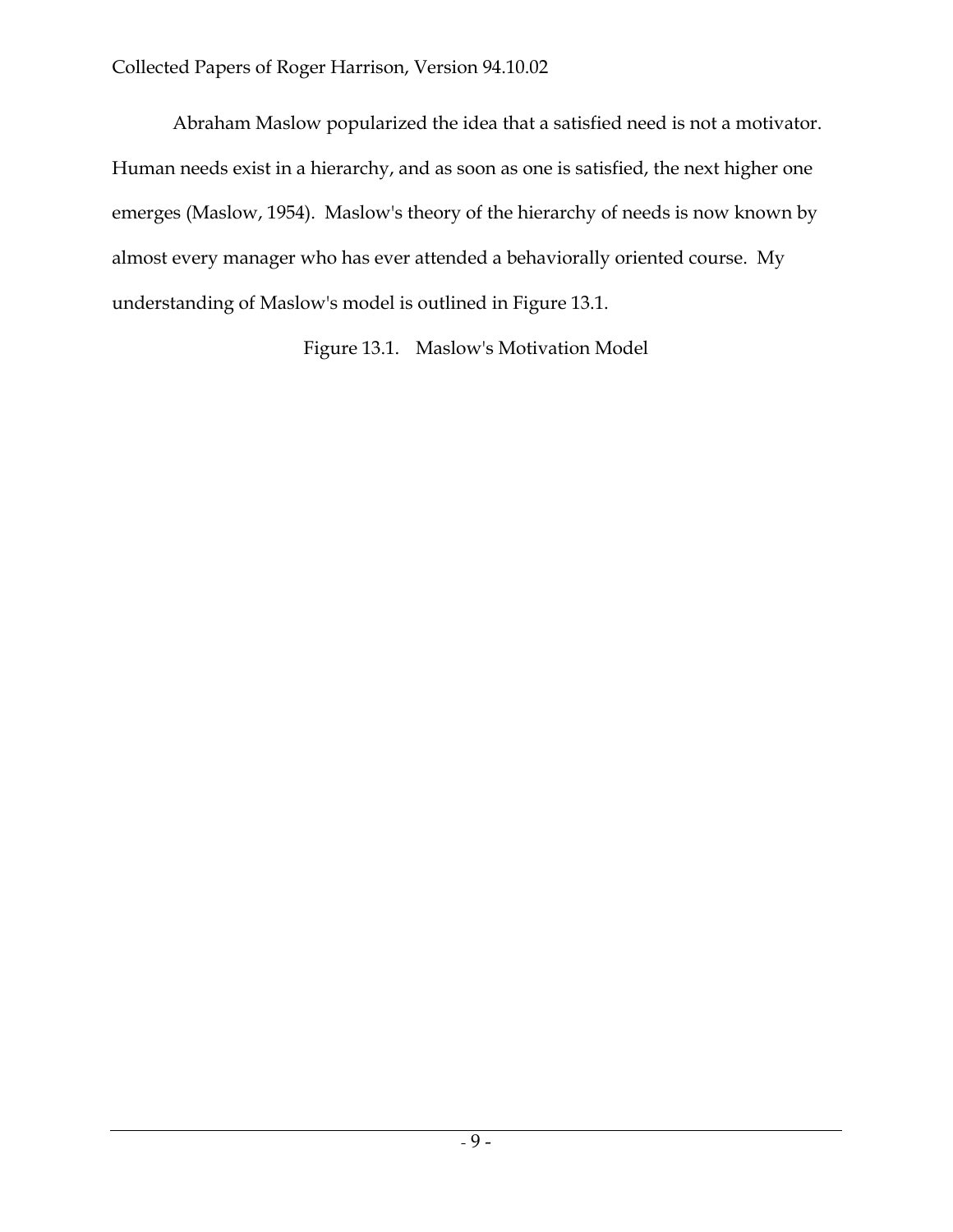Abraham Maslow popularized the idea that a satisfied need is not a motivator. Human needs exist in a hierarchy, and as soon as one is satisfied, the next higher one emerges (Maslow, 1954). Maslow's theory of the hierarchy of needs is now known by almost every manager who has ever attended a behaviorally oriented course. My understanding of Maslow's model is outlined in Figure 13.1.

Figure 13.1. Maslow's Motivation Model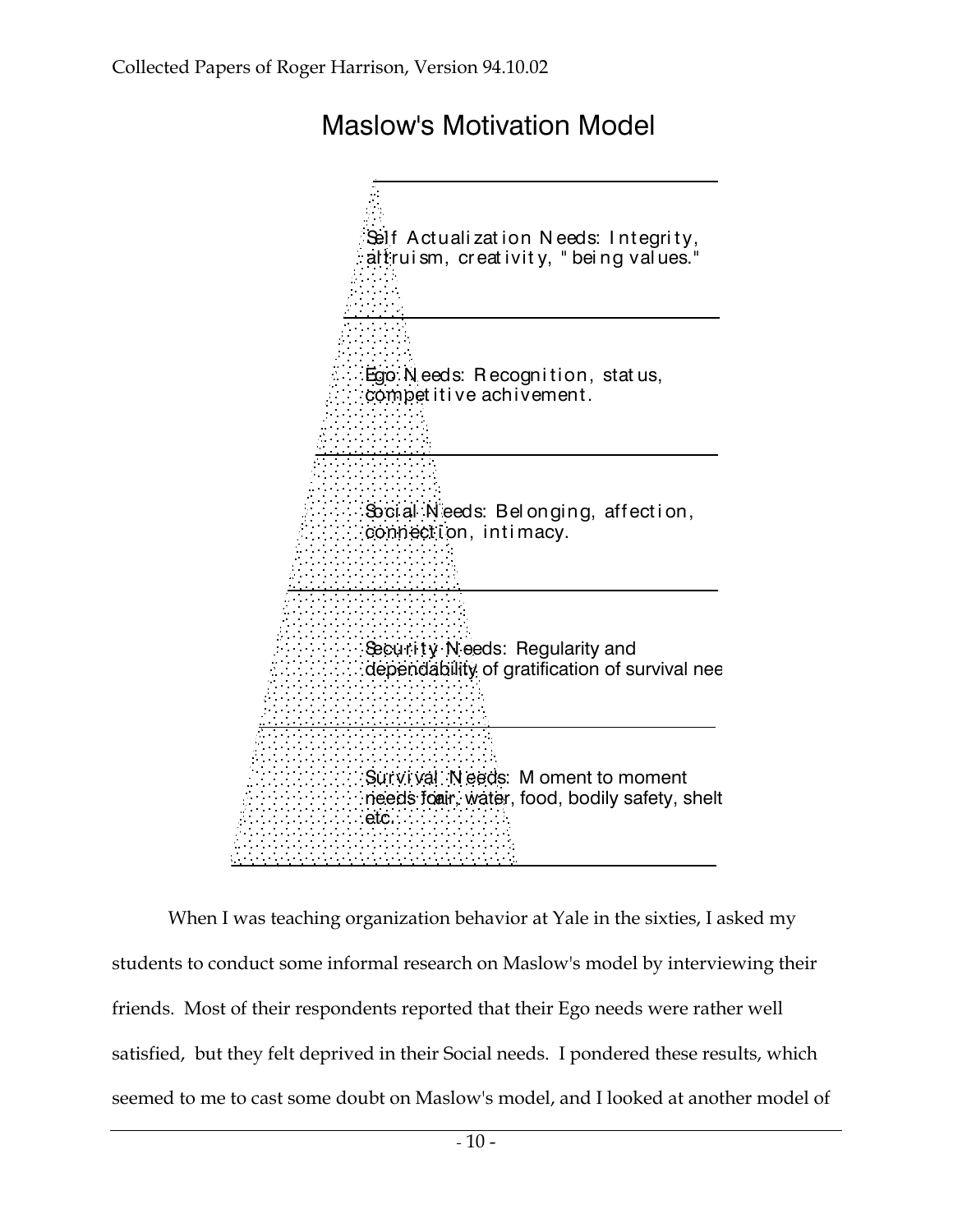



When I was teaching organization behavior at Yale in the sixties, I asked my students to conduct some informal research on Maslow's model by interviewing their friends. Most of their respondents reported that their Ego needs were rather well satisfied, but they felt deprived in their Social needs. I pondered these results, which seemed to me to cast some doubt on Maslow's model, and I looked at another model of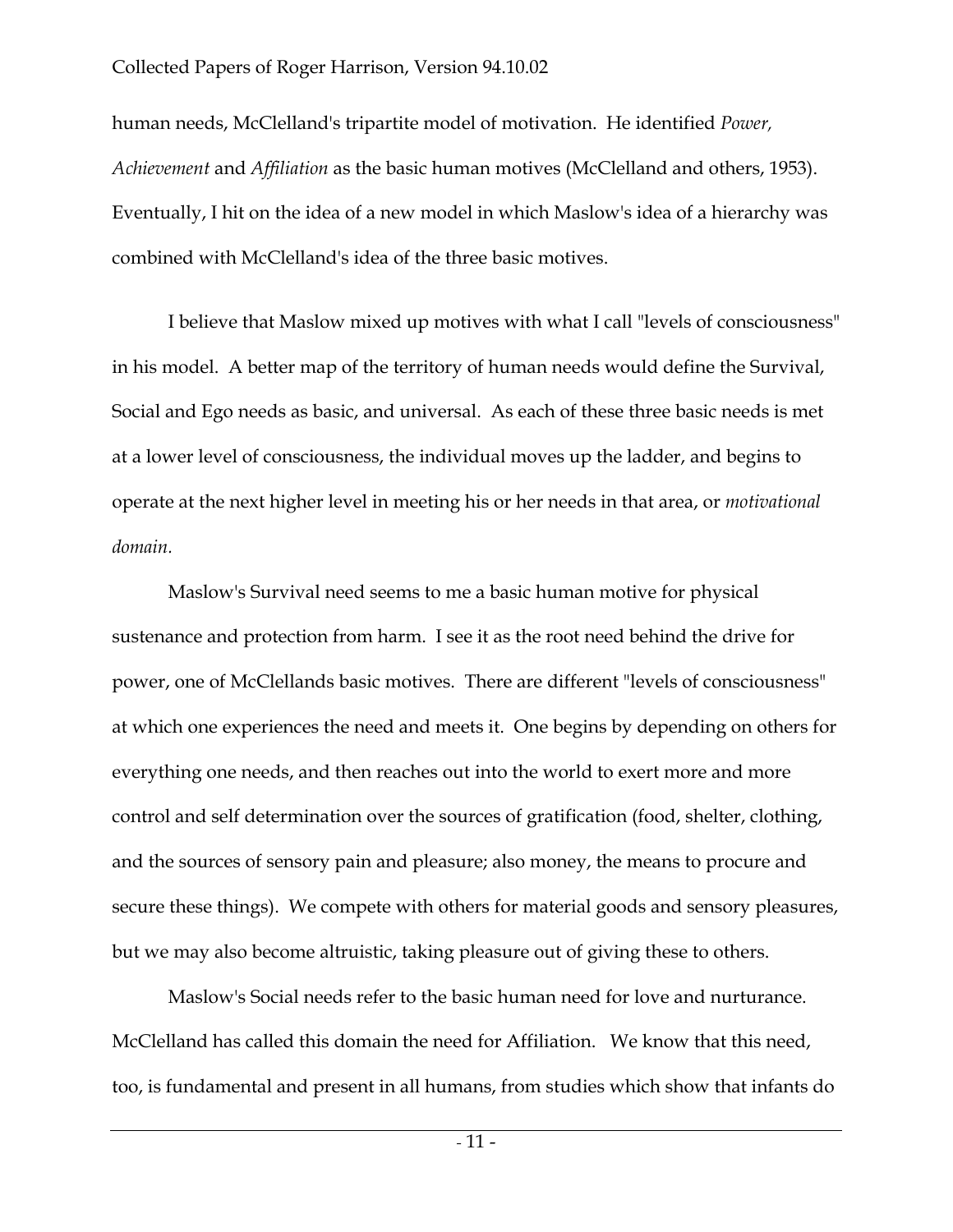human needs, McClelland's tripartite model of motivation. He identified *Power, Achievement* and *Affiliation* as the basic human motives (McClelland and others, 1953). Eventually, I hit on the idea of a new model in which Maslow's idea of a hierarchy was combined with McClelland's idea of the three basic motives.

I believe that Maslow mixed up motives with what I call "levels of consciousness" in his model. A better map of the territory of human needs would define the Survival, Social and Ego needs as basic, and universal. As each of these three basic needs is met at a lower level of consciousness, the individual moves up the ladder, and begins to operate at the next higher level in meeting his or her needs in that area, or *motivational domain.*

Maslow's Survival need seems to me a basic human motive for physical sustenance and protection from harm. I see it as the root need behind the drive for power, one of McClellands basic motives. There are different "levels of consciousness" at which one experiences the need and meets it. One begins by depending on others for everything one needs, and then reaches out into the world to exert more and more control and self determination over the sources of gratification (food, shelter, clothing, and the sources of sensory pain and pleasure; also money, the means to procure and secure these things). We compete with others for material goods and sensory pleasures, but we may also become altruistic, taking pleasure out of giving these to others.

Maslow's Social needs refer to the basic human need for love and nurturance. McClelland has called this domain the need for Affiliation. We know that this need, too, is fundamental and present in all humans, from studies which show that infants do

*-* 11 -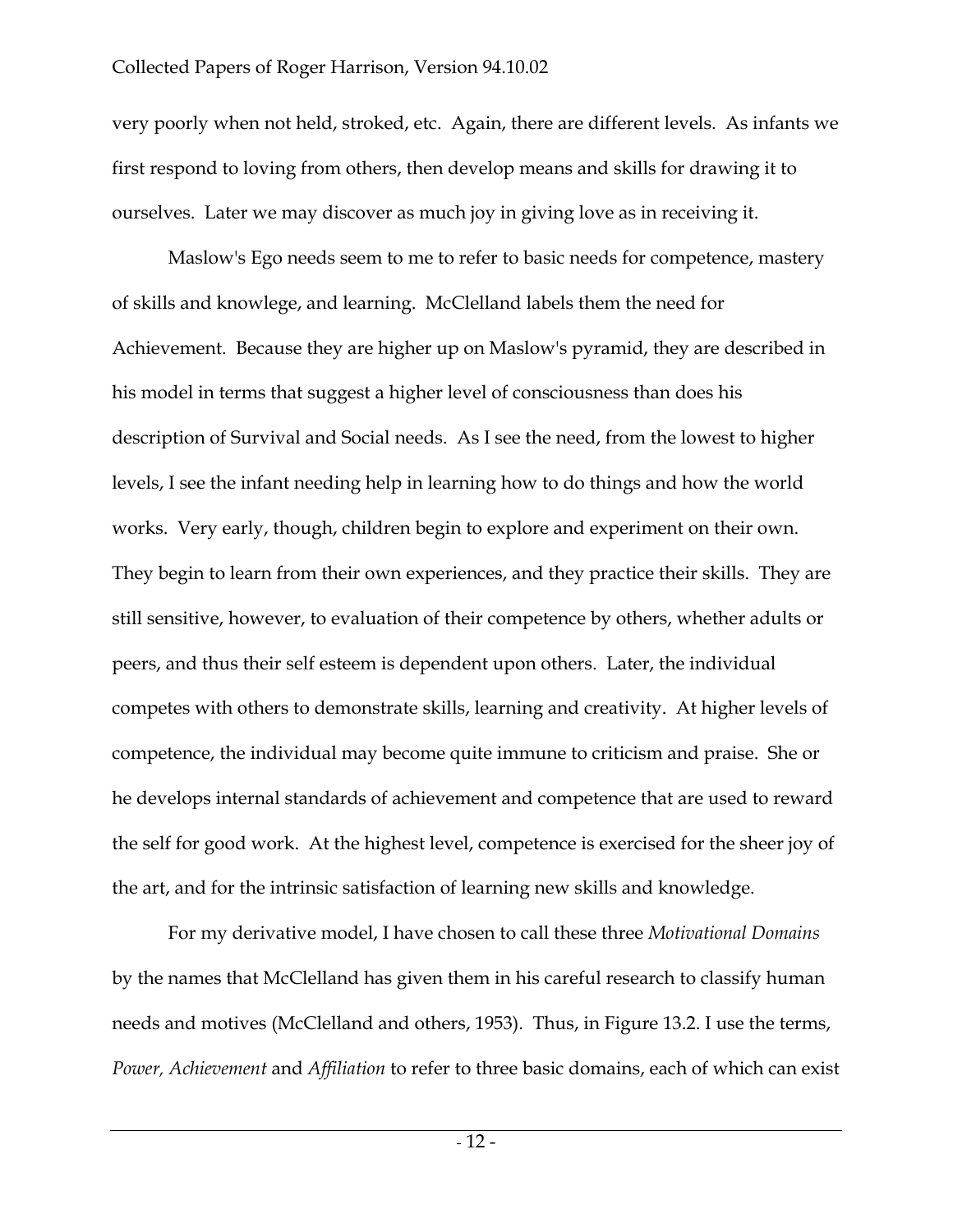very poorly when not held, stroked, etc. Again, there are different levels. As infants we first respond to loving from others, then develop means and skills for drawing it to ourselves. Later we may discover as much joy in giving love as in receiving it.

Maslow's Ego needs seem to me to refer to basic needs for competence, mastery of skills and knowlege, and learning. McClelland labels them the need for Achievement. Because they are higher up on Maslow's pyramid, they are described in his model in terms that suggest a higher level of consciousness than does his description of Survival and Social needs. As I see the need, from the lowest to higher levels, I see the infant needing help in learning how to do things and how the world works. Very early, though, children begin to explore and experiment on their own. They begin to learn from their own experiences, and they practice their skills. They are still sensitive, however, to evaluation of their competence by others, whether adults or peers, and thus their self esteem is dependent upon others. Later, the individual competes with others to demonstrate skills, learning and creativity. At higher levels of competence, the individual may become quite immune to criticism and praise. She or he develops internal standards of achievement and competence that are used to reward the self for good work. At the highest level, competence is exercised for the sheer joy of the art, and for the intrinsic satisfaction of learning new skills and knowledge.

For my derivative model, I have chosen to call these three *Motivational Domains* by the names that McClelland has given them in his careful research to classify human needs and motives (McClelland and others, 1953). Thus, in Figure 13.2. I use the terms, *Power, Achievement* and *Affiliation* to refer to three basic domains, each of which can exist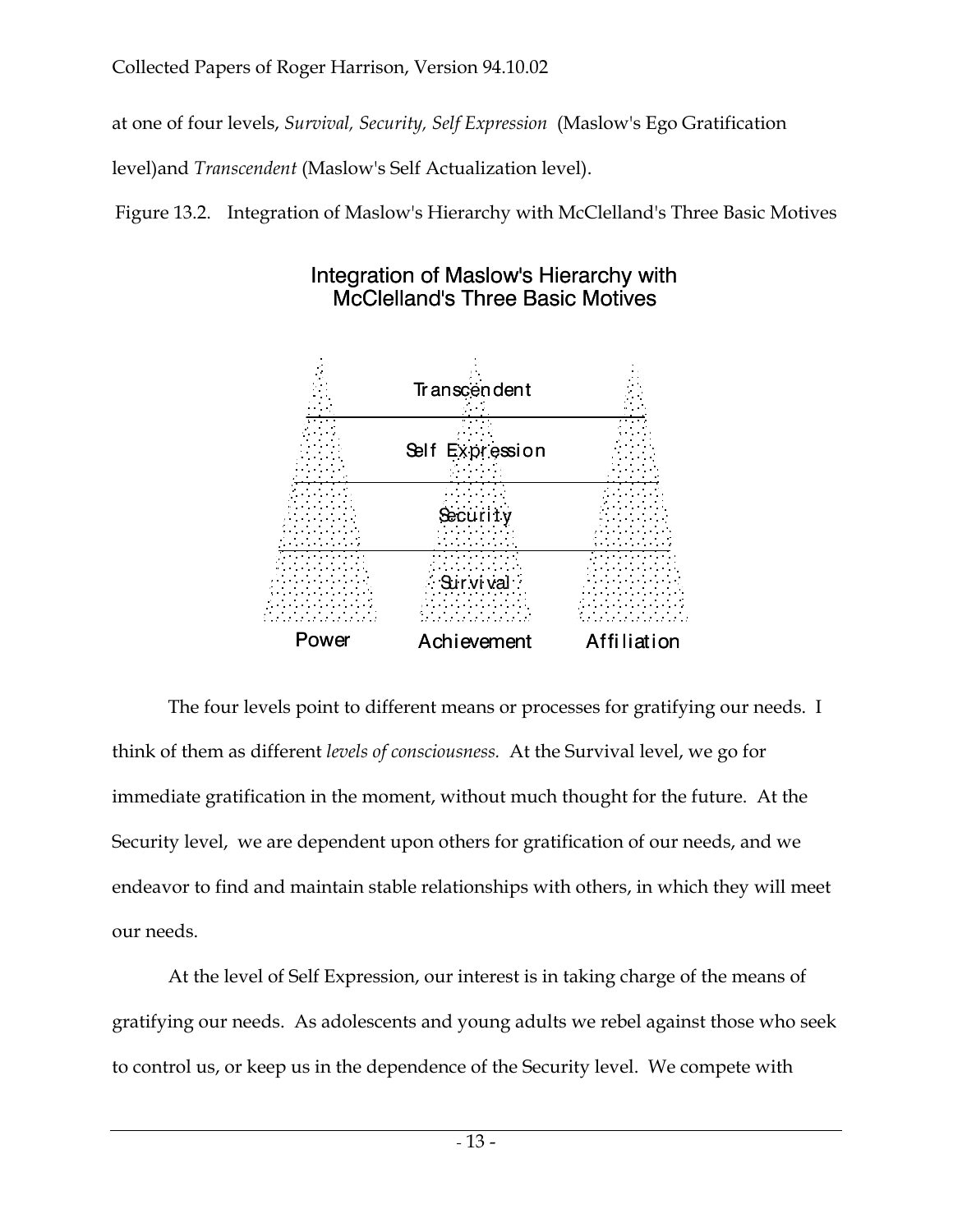at one of four levels, *Survival, Security, Self Expression* (Maslow's Ego Gratification

level)and *Transcendent* (Maslow's Self Actualization level).

Figure 13.2. Integration of Maslow's Hierarchy with McClelland's Three Basic Motives



# Integration of Maslow's Hierarchy with McClelland's Three Basic Motives

The four levels point to different means or processes for gratifying our needs. I think of them as different *levels of consciousness.* At the Survival level, we go for immediate gratification in the moment, without much thought for the future. At the Security level, we are dependent upon others for gratification of our needs, and we endeavor to find and maintain stable relationships with others, in which they will meet our needs.

At the level of Self Expression, our interest is in taking charge of the means of gratifying our needs. As adolescents and young adults we rebel against those who seek to control us, or keep us in the dependence of the Security level. We compete with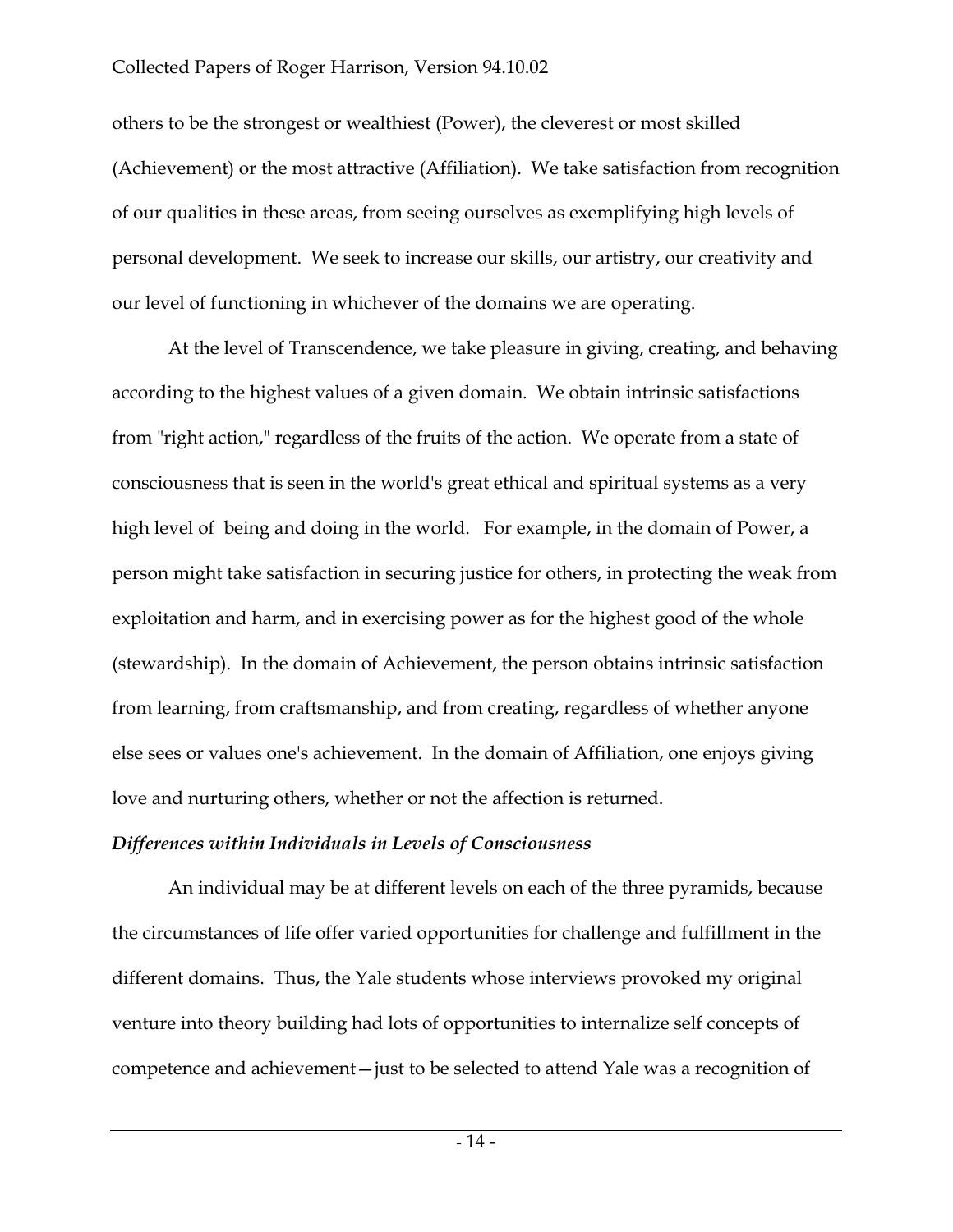others to be the strongest or wealthiest (Power), the cleverest or most skilled (Achievement) or the most attractive (Affiliation). We take satisfaction from recognition of our qualities in these areas, from seeing ourselves as exemplifying high levels of personal development. We seek to increase our skills, our artistry, our creativity and our level of functioning in whichever of the domains we are operating.

At the level of Transcendence, we take pleasure in giving, creating, and behaving according to the highest values of a given domain. We obtain intrinsic satisfactions from "right action," regardless of the fruits of the action. We operate from a state of consciousness that is seen in the world's great ethical and spiritual systems as a very high level of being and doing in the world. For example, in the domain of Power, a person might take satisfaction in securing justice for others, in protecting the weak from exploitation and harm, and in exercising power as for the highest good of the whole (stewardship). In the domain of Achievement, the person obtains intrinsic satisfaction from learning, from craftsmanship, and from creating, regardless of whether anyone else sees or values one's achievement. In the domain of Affiliation, one enjoys giving love and nurturing others, whether or not the affection is returned.

# *Differences within Individuals in Levels of Consciousness*

An individual may be at different levels on each of the three pyramids, because the circumstances of life offer varied opportunities for challenge and fulfillment in the different domains. Thus, the Yale students whose interviews provoked my original venture into theory building had lots of opportunities to internalize self concepts of competence and achievement—just to be selected to attend Yale was a recognition of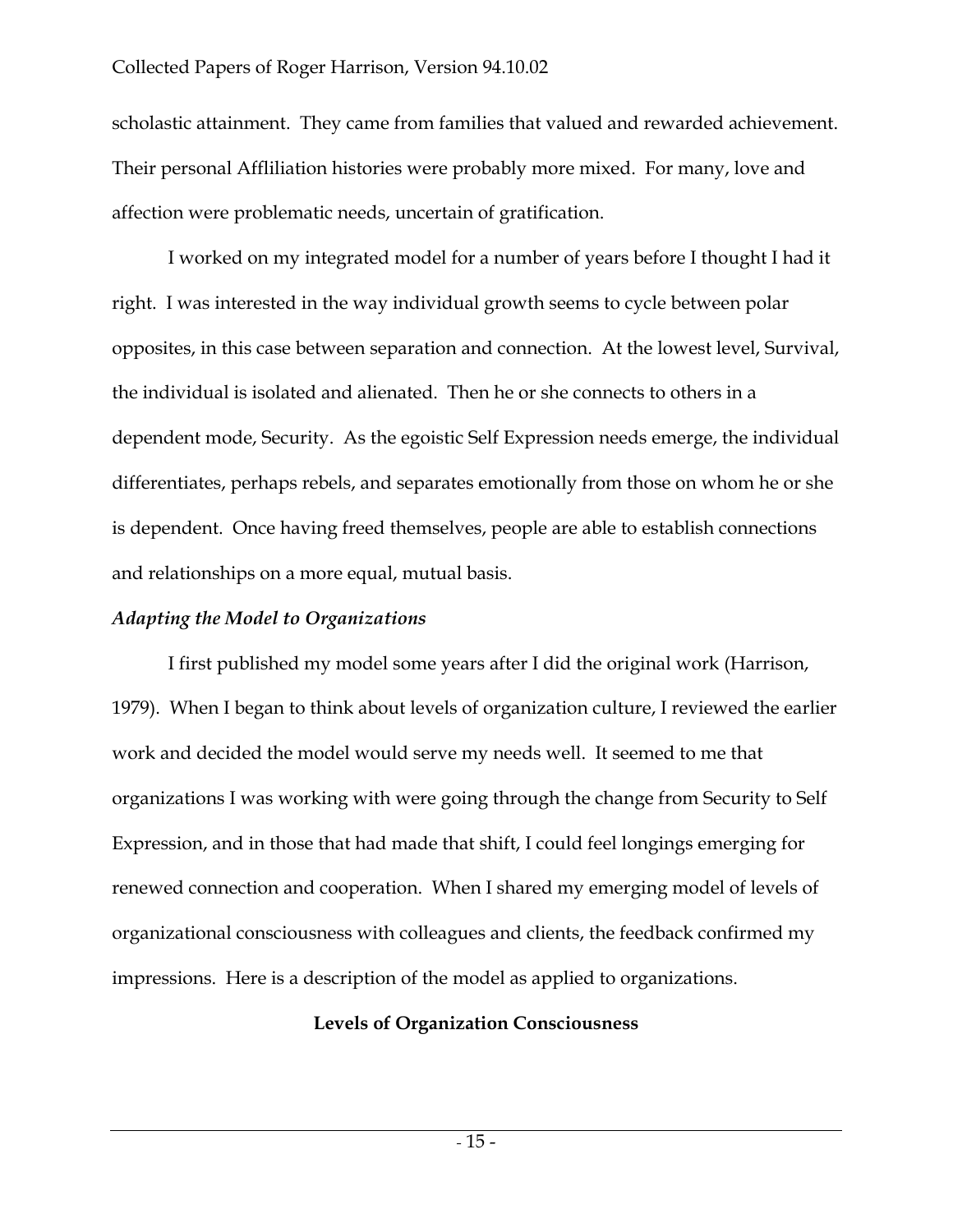scholastic attainment. They came from families that valued and rewarded achievement. Their personal Affliliation histories were probably more mixed. For many, love and affection were problematic needs, uncertain of gratification.

I worked on my integrated model for a number of years before I thought I had it right. I was interested in the way individual growth seems to cycle between polar opposites, in this case between separation and connection. At the lowest level, Survival, the individual is isolated and alienated. Then he or she connects to others in a dependent mode, Security. As the egoistic Self Expression needs emerge, the individual differentiates, perhaps rebels, and separates emotionally from those on whom he or she is dependent. Once having freed themselves, people are able to establish connections and relationships on a more equal, mutual basis.

#### *Adapting the Model to Organizations*

I first published my model some years after I did the original work (Harrison, 1979). When I began to think about levels of organization culture, I reviewed the earlier work and decided the model would serve my needs well. It seemed to me that organizations I was working with were going through the change from Security to Self Expression, and in those that had made that shift, I could feel longings emerging for renewed connection and cooperation. When I shared my emerging model of levels of organizational consciousness with colleagues and clients, the feedback confirmed my impressions. Here is a description of the model as applied to organizations.

# **Levels of Organization Consciousness**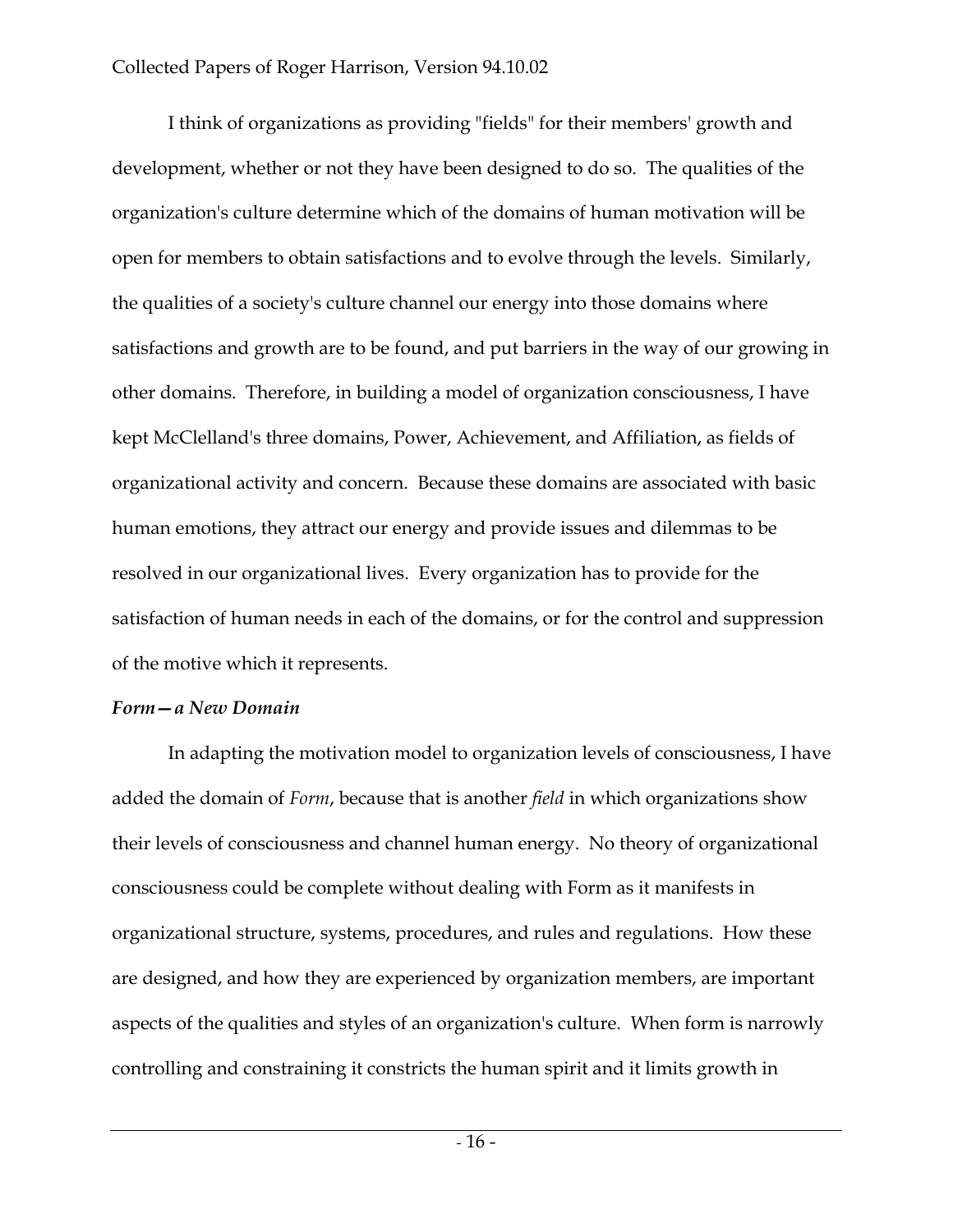I think of organizations as providing "fields" for their members' growth and development, whether or not they have been designed to do so. The qualities of the organization's culture determine which of the domains of human motivation will be open for members to obtain satisfactions and to evolve through the levels. Similarly, the qualities of a society's culture channel our energy into those domains where satisfactions and growth are to be found, and put barriers in the way of our growing in other domains. Therefore, in building a model of organization consciousness, I have kept McClelland's three domains, Power, Achievement, and Affiliation, as fields of organizational activity and concern. Because these domains are associated with basic human emotions, they attract our energy and provide issues and dilemmas to be resolved in our organizational lives. Every organization has to provide for the satisfaction of human needs in each of the domains, or for the control and suppression of the motive which it represents.

#### *Form—a New Domain*

In adapting the motivation model to organization levels of consciousness, I have added the domain of *Form*, because that is another *field* in which organizations show their levels of consciousness and channel human energy. No theory of organizational consciousness could be complete without dealing with Form as it manifests in organizational structure, systems, procedures, and rules and regulations. How these are designed, and how they are experienced by organization members, are important aspects of the qualities and styles of an organization's culture. When form is narrowly controlling and constraining it constricts the human spirit and it limits growth in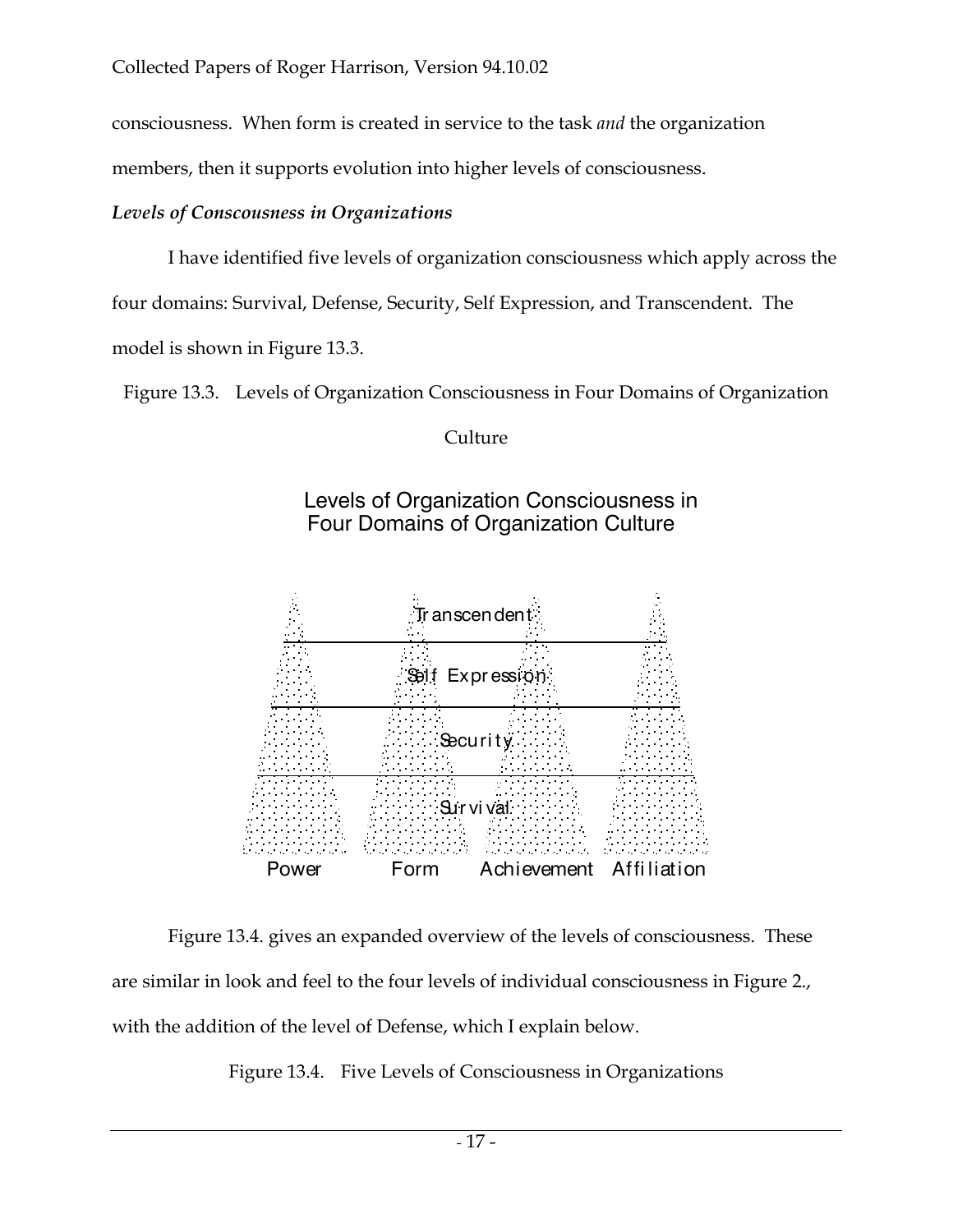consciousness. When form is created in service to the task *and* the organization

members, then it supports evolution into higher levels of consciousness.

# *Levels of Conscousness in Organizations*

I have identified five levels of organization consciousness which apply across the

four domains: Survival, Defense, Security, Self Expression, and Transcendent. The

model is shown in Figure 13.3.

Figure 13.3. Levels of Organization Consciousness in Four Domains of Organization

# **Culture**

# Levels of Organization Consciousness in Four Domains of Organization Culture



Figure 13.4. gives an expanded overview of the levels of consciousness. These are similar in look and feel to the four levels of individual consciousness in Figure 2., with the addition of the level of Defense, which I explain below.

Figure 13.4. Five Levels of Consciousness in Organizations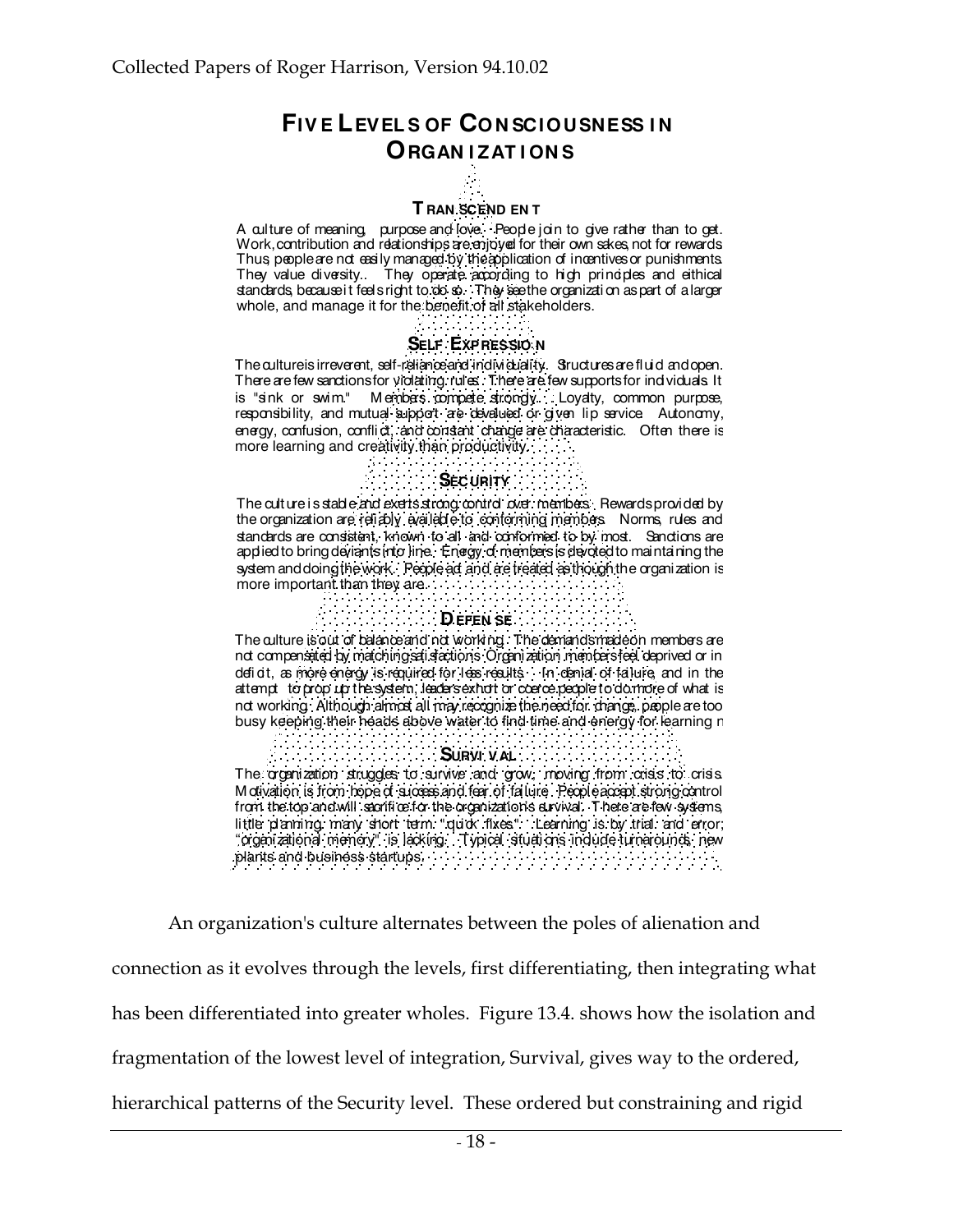# **FIV E LEVEL S OF CON SCIOUSNESS I N ORGAN I ZAT I ON S**

#### **T RAN SCEND EN T**

A culture of meaning purpose and love. People join to give rather than to get.<br>Work, contribution and relationships are enjoyed for their own sakes, not for rewards. Thus, people are not easily managed by the application of incentives or punishments. They value diversity.. They operate according to high principles and eithical standards, because it feels right to do so. They see the organization as part of a larger whole, and manage it for the benefit of all stakeholders.

# **SELF EXPRESSIO N**

The culture is irreverent, self-reliance and individuality. Structures are fluid and open. There are few sanctions for violating rules. There are few supports for individuals. It is "sink or swim." Members compete strongly. Loyalty, common purpose, responsibility, and mutual support are devalued or given lip service. Autonomy, energy, confusion, conflict, and constant change are characteristic. Often there is more learning and creativity than productivity.

#### **SECURITY**

The culture is stable and exerts strong control over members. Rewards provided by the organization are reliably available to conforming members. Norms, rules and standards are consistent, known to all and conformed to by most. Sanctions are applied to bring deviants into line. Energy of members is devoted to maintaining the system and doing the work. People ad and are treated as though the organization is more important than they are.

#### **DEFEN SE**

The culture is out of balance and not working. The demandsmade on members are not compensated by matching satisfactions. Organization members feel deprived or in defi cit, as more energy is required for less results. In denial of failure, and in the attempt to prop up the system, leaders exhort or coerce people to do more of what is not working. Although almost all may recognize the need for change, peopleare too busy keeping their heads above water to find time and energy for learning r

#### **SURVI V AL**

The organization struggles to survive and grow, moving from crisis to crisis. M divation is from hope of success and fear of failure. People accept strong control from the top and will sacrifice for the organization's survival. There are few systems, little planning, many short term "quick fixes." Learning is by trial and error; "organizational memory" is lacking. Typical situations include turnarounds, new plants and business startups.

An organization's culture alternates between the poles of alienation and

connection as it evolves through the levels, first differentiating, then integrating what

has been differentiated into greater wholes. Figure 13.4. shows how the isolation and

fragmentation of the lowest level of integration, Survival, gives way to the ordered,

hierarchical patterns of the Security level. These ordered but constraining and rigid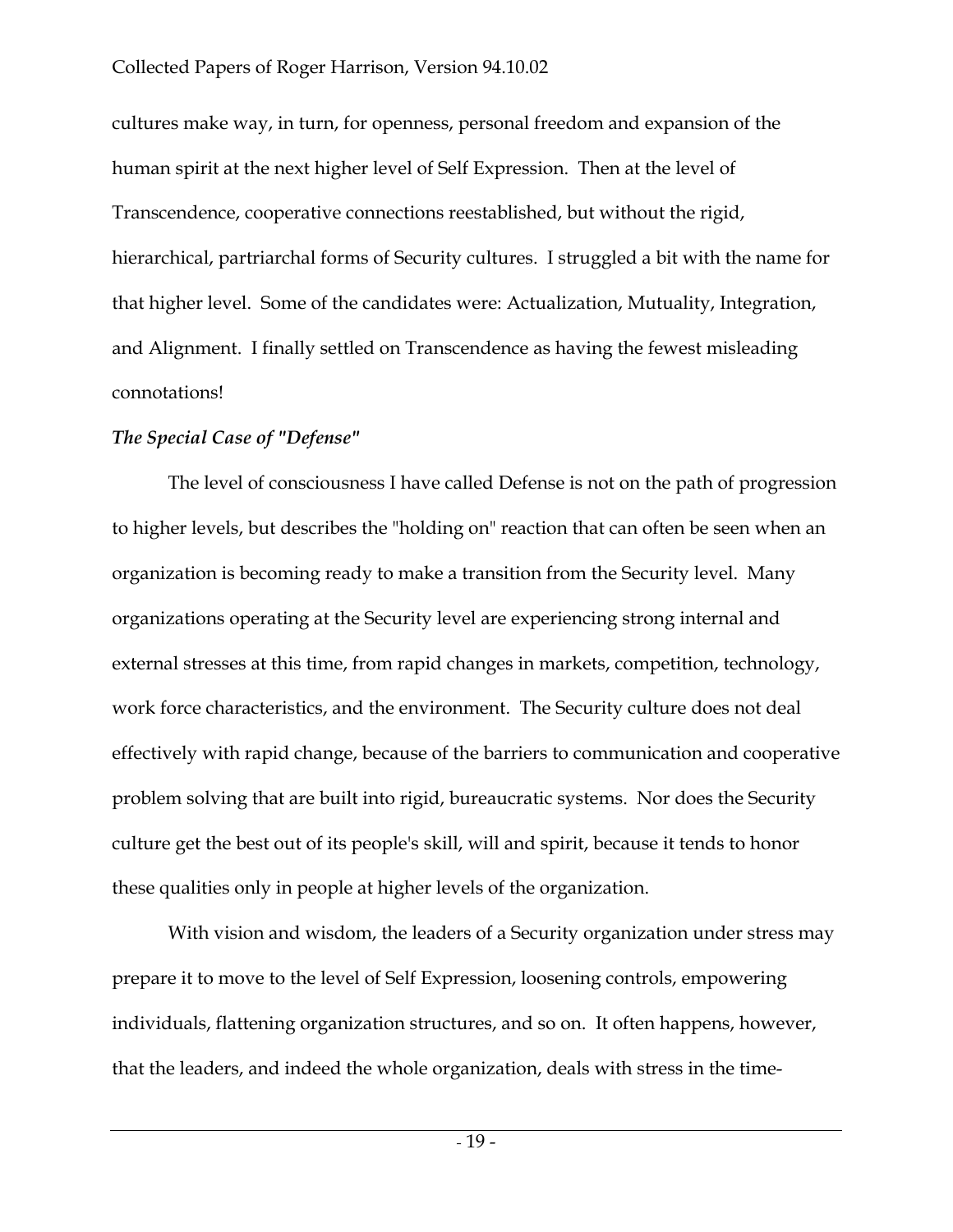cultures make way, in turn, for openness, personal freedom and expansion of the human spirit at the next higher level of Self Expression. Then at the level of Transcendence, cooperative connections reestablished, but without the rigid, hierarchical, partriarchal forms of Security cultures. I struggled a bit with the name for that higher level. Some of the candidates were: Actualization, Mutuality, Integration, and Alignment. I finally settled on Transcendence as having the fewest misleading connotations!

#### *The Special Case of "Defense"*

The level of consciousness I have called Defense is not on the path of progression to higher levels, but describes the "holding on" reaction that can often be seen when an organization is becoming ready to make a transition from the Security level. Many organizations operating at the Security level are experiencing strong internal and external stresses at this time, from rapid changes in markets, competition, technology, work force characteristics, and the environment. The Security culture does not deal effectively with rapid change, because of the barriers to communication and cooperative problem solving that are built into rigid, bureaucratic systems. Nor does the Security culture get the best out of its people's skill, will and spirit, because it tends to honor these qualities only in people at higher levels of the organization.

With vision and wisdom, the leaders of a Security organization under stress may prepare it to move to the level of Self Expression, loosening controls, empowering individuals, flattening organization structures, and so on. It often happens, however, that the leaders, and indeed the whole organization, deals with stress in the time-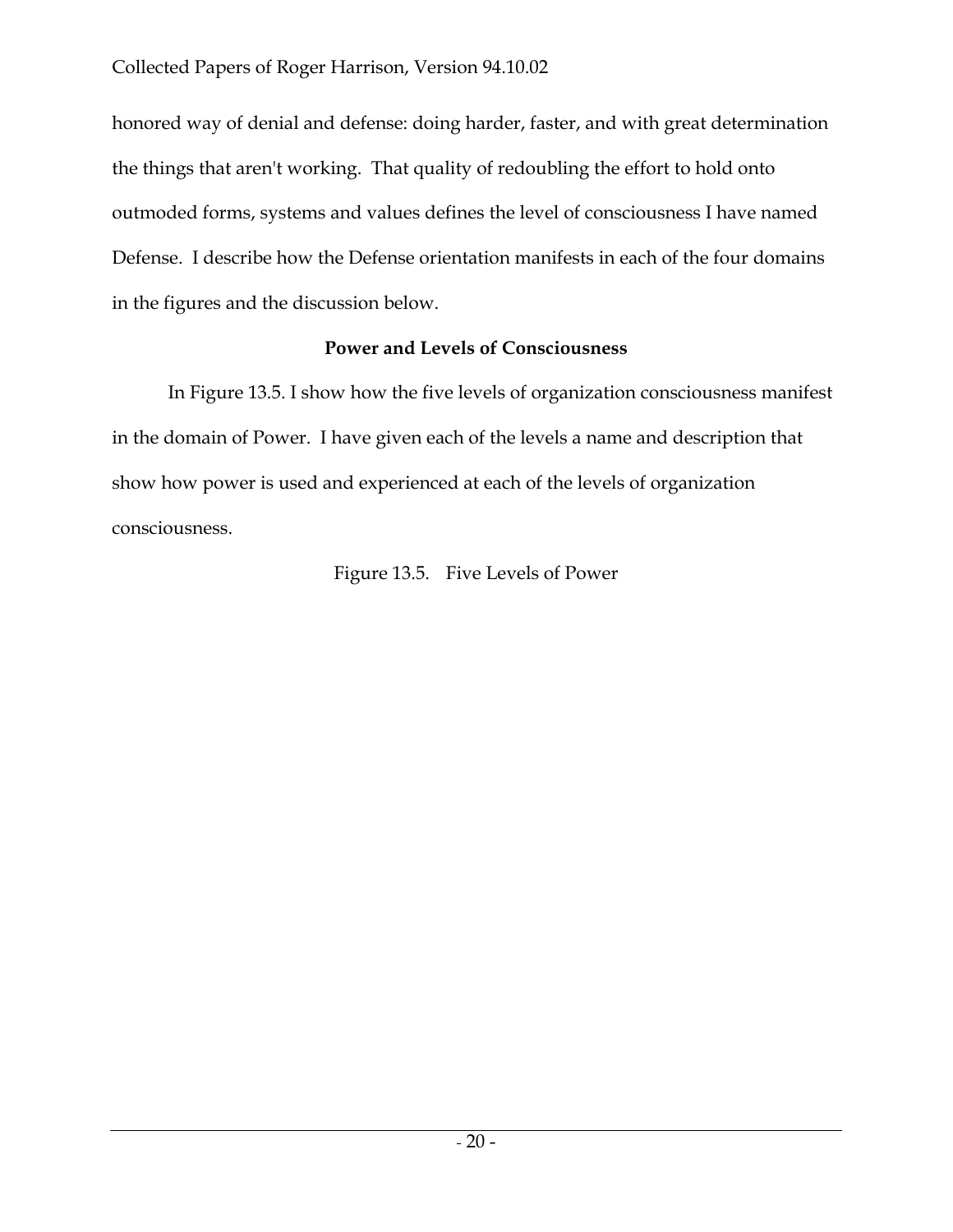honored way of denial and defense: doing harder, faster, and with great determination the things that aren't working. That quality of redoubling the effort to hold onto outmoded forms, systems and values defines the level of consciousness I have named Defense. I describe how the Defense orientation manifests in each of the four domains in the figures and the discussion below.

# **Power and Levels of Consciousness**

In Figure 13.5. I show how the five levels of organization consciousness manifest in the domain of Power. I have given each of the levels a name and description that show how power is used and experienced at each of the levels of organization consciousness.

Figure 13.5. Five Levels of Power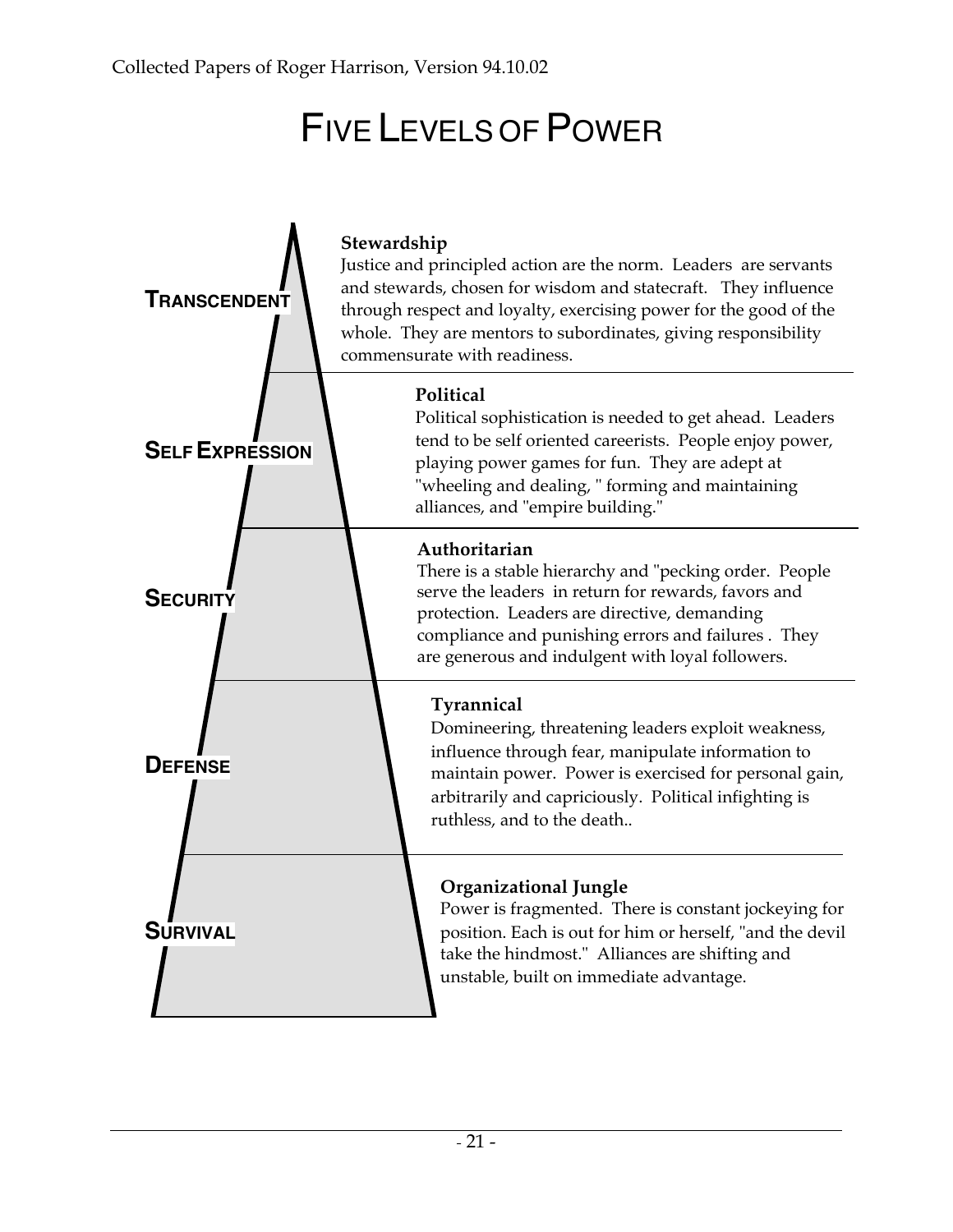# FIVE LEVELS OF POWER

| <b>TRANSCENDENT</b>    | Stewardship<br>Justice and principled action are the norm. Leaders are servants<br>and stewards, chosen for wisdom and statecraft. They influence<br>through respect and loyalty, exercising power for the good of the<br>whole. They are mentors to subordinates, giving responsibility<br>commensurate with readiness. |  |
|------------------------|--------------------------------------------------------------------------------------------------------------------------------------------------------------------------------------------------------------------------------------------------------------------------------------------------------------------------|--|
| <b>SELF EXPRESSION</b> | Political<br>Political sophistication is needed to get ahead. Leaders<br>tend to be self oriented careerists. People enjoy power,<br>playing power games for fun. They are adept at<br>"wheeling and dealing, " forming and maintaining<br>alliances, and "empire building."                                             |  |
| <b>SECURITY</b>        | Authoritarian<br>There is a stable hierarchy and "pecking order. People<br>serve the leaders in return for rewards, favors and<br>protection. Leaders are directive, demanding<br>compliance and punishing errors and failures. They<br>are generous and indulgent with loyal followers.                                 |  |
| <b>DEFENSE</b>         | Tyrannical<br>Domineering, threatening leaders exploit weakness,<br>influence through fear, manipulate information to<br>maintain power. Power is exercised for personal gain,<br>arbitrarily and capriciously. Political infighting is<br>ruthless, and to the death                                                    |  |
| <b>SURVIVAL</b>        | <b>Organizational Jungle</b><br>Power is fragmented. There is constant jockeying for<br>position. Each is out for him or herself, "and the devil<br>take the hindmost." Alliances are shifting and<br>unstable, built on immediate advantage.                                                                            |  |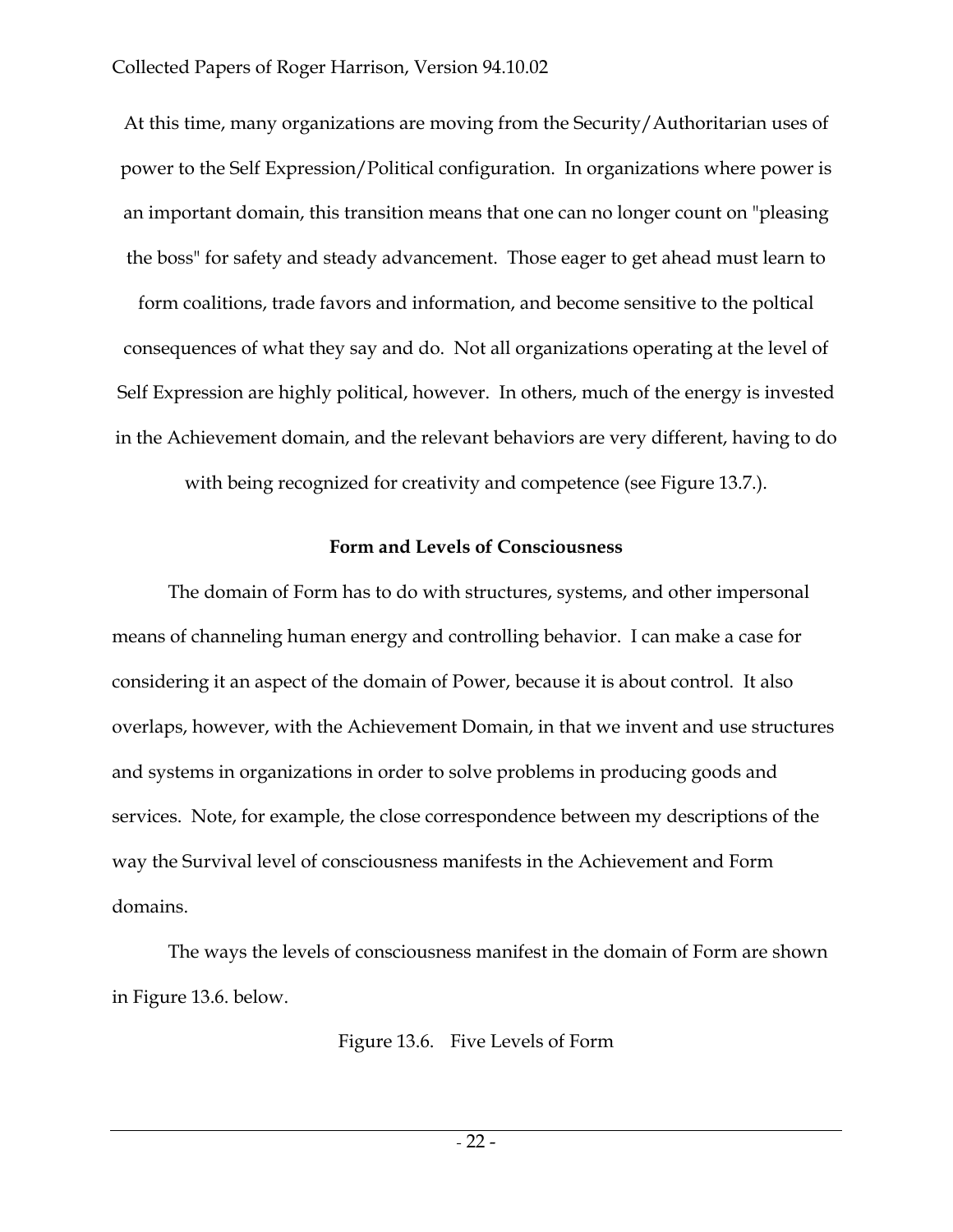At this time, many organizations are moving from the Security/Authoritarian uses of power to the Self Expression/Political configuration. In organizations where power is an important domain, this transition means that one can no longer count on "pleasing the boss" for safety and steady advancement. Those eager to get ahead must learn to

form coalitions, trade favors and information, and become sensitive to the poltical consequences of what they say and do. Not all organizations operating at the level of Self Expression are highly political, however. In others, much of the energy is invested in the Achievement domain, and the relevant behaviors are very different, having to do

with being recognized for creativity and competence (see Figure 13.7.).

#### **Form and Levels of Consciousness**

The domain of Form has to do with structures, systems, and other impersonal means of channeling human energy and controlling behavior. I can make a case for considering it an aspect of the domain of Power, because it is about control. It also overlaps, however, with the Achievement Domain, in that we invent and use structures and systems in organizations in order to solve problems in producing goods and services. Note, for example, the close correspondence between my descriptions of the way the Survival level of consciousness manifests in the Achievement and Form domains.

The ways the levels of consciousness manifest in the domain of Form are shown in Figure 13.6. below.

Figure 13.6. Five Levels of Form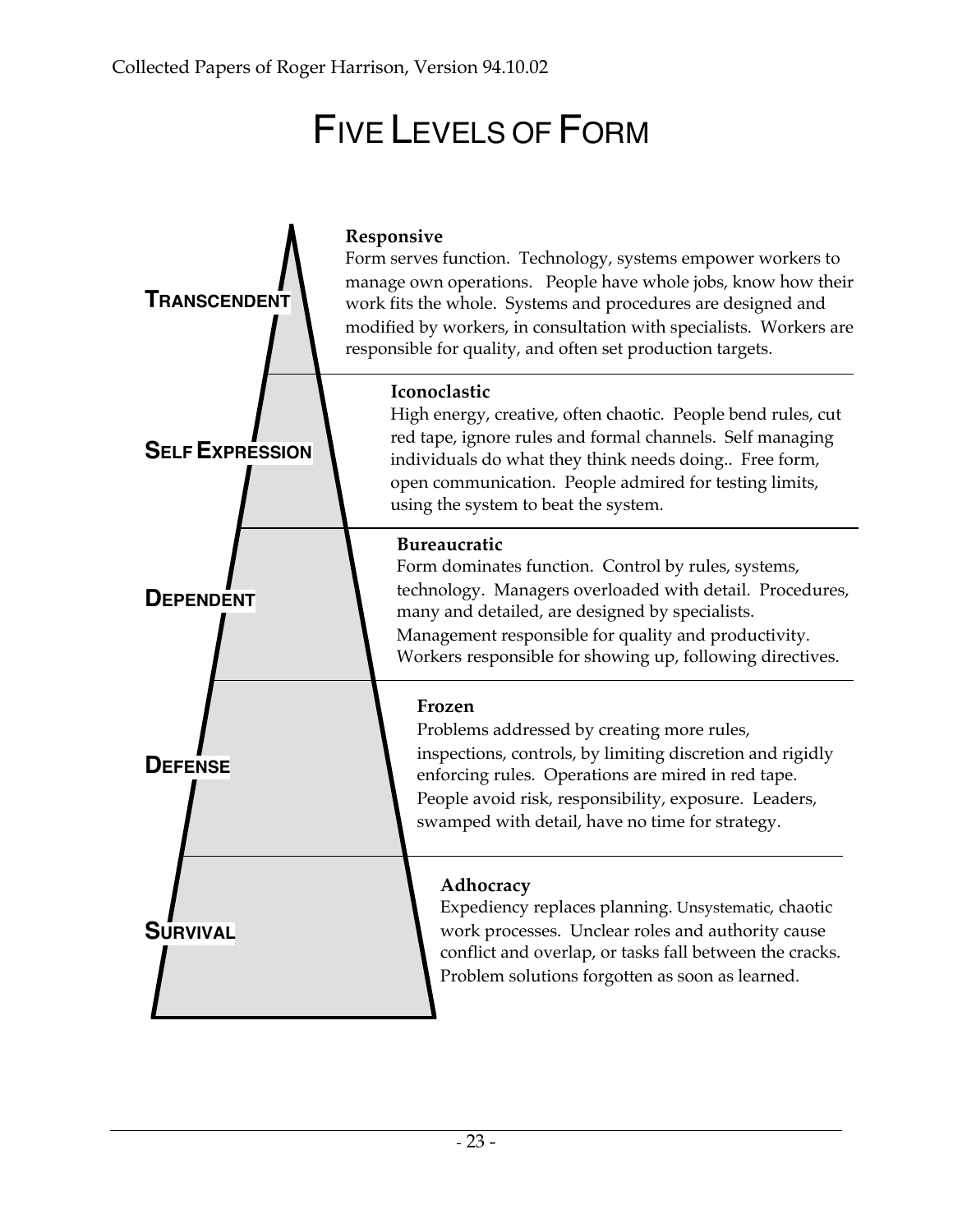# FIVE LEVELS OF FORM

| <b>TRANSCENDENT</b>    | Responsive<br>Form serves function. Technology, systems empower workers to<br>manage own operations. People have whole jobs, know how their<br>work fits the whole. Systems and procedures are designed and<br>modified by workers, in consultation with specialists. Workers are<br>responsible for quality, and often set production targets. |  |
|------------------------|-------------------------------------------------------------------------------------------------------------------------------------------------------------------------------------------------------------------------------------------------------------------------------------------------------------------------------------------------|--|
| <b>SELF EXPRESSION</b> | Iconoclastic<br>High energy, creative, often chaotic. People bend rules, cut<br>red tape, ignore rules and formal channels. Self managing<br>individuals do what they think needs doing Free form,<br>open communication. People admired for testing limits,<br>using the system to beat the system.                                            |  |
| <b>DEPENDENT</b>       | <b>Bureaucratic</b><br>Form dominates function. Control by rules, systems,<br>technology. Managers overloaded with detail. Procedures,<br>many and detailed, are designed by specialists.<br>Management responsible for quality and productivity.<br>Workers responsible for showing up, following directives.                                  |  |
| <b>DEFENSE</b>         | Frozen<br>Problems addressed by creating more rules,<br>inspections, controls, by limiting discretion and rigidly<br>enforcing rules. Operations are mired in red tape.<br>People avoid risk, responsibility, exposure. Leaders,<br>swamped with detail, have no time for strategy.                                                             |  |
| <b>SURVIVAL</b>        | Adhocracy<br>Expediency replaces planning. Unsystematic, chaotic<br>work processes. Unclear roles and authority cause<br>conflict and overlap, or tasks fall between the cracks.<br>Problem solutions forgotten as soon as learned.                                                                                                             |  |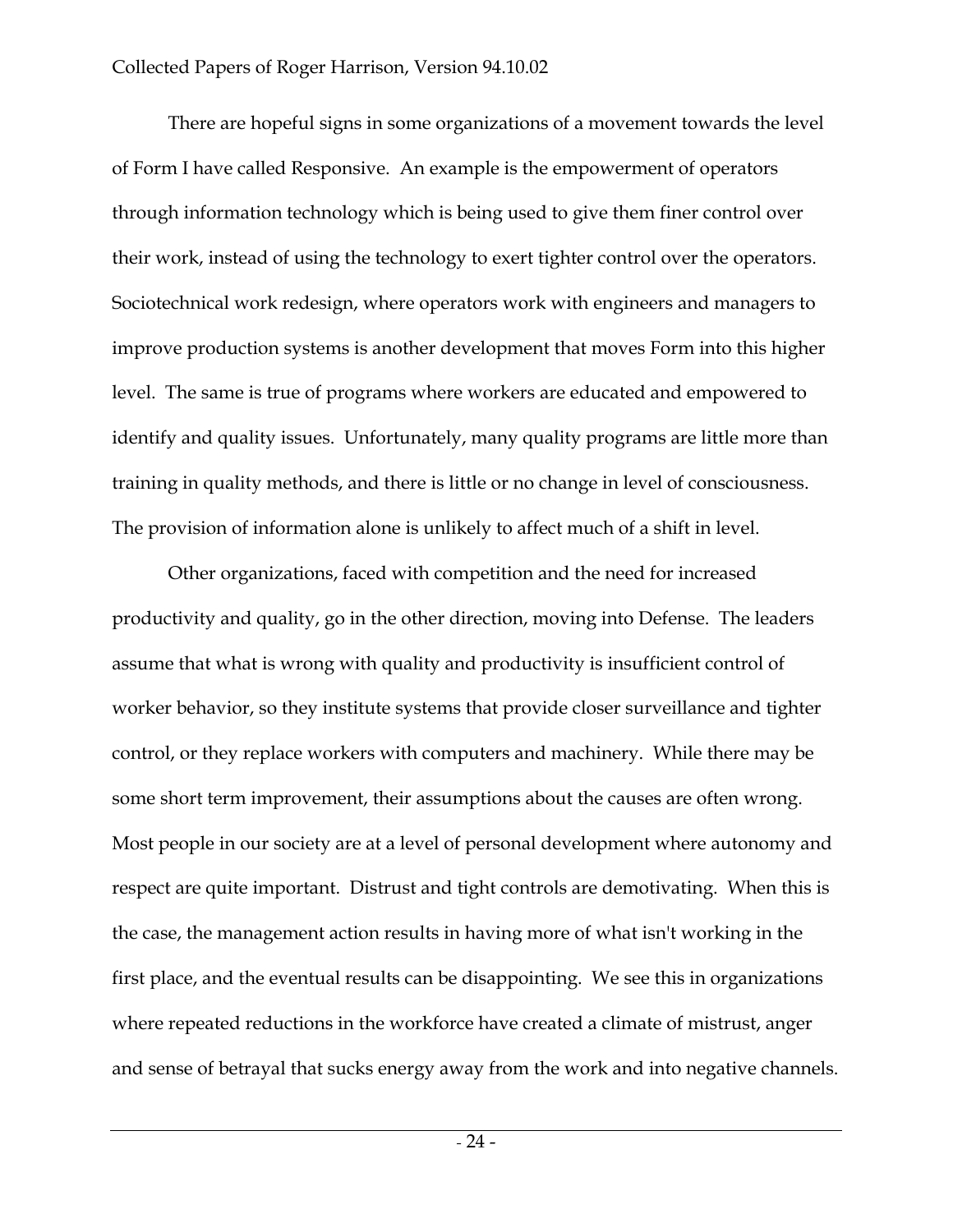There are hopeful signs in some organizations of a movement towards the level of Form I have called Responsive. An example is the empowerment of operators through information technology which is being used to give them finer control over their work, instead of using the technology to exert tighter control over the operators. Sociotechnical work redesign, where operators work with engineers and managers to improve production systems is another development that moves Form into this higher level. The same is true of programs where workers are educated and empowered to identify and quality issues. Unfortunately, many quality programs are little more than training in quality methods, and there is little or no change in level of consciousness. The provision of information alone is unlikely to affect much of a shift in level.

Other organizations, faced with competition and the need for increased productivity and quality, go in the other direction, moving into Defense. The leaders assume that what is wrong with quality and productivity is insufficient control of worker behavior, so they institute systems that provide closer surveillance and tighter control, or they replace workers with computers and machinery. While there may be some short term improvement, their assumptions about the causes are often wrong. Most people in our society are at a level of personal development where autonomy and respect are quite important. Distrust and tight controls are demotivating. When this is the case, the management action results in having more of what isn't working in the first place, and the eventual results can be disappointing. We see this in organizations where repeated reductions in the workforce have created a climate of mistrust, anger and sense of betrayal that sucks energy away from the work and into negative channels.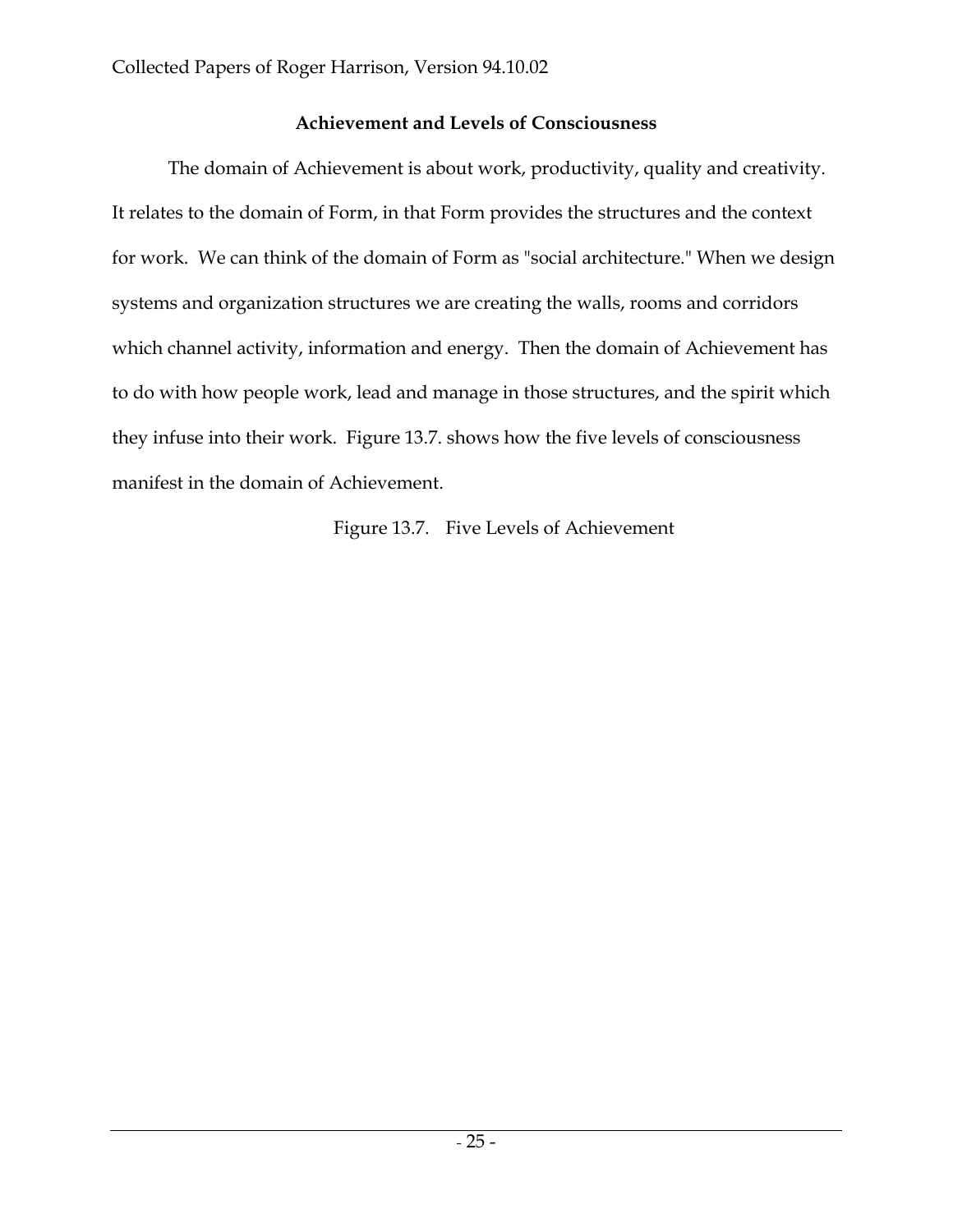# **Achievement and Levels of Consciousness**

The domain of Achievement is about work, productivity, quality and creativity. It relates to the domain of Form, in that Form provides the structures and the context for work. We can think of the domain of Form as "social architecture." When we design systems and organization structures we are creating the walls, rooms and corridors which channel activity, information and energy. Then the domain of Achievement has to do with how people work, lead and manage in those structures, and the spirit which they infuse into their work. Figure 13.7. shows how the five levels of consciousness manifest in the domain of Achievement.

Figure 13.7. Five Levels of Achievement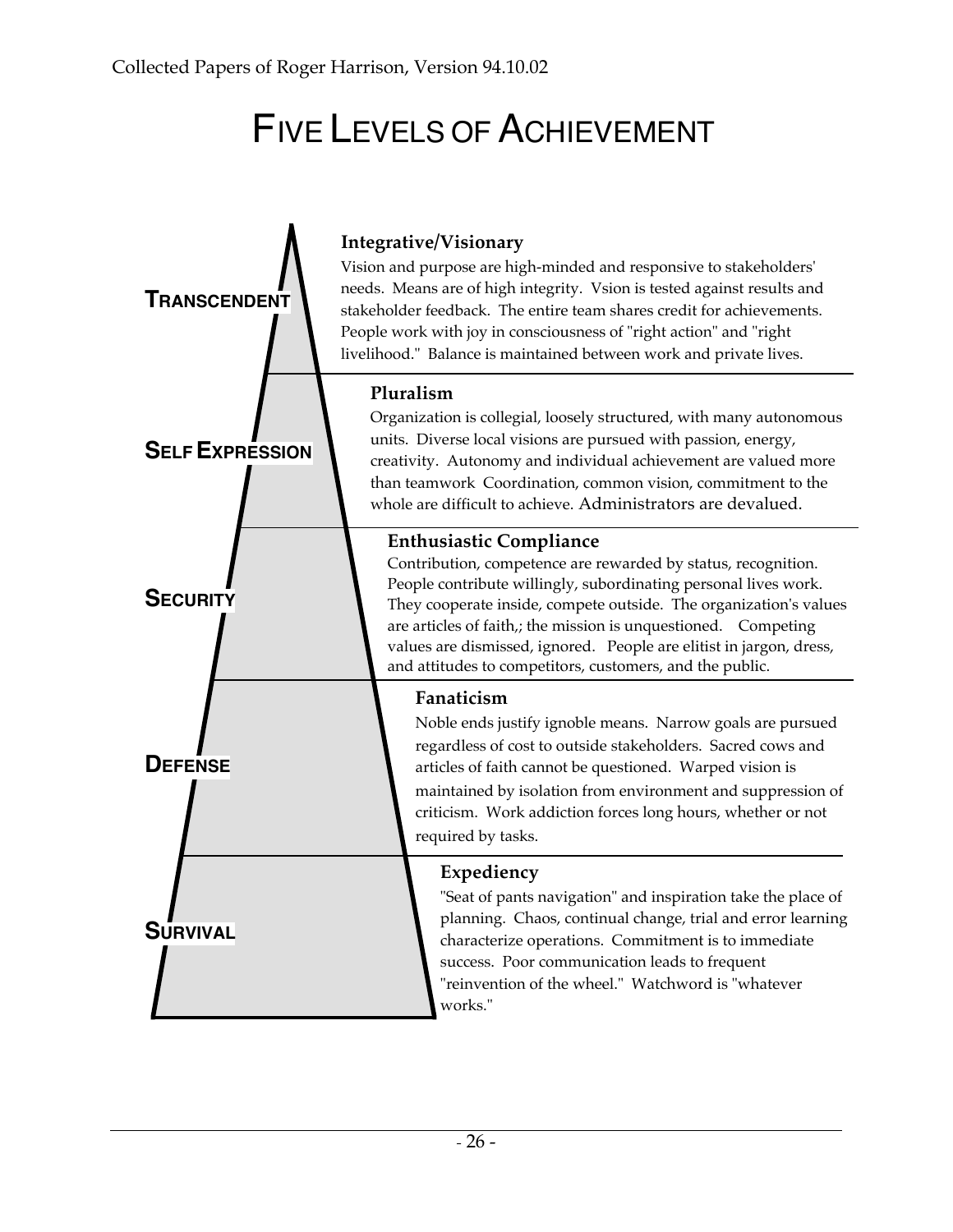# FIVE LEVELS OF ACHIEVEMENT

| <b>TRANSCENDENT</b>    | Integrative/Visionary<br>Vision and purpose are high-minded and responsive to stakeholders'<br>needs. Means are of high integrity. Vsion is tested against results and<br>stakeholder feedback. The entire team shares credit for achievements.<br>People work with joy in consciousness of "right action" and "right<br>livelihood." Balance is maintained between work and private lives.                                                  |
|------------------------|----------------------------------------------------------------------------------------------------------------------------------------------------------------------------------------------------------------------------------------------------------------------------------------------------------------------------------------------------------------------------------------------------------------------------------------------|
| <b>SELF EXPRESSION</b> | Pluralism<br>Organization is collegial, loosely structured, with many autonomous<br>units. Diverse local visions are pursued with passion, energy,<br>creativity. Autonomy and individual achievement are valued more<br>than teamwork Coordination, common vision, commitment to the<br>whole are difficult to achieve. Administrators are devalued.                                                                                        |
| <b>SECURITY</b>        | <b>Enthusiastic Compliance</b><br>Contribution, competence are rewarded by status, recognition.<br>People contribute willingly, subordinating personal lives work.<br>They cooperate inside, compete outside. The organization's values<br>are articles of faith,; the mission is unquestioned. Competing<br>values are dismissed, ignored. People are elitist in jargon, dress,<br>and attitudes to competitors, customers, and the public. |
| <b>DEFENSE</b>         | Fanaticism<br>Noble ends justify ignoble means. Narrow goals are pursued<br>regardless of cost to outside stakeholders. Sacred cows and<br>articles of faith cannot be questioned. Warped vision is<br>maintained by isolation from environment and suppression of<br>criticism. Work addiction forces long hours, whether or not<br>required by tasks.                                                                                      |
| <b>SURVIVAL</b>        | Expediency<br>"Seat of pants navigation" and inspiration take the place of<br>planning. Chaos, continual change, trial and error learning<br>characterize operations. Commitment is to immediate<br>success. Poor communication leads to frequent<br>"reinvention of the wheel." Watchword is "whatever<br>works."                                                                                                                           |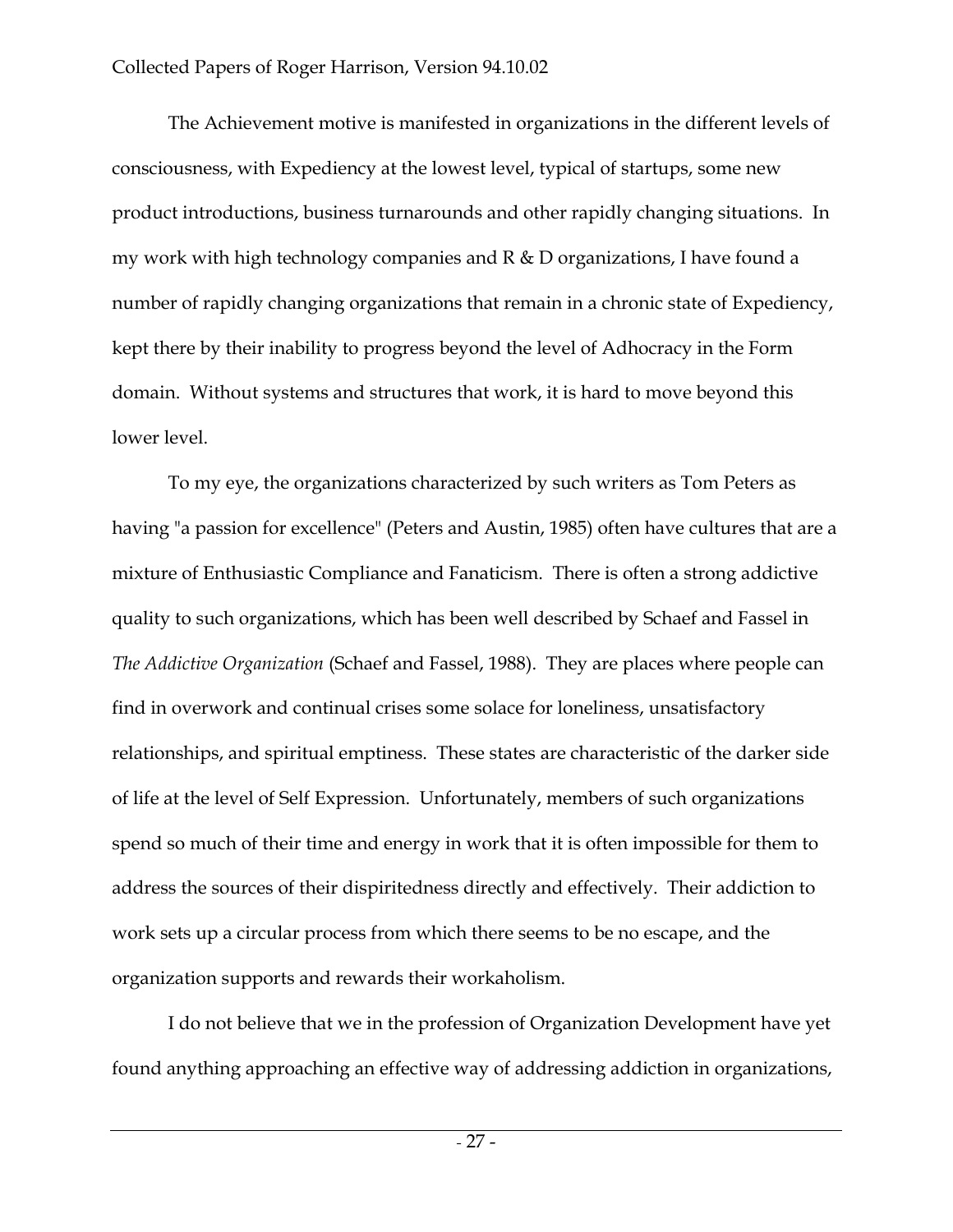The Achievement motive is manifested in organizations in the different levels of consciousness, with Expediency at the lowest level, typical of startups, some new product introductions, business turnarounds and other rapidly changing situations. In my work with high technology companies and  $R \& D$  organizations, I have found a number of rapidly changing organizations that remain in a chronic state of Expediency, kept there by their inability to progress beyond the level of Adhocracy in the Form domain. Without systems and structures that work, it is hard to move beyond this lower level.

To my eye, the organizations characterized by such writers as Tom Peters as having "a passion for excellence" (Peters and Austin, 1985) often have cultures that are a mixture of Enthusiastic Compliance and Fanaticism. There is often a strong addictive quality to such organizations, which has been well described by Schaef and Fassel in *The Addictive Organization* (Schaef and Fassel, 1988). They are places where people can find in overwork and continual crises some solace for loneliness, unsatisfactory relationships, and spiritual emptiness. These states are characteristic of the darker side of life at the level of Self Expression. Unfortunately, members of such organizations spend so much of their time and energy in work that it is often impossible for them to address the sources of their dispiritedness directly and effectively. Their addiction to work sets up a circular process from which there seems to be no escape, and the organization supports and rewards their workaholism.

I do not believe that we in the profession of Organization Development have yet found anything approaching an effective way of addressing addiction in organizations,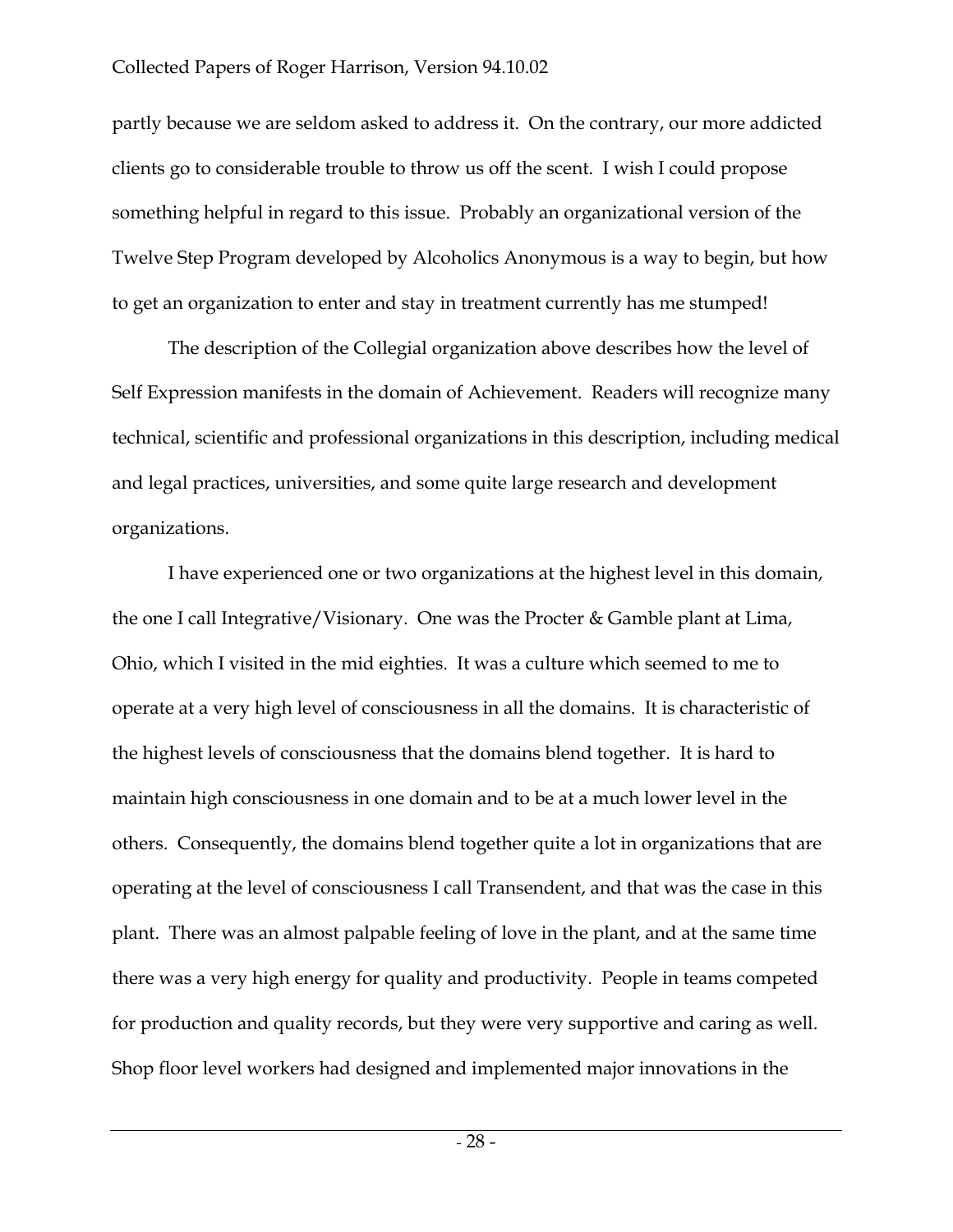partly because we are seldom asked to address it. On the contrary, our more addicted clients go to considerable trouble to throw us off the scent. I wish I could propose something helpful in regard to this issue. Probably an organizational version of the Twelve Step Program developed by Alcoholics Anonymous is a way to begin, but how to get an organization to enter and stay in treatment currently has me stumped!

The description of the Collegial organization above describes how the level of Self Expression manifests in the domain of Achievement. Readers will recognize many technical, scientific and professional organizations in this description, including medical and legal practices, universities, and some quite large research and development organizations.

I have experienced one or two organizations at the highest level in this domain, the one I call Integrative/Visionary. One was the Procter & Gamble plant at Lima, Ohio, which I visited in the mid eighties. It was a culture which seemed to me to operate at a very high level of consciousness in all the domains. It is characteristic of the highest levels of consciousness that the domains blend together. It is hard to maintain high consciousness in one domain and to be at a much lower level in the others. Consequently, the domains blend together quite a lot in organizations that are operating at the level of consciousness I call Transendent, and that was the case in this plant. There was an almost palpable feeling of love in the plant, and at the same time there was a very high energy for quality and productivity. People in teams competed for production and quality records, but they were very supportive and caring as well. Shop floor level workers had designed and implemented major innovations in the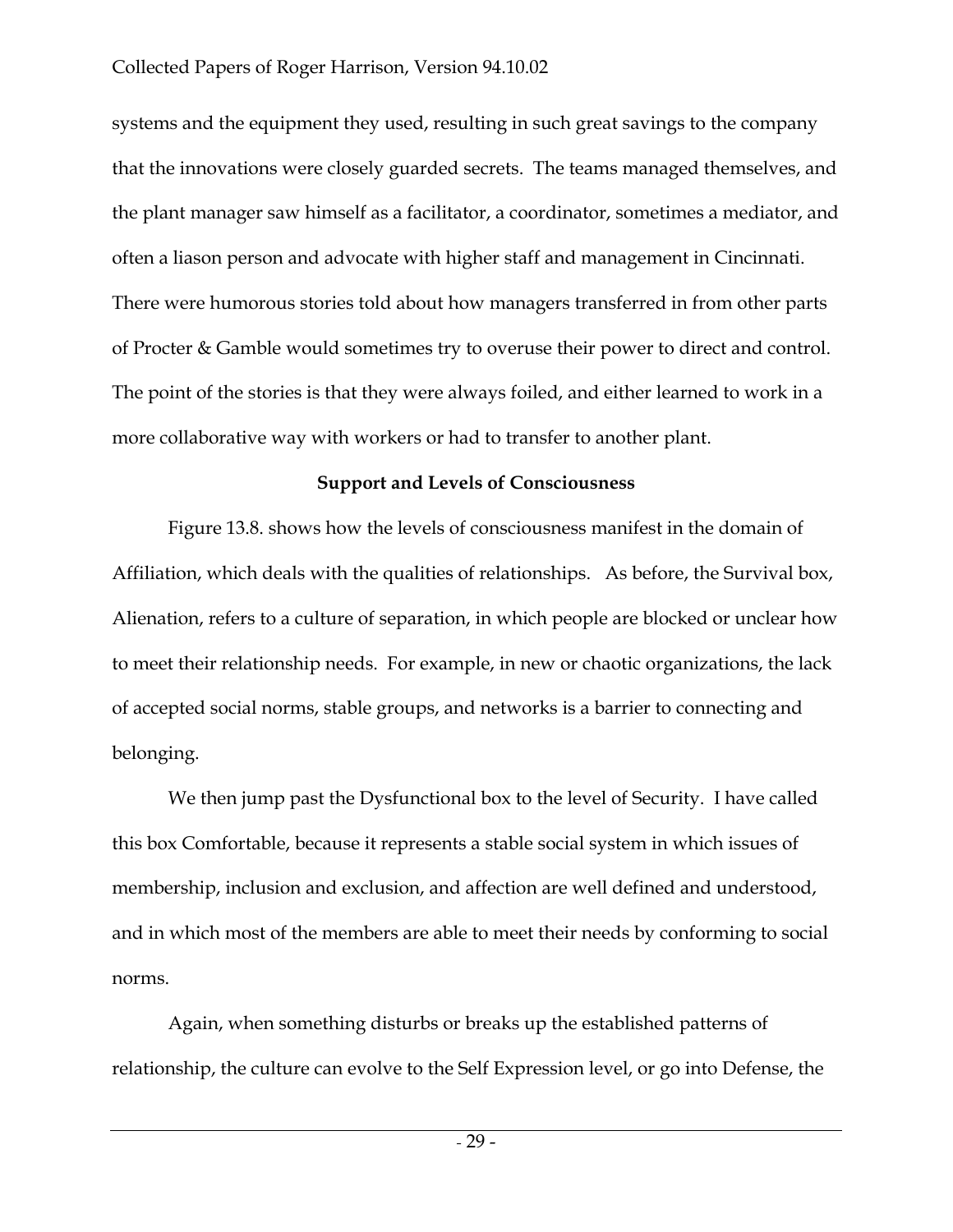systems and the equipment they used, resulting in such great savings to the company that the innovations were closely guarded secrets. The teams managed themselves, and the plant manager saw himself as a facilitator, a coordinator, sometimes a mediator, and often a liason person and advocate with higher staff and management in Cincinnati. There were humorous stories told about how managers transferred in from other parts of Procter & Gamble would sometimes try to overuse their power to direct and control. The point of the stories is that they were always foiled, and either learned to work in a more collaborative way with workers or had to transfer to another plant.

#### **Support and Levels of Consciousness**

Figure 13.8. shows how the levels of consciousness manifest in the domain of Affiliation, which deals with the qualities of relationships. As before, the Survival box, Alienation, refers to a culture of separation, in which people are blocked or unclear how to meet their relationship needs. For example, in new or chaotic organizations, the lack of accepted social norms, stable groups, and networks is a barrier to connecting and belonging.

We then jump past the Dysfunctional box to the level of Security. I have called this box Comfortable, because it represents a stable social system in which issues of membership, inclusion and exclusion, and affection are well defined and understood, and in which most of the members are able to meet their needs by conforming to social norms.

Again, when something disturbs or breaks up the established patterns of relationship, the culture can evolve to the Self Expression level, or go into Defense, the

*-* 29 -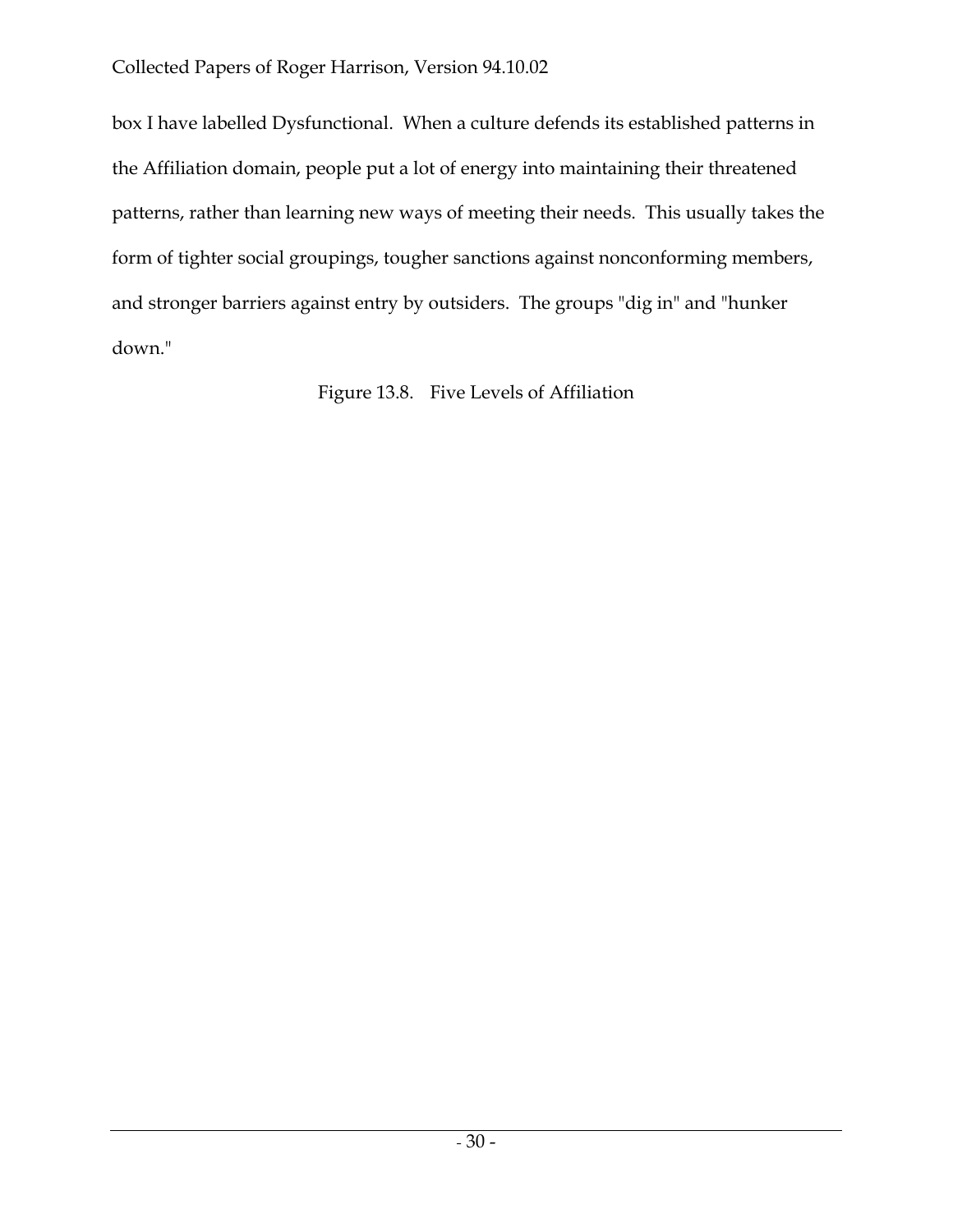box I have labelled Dysfunctional. When a culture defends its established patterns in the Affiliation domain, people put a lot of energy into maintaining their threatened patterns, rather than learning new ways of meeting their needs. This usually takes the form of tighter social groupings, tougher sanctions against nonconforming members, and stronger barriers against entry by outsiders. The groups "dig in" and "hunker down."

Figure 13.8. Five Levels of Affiliation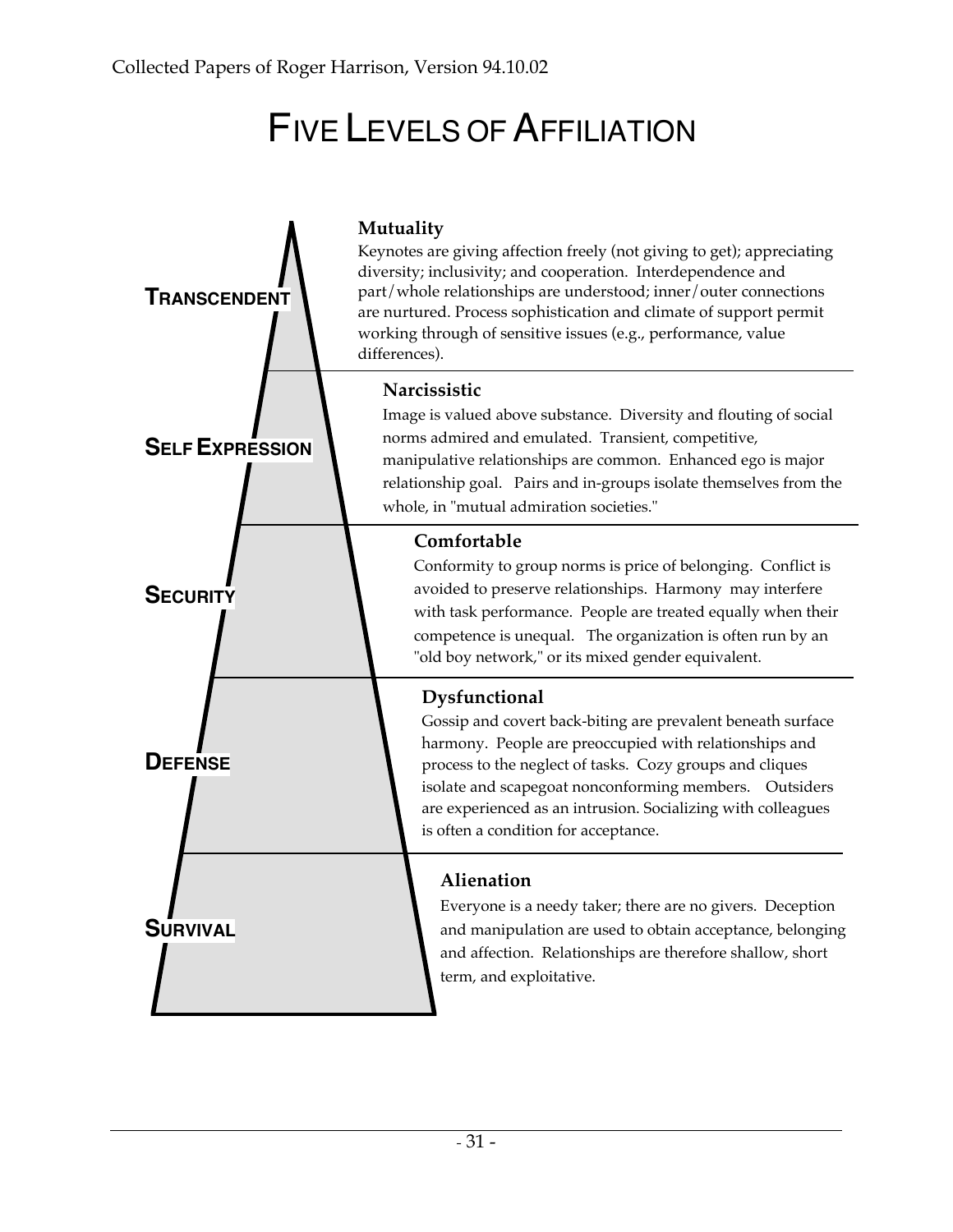# FIVE LEVELS OF AFFILIATION

| <b>TRANSCENDENT</b>    | Mutuality<br>Keynotes are giving affection freely (not giving to get); appreciating<br>diversity; inclusivity; and cooperation. Interdependence and<br>part/whole relationships are understood; inner/outer connections<br>are nurtured. Process sophistication and climate of support permit<br>working through of sensitive issues (e.g., performance, value<br>differences). |  |
|------------------------|---------------------------------------------------------------------------------------------------------------------------------------------------------------------------------------------------------------------------------------------------------------------------------------------------------------------------------------------------------------------------------|--|
| <b>SELF EXPRESSION</b> | Narcissistic<br>Image is valued above substance. Diversity and flouting of social<br>norms admired and emulated. Transient, competitive,<br>manipulative relationships are common. Enhanced ego is major<br>relationship goal. Pairs and in-groups isolate themselves from the<br>whole, in "mutual admiration societies."                                                      |  |
| <b>SECURITY</b>        | Comfortable<br>Conformity to group norms is price of belonging. Conflict is<br>avoided to preserve relationships. Harmony may interfere<br>with task performance. People are treated equally when their<br>competence is unequal. The organization is often run by an<br>"old boy network," or its mixed gender equivalent.                                                     |  |
| <b>DEFENSE</b>         | Dysfunctional<br>Gossip and covert back-biting are prevalent beneath surface<br>harmony. People are preoccupied with relationships and<br>process to the neglect of tasks. Cozy groups and cliques<br>isolate and scapegoat nonconforming members.  Outsiders<br>are experienced as an intrusion. Socializing with colleagues<br>is often a condition for acceptance.           |  |
| <b>SURVIVAL</b>        | Alienation<br>Everyone is a needy taker; there are no givers. Deception<br>and manipulation are used to obtain acceptance, belonging<br>and affection. Relationships are therefore shallow, short<br>term, and exploitative.                                                                                                                                                    |  |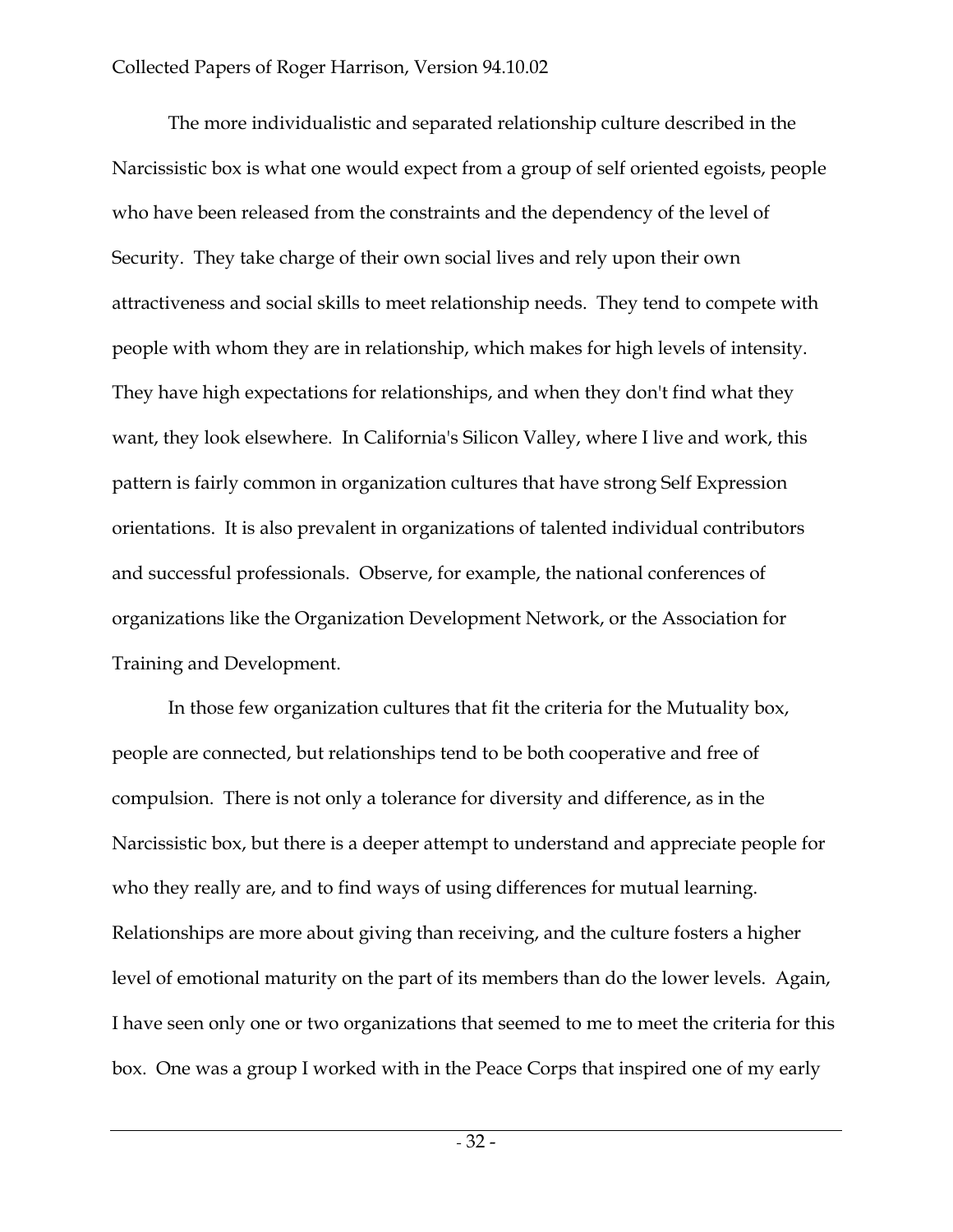The more individualistic and separated relationship culture described in the Narcissistic box is what one would expect from a group of self oriented egoists, people who have been released from the constraints and the dependency of the level of Security. They take charge of their own social lives and rely upon their own attractiveness and social skills to meet relationship needs. They tend to compete with people with whom they are in relationship, which makes for high levels of intensity. They have high expectations for relationships, and when they don't find what they want, they look elsewhere. In California's Silicon Valley, where I live and work, this pattern is fairly common in organization cultures that have strong Self Expression orientations. It is also prevalent in organizations of talented individual contributors and successful professionals. Observe, for example, the national conferences of organizations like the Organization Development Network, or the Association for Training and Development.

In those few organization cultures that fit the criteria for the Mutuality box, people are connected, but relationships tend to be both cooperative and free of compulsion. There is not only a tolerance for diversity and difference, as in the Narcissistic box, but there is a deeper attempt to understand and appreciate people for who they really are, and to find ways of using differences for mutual learning. Relationships are more about giving than receiving, and the culture fosters a higher level of emotional maturity on the part of its members than do the lower levels. Again, I have seen only one or two organizations that seemed to me to meet the criteria for this box. One was a group I worked with in the Peace Corps that inspired one of my early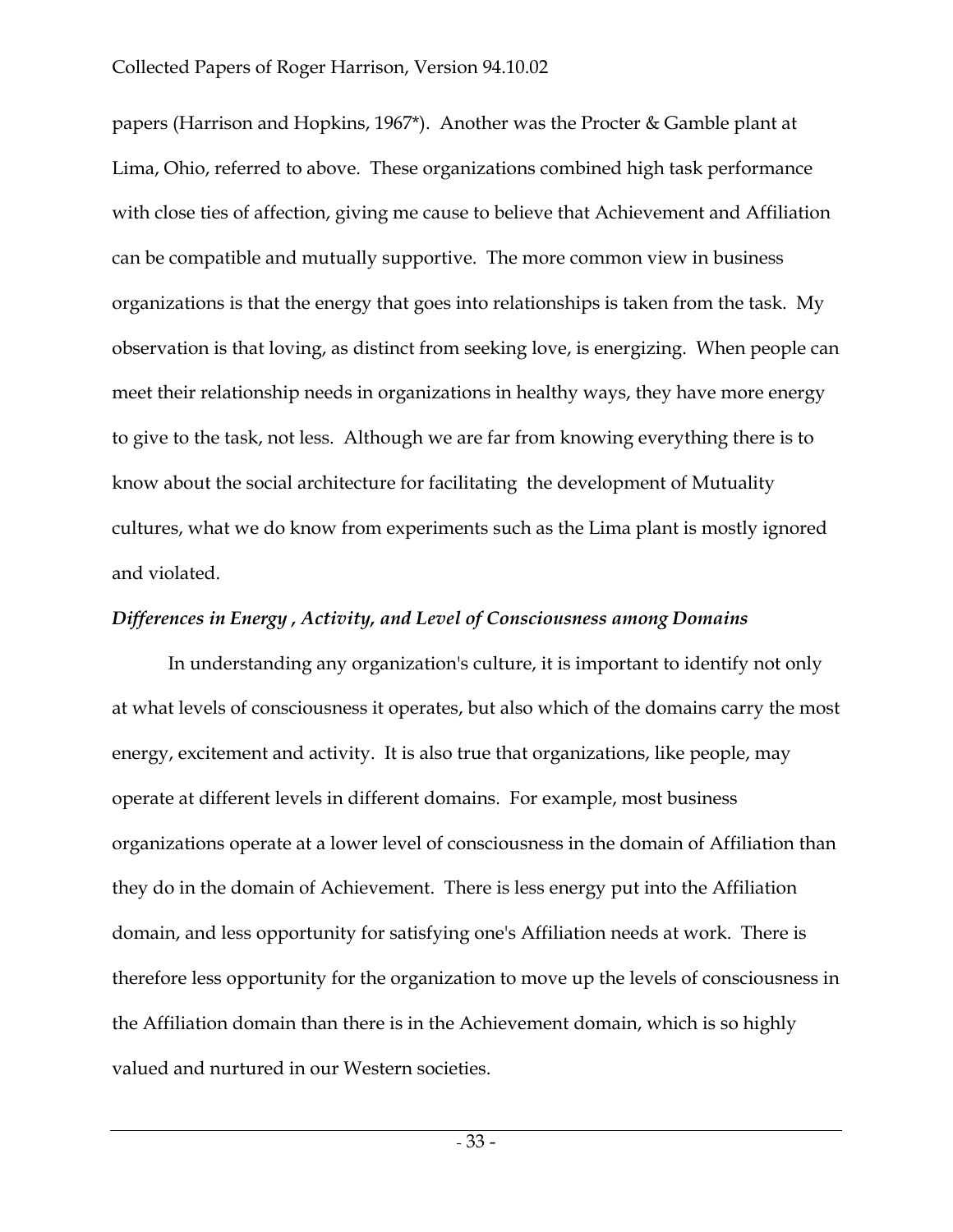papers (Harrison and Hopkins, 1967\*). Another was the Procter & Gamble plant at Lima, Ohio, referred to above. These organizations combined high task performance with close ties of affection, giving me cause to believe that Achievement and Affiliation can be compatible and mutually supportive. The more common view in business organizations is that the energy that goes into relationships is taken from the task. My observation is that loving, as distinct from seeking love, is energizing. When people can meet their relationship needs in organizations in healthy ways, they have more energy to give to the task, not less. Although we are far from knowing everything there is to know about the social architecture for facilitating the development of Mutuality cultures, what we do know from experiments such as the Lima plant is mostly ignored and violated.

#### *Differences in Energy , Activity, and Level of Consciousness among Domains*

In understanding any organization's culture, it is important to identify not only at what levels of consciousness it operates, but also which of the domains carry the most energy, excitement and activity. It is also true that organizations, like people, may operate at different levels in different domains. For example, most business organizations operate at a lower level of consciousness in the domain of Affiliation than they do in the domain of Achievement. There is less energy put into the Affiliation domain, and less opportunity for satisfying one's Affiliation needs at work. There is therefore less opportunity for the organization to move up the levels of consciousness in the Affiliation domain than there is in the Achievement domain, which is so highly valued and nurtured in our Western societies.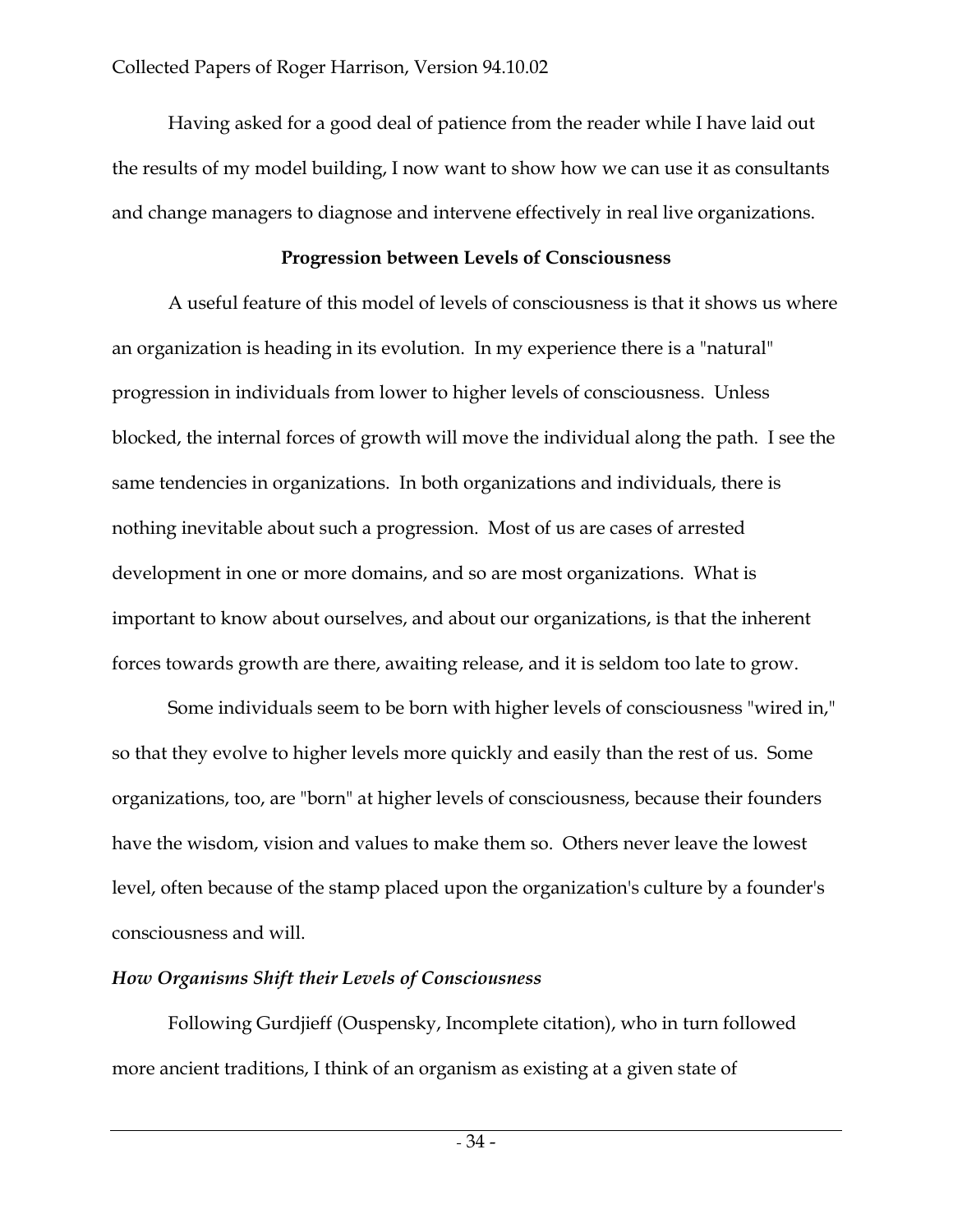Having asked for a good deal of patience from the reader while I have laid out the results of my model building, I now want to show how we can use it as consultants and change managers to diagnose and intervene effectively in real live organizations.

# **Progression between Levels of Consciousness**

A useful feature of this model of levels of consciousness is that it shows us where an organization is heading in its evolution. In my experience there is a "natural" progression in individuals from lower to higher levels of consciousness. Unless blocked, the internal forces of growth will move the individual along the path. I see the same tendencies in organizations. In both organizations and individuals, there is nothing inevitable about such a progression. Most of us are cases of arrested development in one or more domains, and so are most organizations. What is important to know about ourselves, and about our organizations, is that the inherent forces towards growth are there, awaiting release, and it is seldom too late to grow.

Some individuals seem to be born with higher levels of consciousness "wired in," so that they evolve to higher levels more quickly and easily than the rest of us. Some organizations, too, are "born" at higher levels of consciousness, because their founders have the wisdom, vision and values to make them so. Others never leave the lowest level, often because of the stamp placed upon the organization's culture by a founder's consciousness and will.

# *How Organisms Shift their Levels of Consciousness*

Following Gurdjieff (Ouspensky, Incomplete citation), who in turn followed more ancient traditions, I think of an organism as existing at a given state of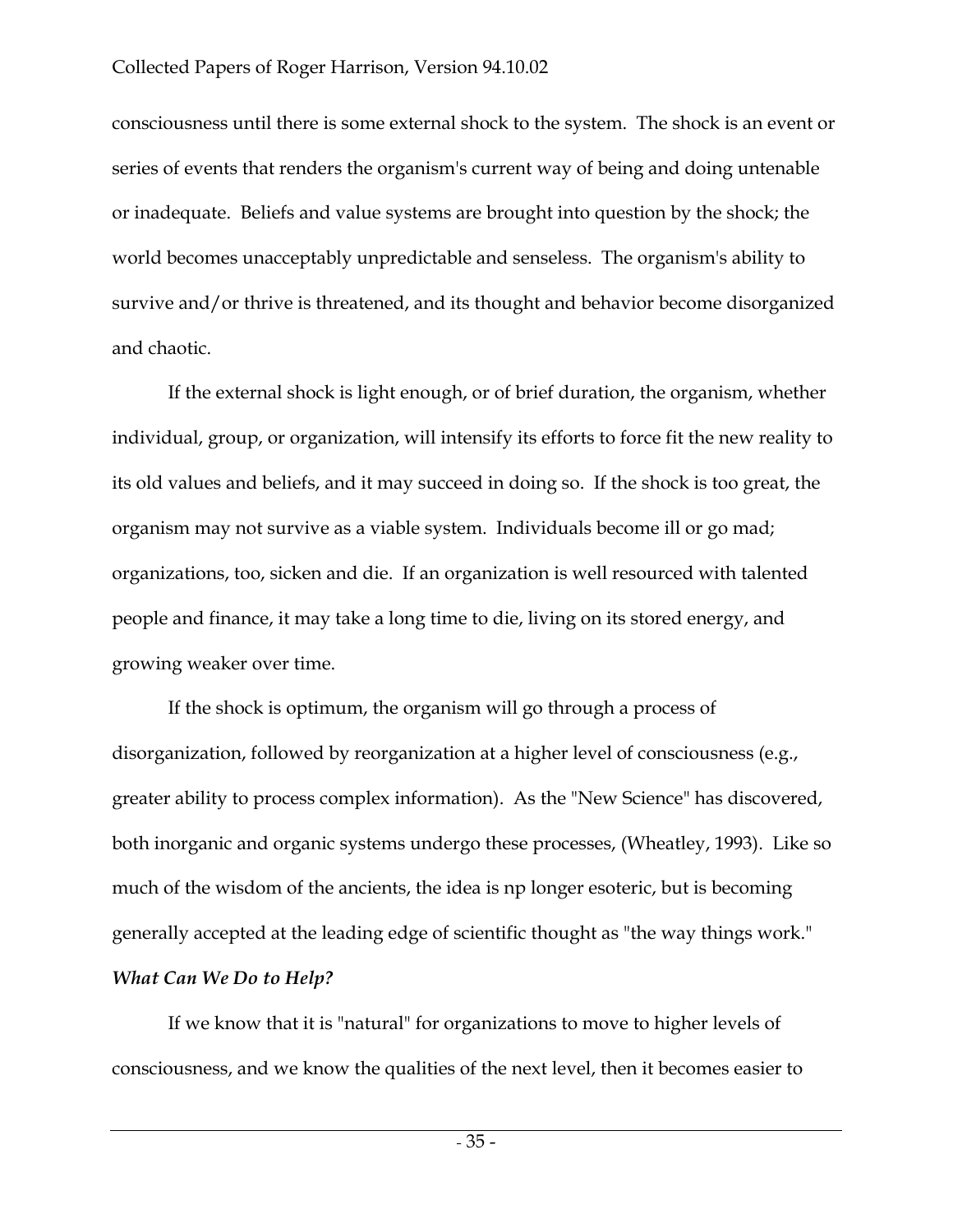consciousness until there is some external shock to the system. The shock is an event or series of events that renders the organism's current way of being and doing untenable or inadequate. Beliefs and value systems are brought into question by the shock; the world becomes unacceptably unpredictable and senseless. The organism's ability to survive and/or thrive is threatened, and its thought and behavior become disorganized and chaotic.

If the external shock is light enough, or of brief duration, the organism, whether individual, group, or organization, will intensify its efforts to force fit the new reality to its old values and beliefs, and it may succeed in doing so. If the shock is too great, the organism may not survive as a viable system. Individuals become ill or go mad; organizations, too, sicken and die. If an organization is well resourced with talented people and finance, it may take a long time to die, living on its stored energy, and growing weaker over time.

If the shock is optimum, the organism will go through a process of disorganization, followed by reorganization at a higher level of consciousness (e.g., greater ability to process complex information). As the "New Science" has discovered, both inorganic and organic systems undergo these processes, (Wheatley, 1993). Like so much of the wisdom of the ancients, the idea is np longer esoteric, but is becoming generally accepted at the leading edge of scientific thought as "the way things work."

#### *What Can We Do to Help?*

If we know that it is "natural" for organizations to move to higher levels of consciousness, and we know the qualities of the next level, then it becomes easier to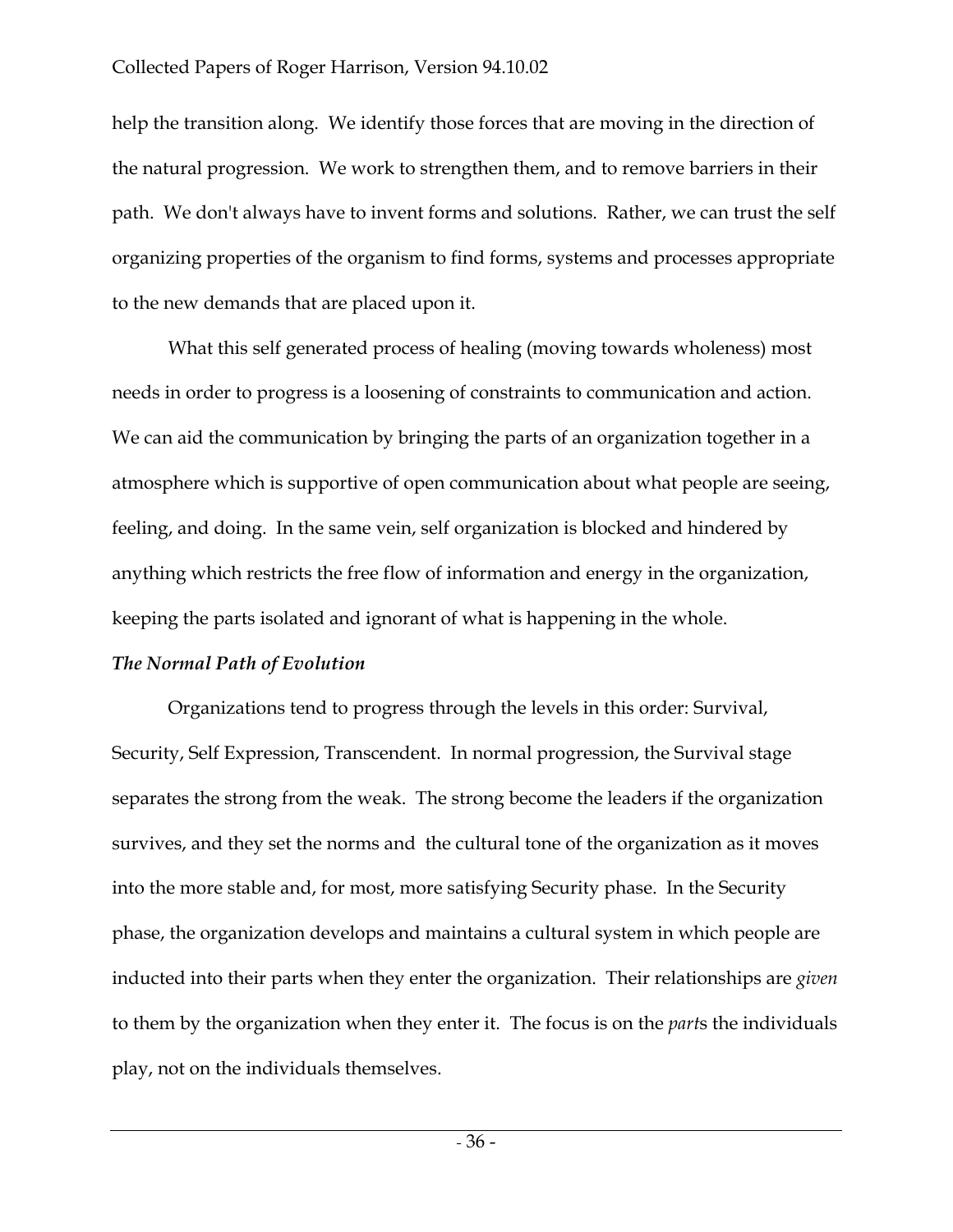help the transition along. We identify those forces that are moving in the direction of the natural progression. We work to strengthen them, and to remove barriers in their path. We don't always have to invent forms and solutions. Rather, we can trust the self organizing properties of the organism to find forms, systems and processes appropriate to the new demands that are placed upon it.

What this self generated process of healing (moving towards wholeness) most needs in order to progress is a loosening of constraints to communication and action. We can aid the communication by bringing the parts of an organization together in a atmosphere which is supportive of open communication about what people are seeing, feeling, and doing. In the same vein, self organization is blocked and hindered by anything which restricts the free flow of information and energy in the organization, keeping the parts isolated and ignorant of what is happening in the whole.

#### *The Normal Path of Evolution*

Organizations tend to progress through the levels in this order: Survival, Security, Self Expression, Transcendent. In normal progression, the Survival stage separates the strong from the weak. The strong become the leaders if the organization survives, and they set the norms and the cultural tone of the organization as it moves into the more stable and, for most, more satisfying Security phase. In the Security phase, the organization develops and maintains a cultural system in which people are inducted into their parts when they enter the organization. Their relationships are *given* to them by the organization when they enter it. The focus is on the *part*s the individuals play, not on the individuals themselves.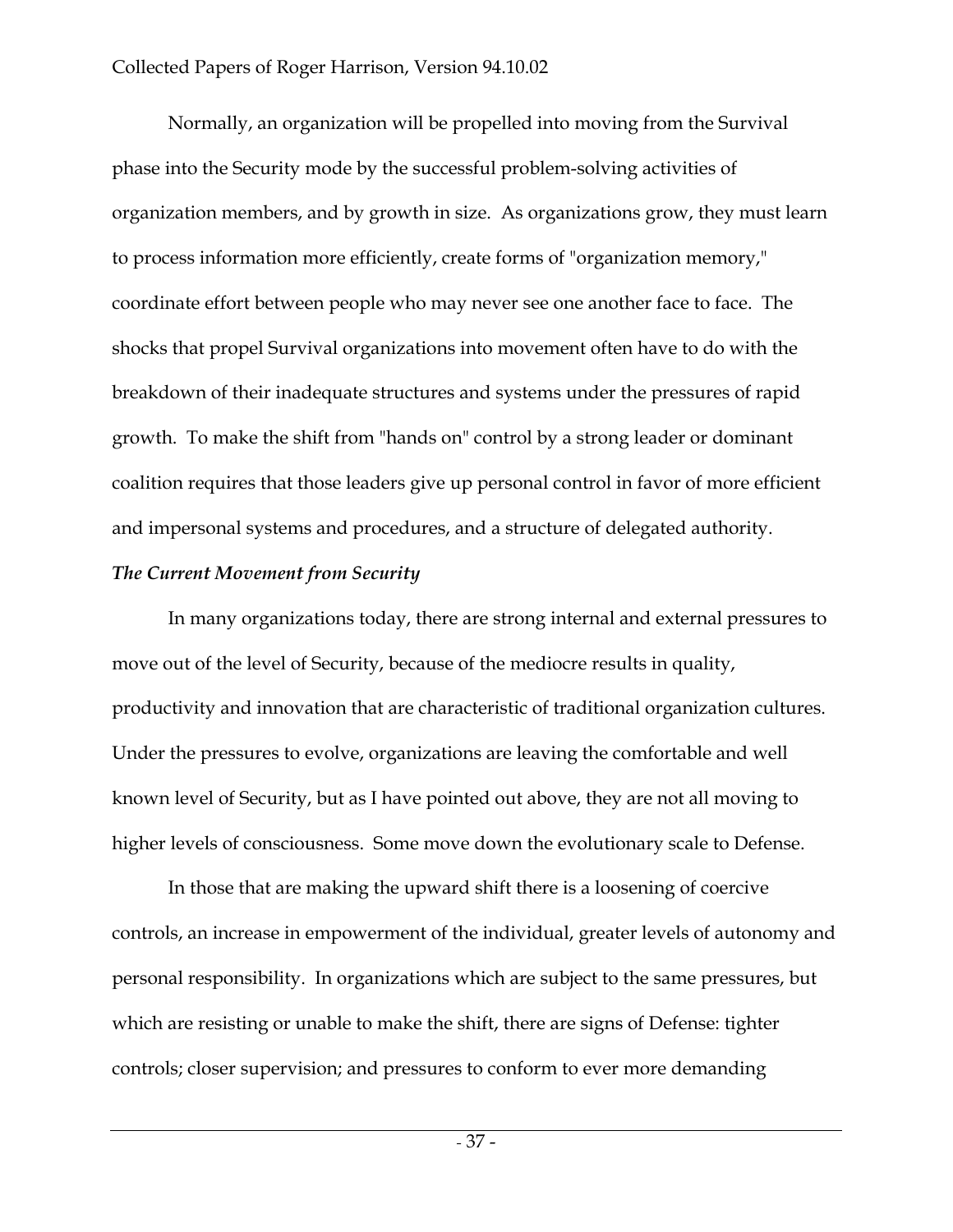Normally, an organization will be propelled into moving from the Survival phase into the Security mode by the successful problem-solving activities of organization members, and by growth in size. As organizations grow, they must learn to process information more efficiently, create forms of "organization memory," coordinate effort between people who may never see one another face to face. The shocks that propel Survival organizations into movement often have to do with the breakdown of their inadequate structures and systems under the pressures of rapid growth. To make the shift from "hands on" control by a strong leader or dominant coalition requires that those leaders give up personal control in favor of more efficient and impersonal systems and procedures, and a structure of delegated authority.

#### *The Current Movement from Security*

In many organizations today, there are strong internal and external pressures to move out of the level of Security, because of the mediocre results in quality, productivity and innovation that are characteristic of traditional organization cultures. Under the pressures to evolve, organizations are leaving the comfortable and well known level of Security, but as I have pointed out above, they are not all moving to higher levels of consciousness. Some move down the evolutionary scale to Defense.

In those that are making the upward shift there is a loosening of coercive controls, an increase in empowerment of the individual, greater levels of autonomy and personal responsibility. In organizations which are subject to the same pressures, but which are resisting or unable to make the shift, there are signs of Defense: tighter controls; closer supervision; and pressures to conform to ever more demanding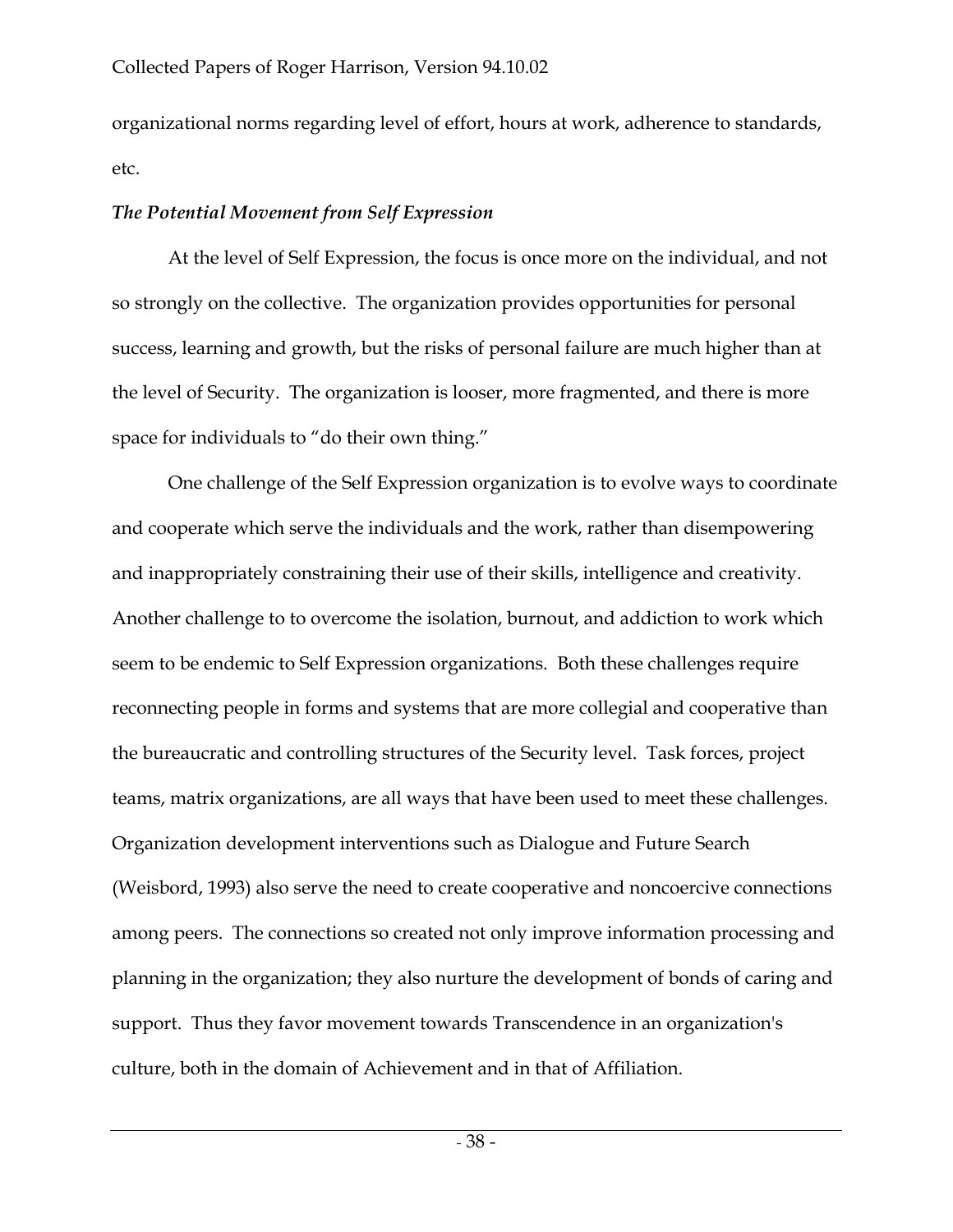organizational norms regarding level of effort, hours at work, adherence to standards, etc.

# *The Potential Movement from Self Expression*

At the level of Self Expression, the focus is once more on the individual, and not so strongly on the collective. The organization provides opportunities for personal success, learning and growth, but the risks of personal failure are much higher than at the level of Security. The organization is looser, more fragmented, and there is more space for individuals to "do their own thing."

One challenge of the Self Expression organization is to evolve ways to coordinate and cooperate which serve the individuals and the work, rather than disempowering and inappropriately constraining their use of their skills, intelligence and creativity. Another challenge to to overcome the isolation, burnout, and addiction to work which seem to be endemic to Self Expression organizations. Both these challenges require reconnecting people in forms and systems that are more collegial and cooperative than the bureaucratic and controlling structures of the Security level. Task forces, project teams, matrix organizations, are all ways that have been used to meet these challenges. Organization development interventions such as Dialogue and Future Search (Weisbord, 1993) also serve the need to create cooperative and noncoercive connections among peers. The connections so created not only improve information processing and planning in the organization; they also nurture the development of bonds of caring and support. Thus they favor movement towards Transcendence in an organization's culture, both in the domain of Achievement and in that of Affiliation.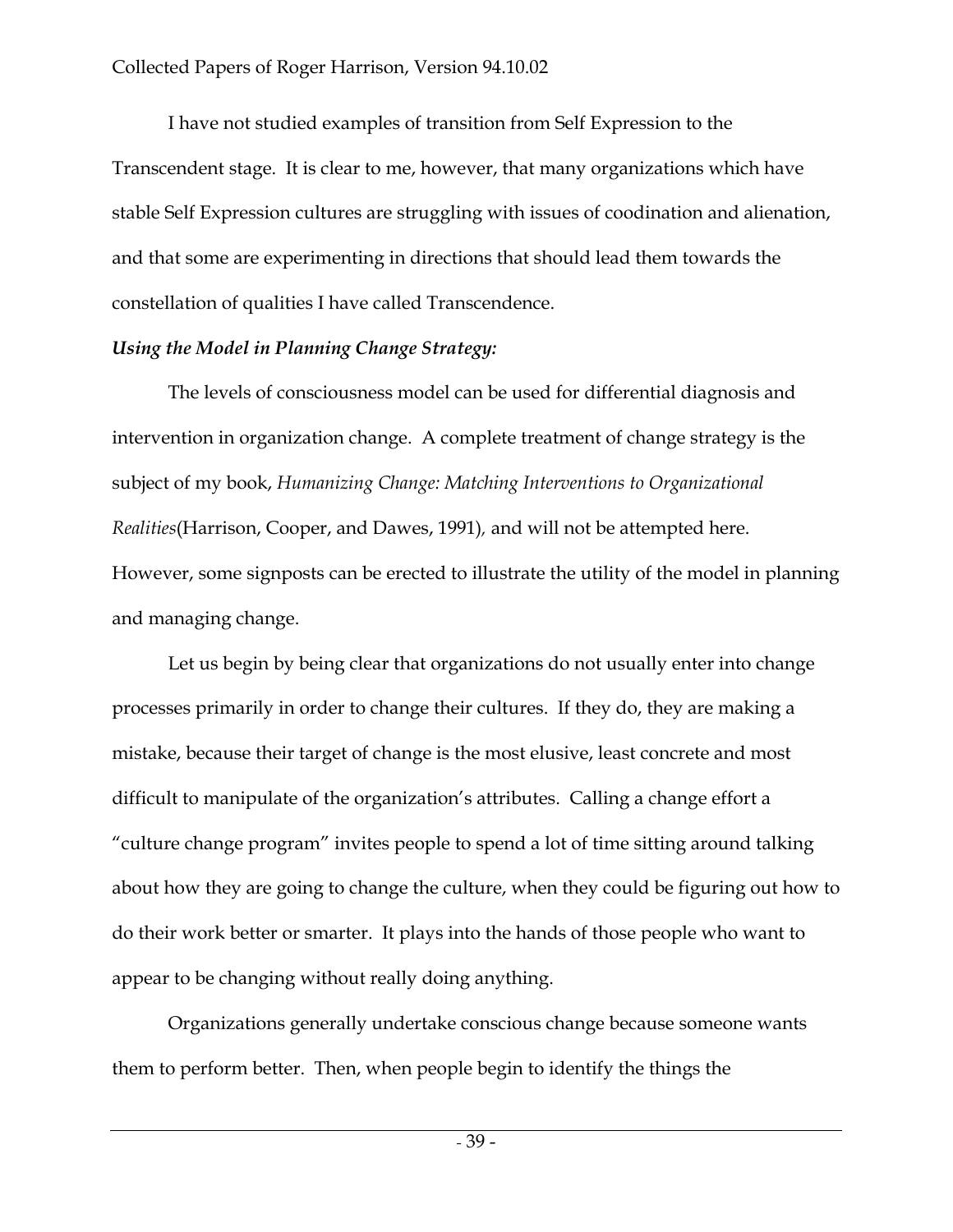I have not studied examples of transition from Self Expression to the Transcendent stage. It is clear to me, however, that many organizations which have stable Self Expression cultures are struggling with issues of coodination and alienation, and that some are experimenting in directions that should lead them towards the constellation of qualities I have called Transcendence.

# *Using the Model in Planning Change Strategy:*

The levels of consciousness model can be used for differential diagnosis and intervention in organization change. A complete treatment of change strategy is the subject of my book, *Humanizing Change: Matching Interventions to Organizational Realities*(Harrison, Cooper, and Dawes, 1991)*,* and will not be attempted here. However, some signposts can be erected to illustrate the utility of the model in planning and managing change.

Let us begin by being clear that organizations do not usually enter into change processes primarily in order to change their cultures. If they do, they are making a mistake, because their target of change is the most elusive, least concrete and most difficult to manipulate of the organization's attributes. Calling a change effort a "culture change program" invites people to spend a lot of time sitting around talking about how they are going to change the culture, when they could be figuring out how to do their work better or smarter. It plays into the hands of those people who want to appear to be changing without really doing anything.

Organizations generally undertake conscious change because someone wants them to perform better. Then, when people begin to identify the things the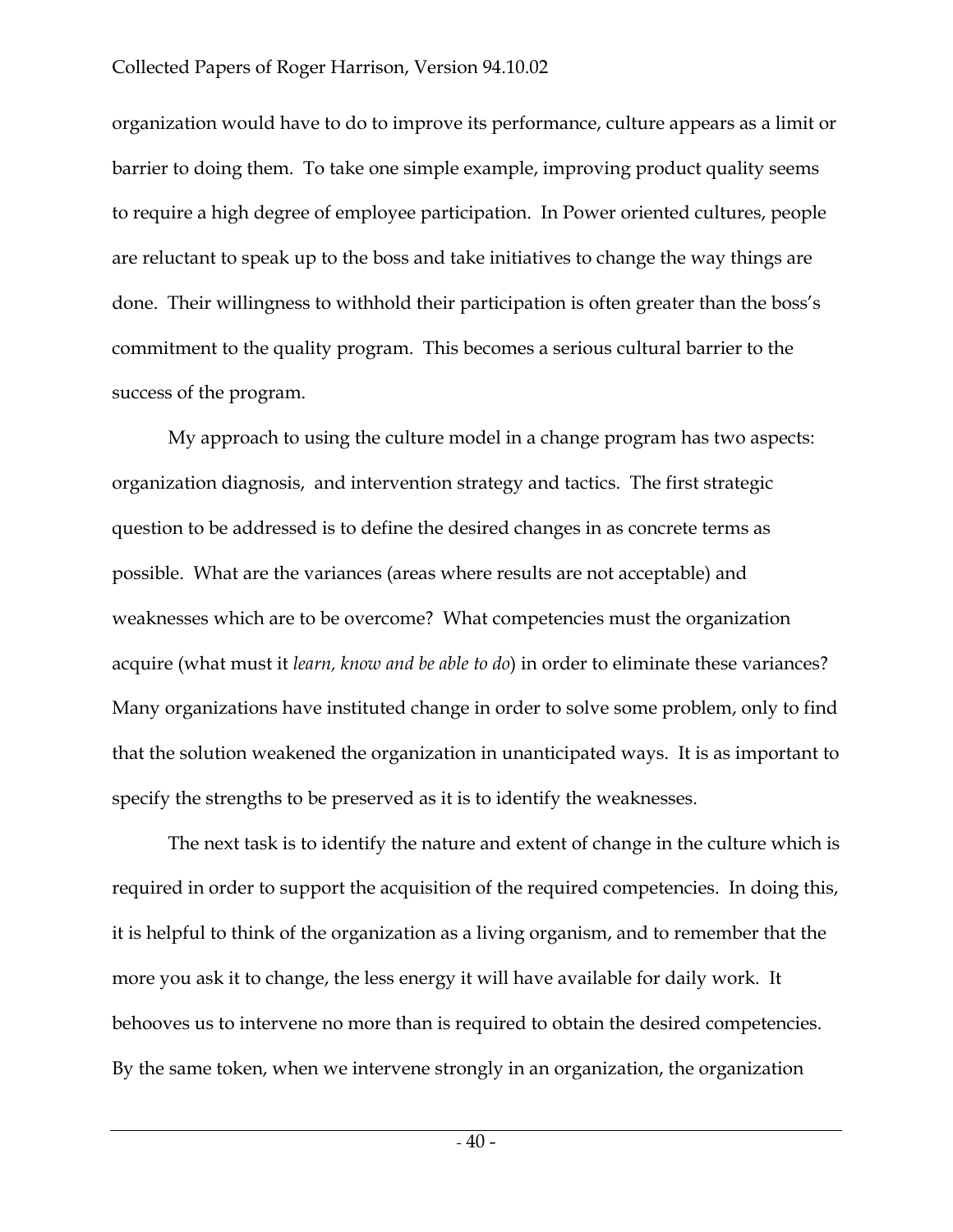organization would have to do to improve its performance, culture appears as a limit or barrier to doing them. To take one simple example, improving product quality seems to require a high degree of employee participation. In Power oriented cultures, people are reluctant to speak up to the boss and take initiatives to change the way things are done. Their willingness to withhold their participation is often greater than the boss's commitment to the quality program. This becomes a serious cultural barrier to the success of the program.

My approach to using the culture model in a change program has two aspects: organization diagnosis, and intervention strategy and tactics. The first strategic question to be addressed is to define the desired changes in as concrete terms as possible. What are the variances (areas where results are not acceptable) and weaknesses which are to be overcome? What competencies must the organization acquire (what must it *learn, know and be able to do*) in order to eliminate these variances? Many organizations have instituted change in order to solve some problem, only to find that the solution weakened the organization in unanticipated ways. It is as important to specify the strengths to be preserved as it is to identify the weaknesses.

The next task is to identify the nature and extent of change in the culture which is required in order to support the acquisition of the required competencies. In doing this, it is helpful to think of the organization as a living organism, and to remember that the more you ask it to change, the less energy it will have available for daily work. It behooves us to intervene no more than is required to obtain the desired competencies. By the same token, when we intervene strongly in an organization, the organization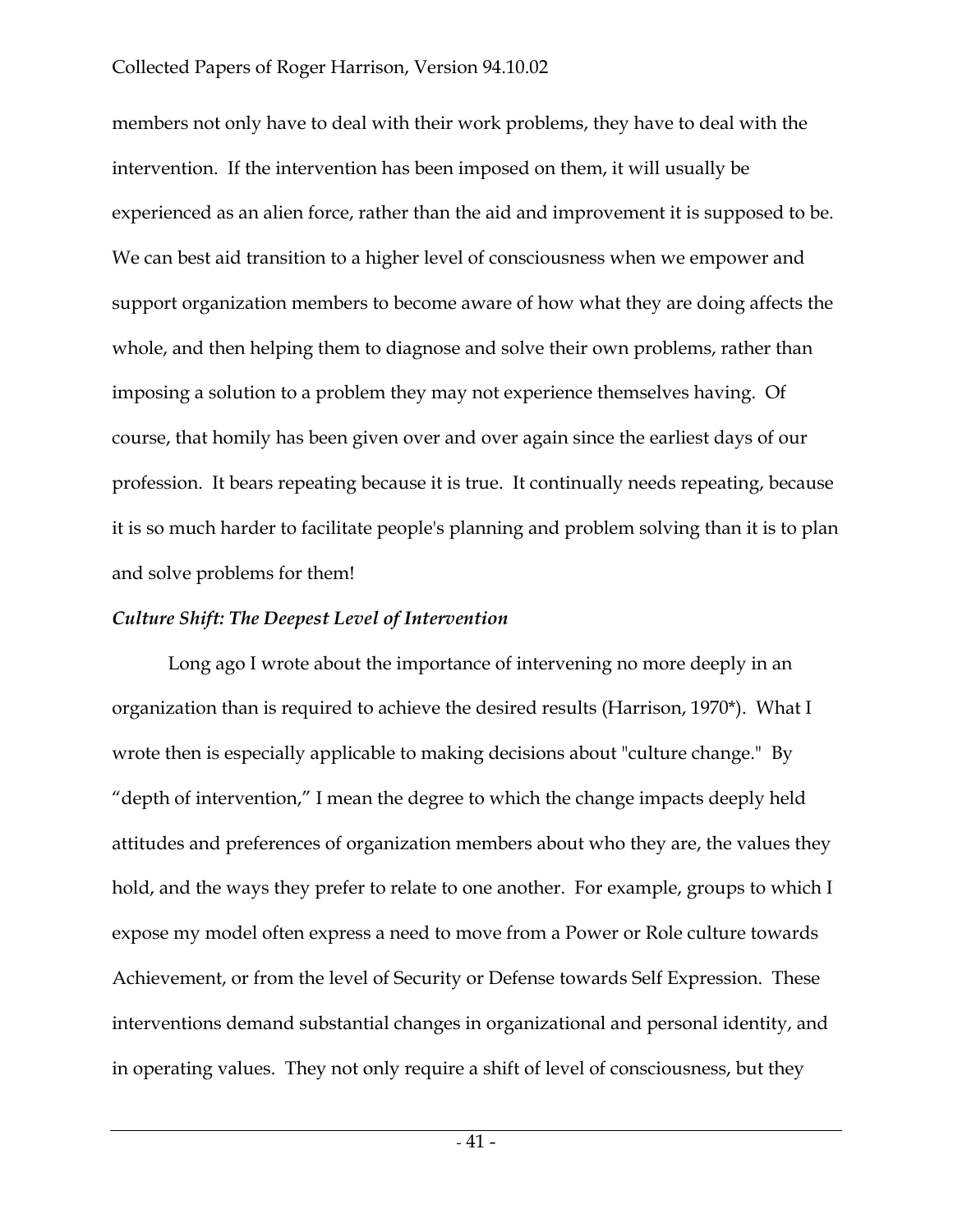members not only have to deal with their work problems, they have to deal with the intervention. If the intervention has been imposed on them, it will usually be experienced as an alien force, rather than the aid and improvement it is supposed to be. We can best aid transition to a higher level of consciousness when we empower and support organization members to become aware of how what they are doing affects the whole, and then helping them to diagnose and solve their own problems, rather than imposing a solution to a problem they may not experience themselves having. Of course, that homily has been given over and over again since the earliest days of our profession. It bears repeating because it is true. It continually needs repeating, because it is so much harder to facilitate people's planning and problem solving than it is to plan and solve problems for them!

#### *Culture Shift: The Deepest Level of Intervention*

Long ago I wrote about the importance of intervening no more deeply in an organization than is required to achieve the desired results (Harrison, 1970\*). What I wrote then is especially applicable to making decisions about "culture change." By "depth of intervention," I mean the degree to which the change impacts deeply held attitudes and preferences of organization members about who they are, the values they hold, and the ways they prefer to relate to one another. For example, groups to which I expose my model often express a need to move from a Power or Role culture towards Achievement, or from the level of Security or Defense towards Self Expression. These interventions demand substantial changes in organizational and personal identity, and in operating values. They not only require a shift of level of consciousness, but they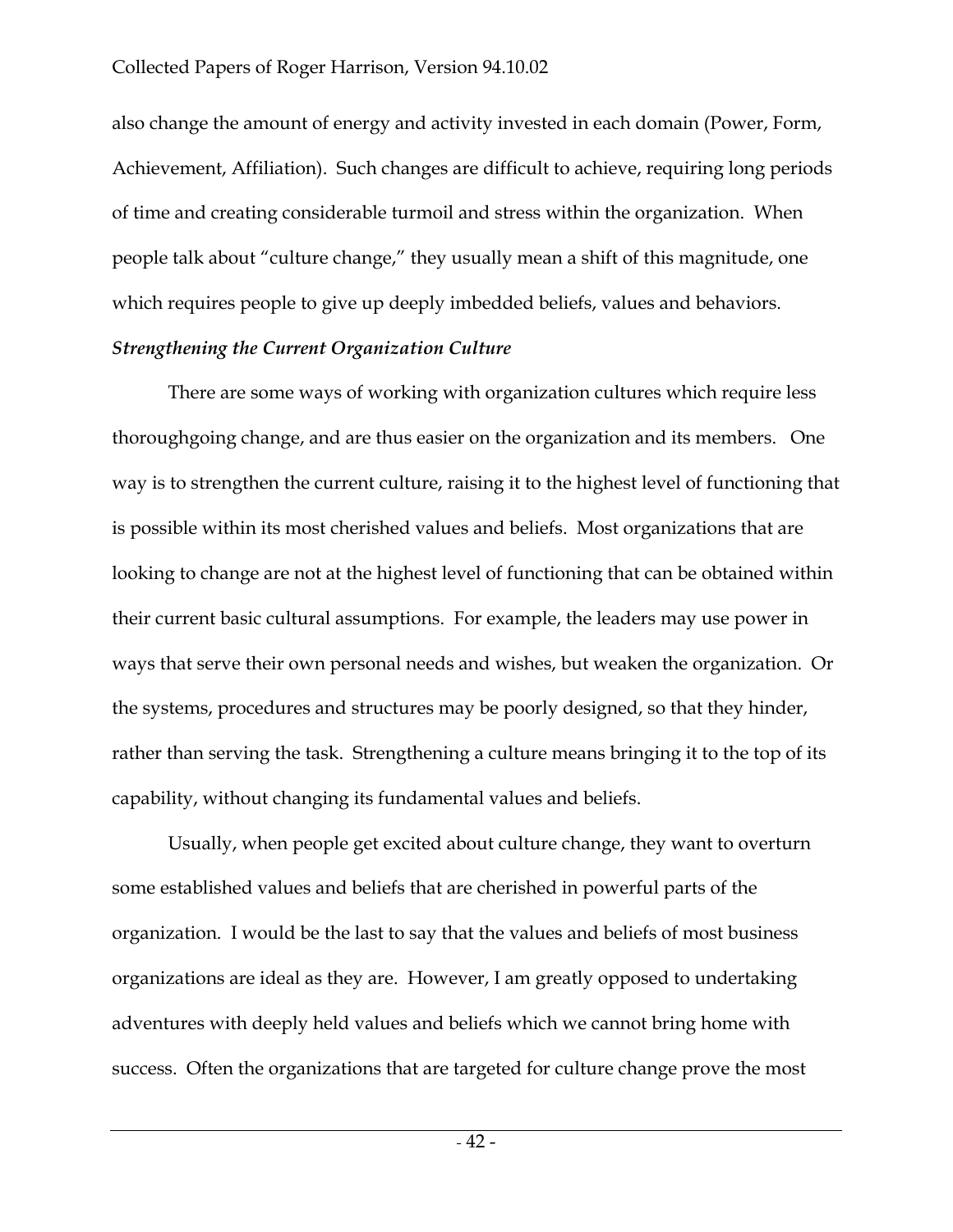also change the amount of energy and activity invested in each domain (Power, Form, Achievement, Affiliation). Such changes are difficult to achieve, requiring long periods of time and creating considerable turmoil and stress within the organization. When people talk about "culture change," they usually mean a shift of this magnitude, one which requires people to give up deeply imbedded beliefs, values and behaviors.

#### *Strengthening the Current Organization Culture*

There are some ways of working with organization cultures which require less thoroughgoing change, and are thus easier on the organization and its members. One way is to strengthen the current culture, raising it to the highest level of functioning that is possible within its most cherished values and beliefs. Most organizations that are looking to change are not at the highest level of functioning that can be obtained within their current basic cultural assumptions. For example, the leaders may use power in ways that serve their own personal needs and wishes, but weaken the organization. Or the systems, procedures and structures may be poorly designed, so that they hinder, rather than serving the task. Strengthening a culture means bringing it to the top of its capability, without changing its fundamental values and beliefs.

Usually, when people get excited about culture change, they want to overturn some established values and beliefs that are cherished in powerful parts of the organization. I would be the last to say that the values and beliefs of most business organizations are ideal as they are. However, I am greatly opposed to undertaking adventures with deeply held values and beliefs which we cannot bring home with success. Often the organizations that are targeted for culture change prove the most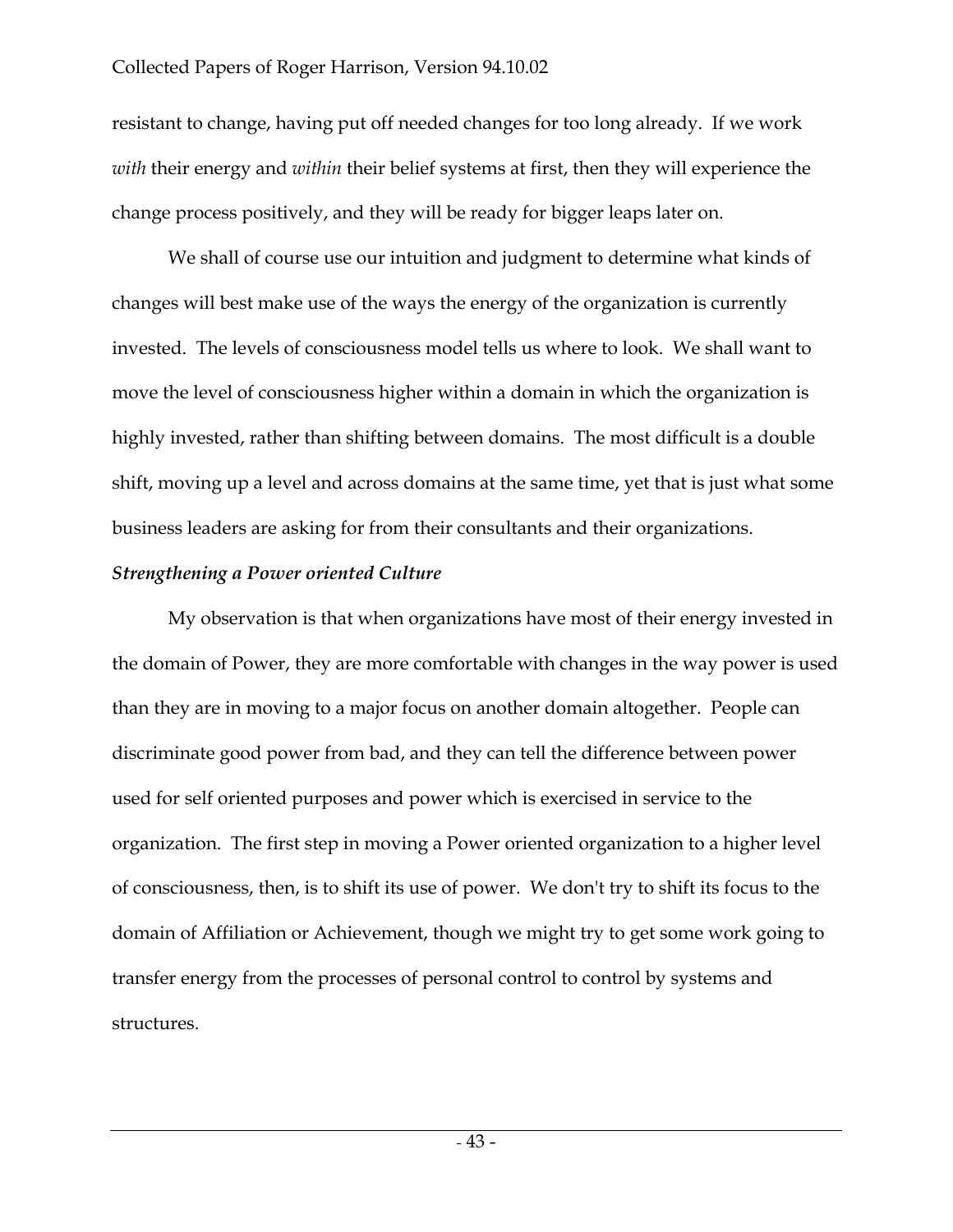resistant to change, having put off needed changes for too long already. If we work *with* their energy and *within* their belief systems at first, then they will experience the change process positively, and they will be ready for bigger leaps later on.

We shall of course use our intuition and judgment to determine what kinds of changes will best make use of the ways the energy of the organization is currently invested. The levels of consciousness model tells us where to look. We shall want to move the level of consciousness higher within a domain in which the organization is highly invested, rather than shifting between domains. The most difficult is a double shift, moving up a level and across domains at the same time, yet that is just what some business leaders are asking for from their consultants and their organizations.

#### *Strengthening a Power oriented Culture*

My observation is that when organizations have most of their energy invested in the domain of Power, they are more comfortable with changes in the way power is used than they are in moving to a major focus on another domain altogether. People can discriminate good power from bad, and they can tell the difference between power used for self oriented purposes and power which is exercised in service to the organization. The first step in moving a Power oriented organization to a higher level of consciousness, then, is to shift its use of power. We don't try to shift its focus to the domain of Affiliation or Achievement, though we might try to get some work going to transfer energy from the processes of personal control to control by systems and structures.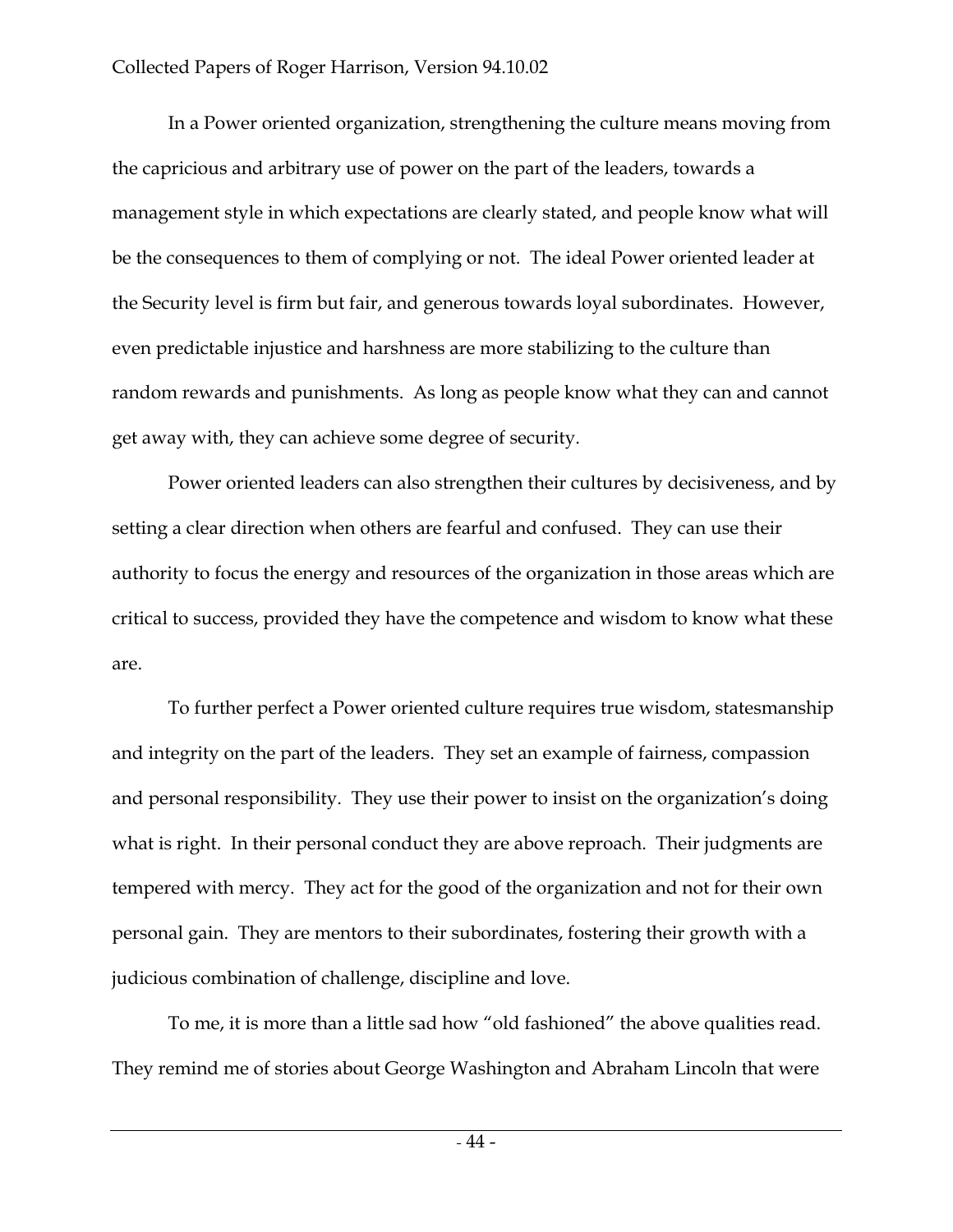In a Power oriented organization, strengthening the culture means moving from the capricious and arbitrary use of power on the part of the leaders, towards a management style in which expectations are clearly stated, and people know what will be the consequences to them of complying or not. The ideal Power oriented leader at the Security level is firm but fair, and generous towards loyal subordinates. However, even predictable injustice and harshness are more stabilizing to the culture than random rewards and punishments. As long as people know what they can and cannot get away with, they can achieve some degree of security.

Power oriented leaders can also strengthen their cultures by decisiveness, and by setting a clear direction when others are fearful and confused. They can use their authority to focus the energy and resources of the organization in those areas which are critical to success, provided they have the competence and wisdom to know what these are.

To further perfect a Power oriented culture requires true wisdom, statesmanship and integrity on the part of the leaders. They set an example of fairness, compassion and personal responsibility. They use their power to insist on the organization's doing what is right. In their personal conduct they are above reproach. Their judgments are tempered with mercy. They act for the good of the organization and not for their own personal gain. They are mentors to their subordinates, fostering their growth with a judicious combination of challenge, discipline and love.

To me, it is more than a little sad how "old fashioned" the above qualities read. They remind me of stories about George Washington and Abraham Lincoln that were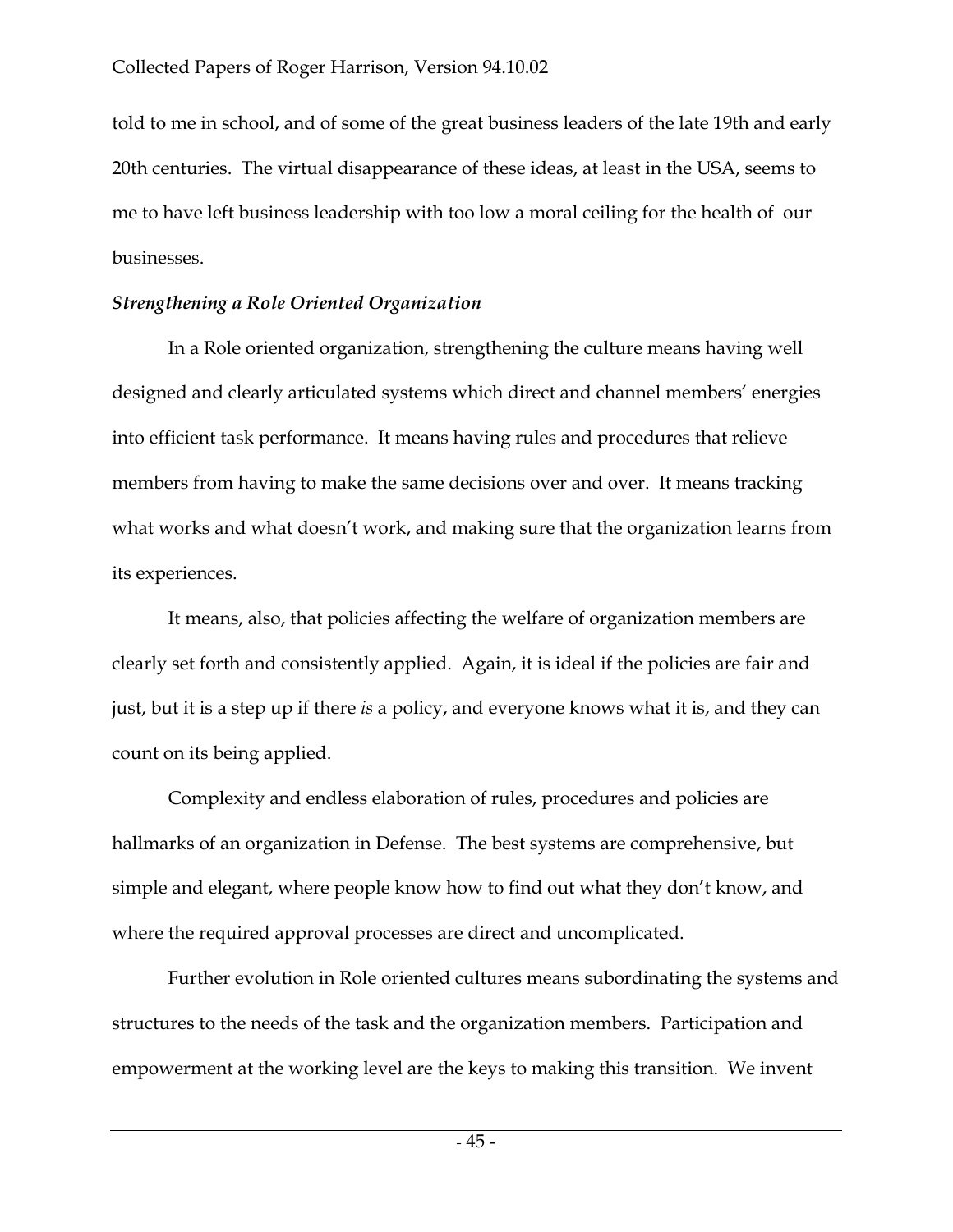told to me in school, and of some of the great business leaders of the late 19th and early 20th centuries. The virtual disappearance of these ideas, at least in the USA, seems to me to have left business leadership with too low a moral ceiling for the health of our businesses.

# *Strengthening a Role Oriented Organization*

In a Role oriented organization, strengthening the culture means having well designed and clearly articulated systems which direct and channel members' energies into efficient task performance. It means having rules and procedures that relieve members from having to make the same decisions over and over. It means tracking what works and what doesn't work, and making sure that the organization learns from its experiences.

It means, also, that policies affecting the welfare of organization members are clearly set forth and consistently applied. Again, it is ideal if the policies are fair and just, but it is a step up if there *is* a policy, and everyone knows what it is, and they can count on its being applied.

Complexity and endless elaboration of rules, procedures and policies are hallmarks of an organization in Defense. The best systems are comprehensive, but simple and elegant, where people know how to find out what they don't know, and where the required approval processes are direct and uncomplicated.

Further evolution in Role oriented cultures means subordinating the systems and structures to the needs of the task and the organization members. Participation and empowerment at the working level are the keys to making this transition. We invent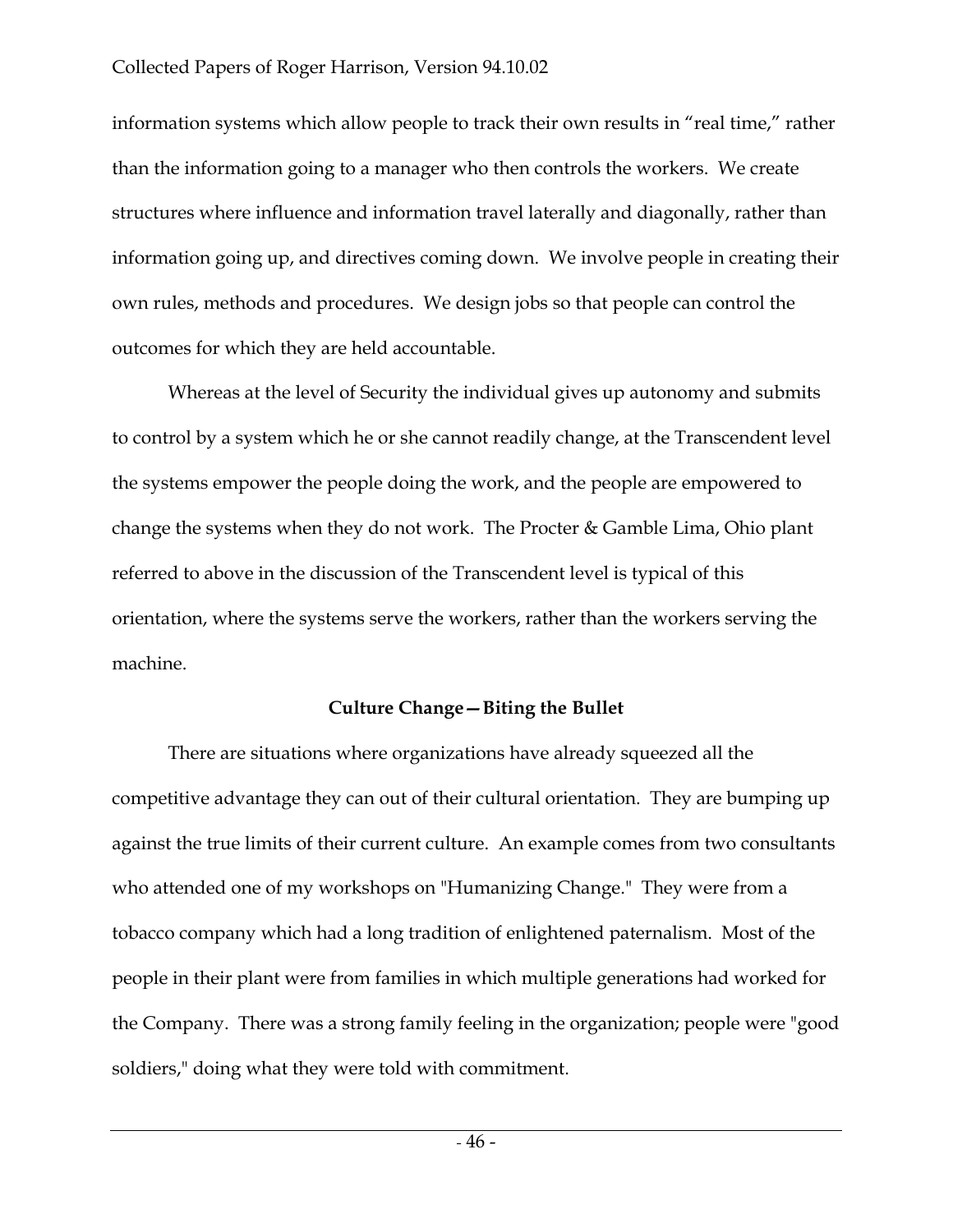information systems which allow people to track their own results in "real time," rather than the information going to a manager who then controls the workers. We create structures where influence and information travel laterally and diagonally, rather than information going up, and directives coming down. We involve people in creating their own rules, methods and procedures. We design jobs so that people can control the outcomes for which they are held accountable.

Whereas at the level of Security the individual gives up autonomy and submits to control by a system which he or she cannot readily change, at the Transcendent level the systems empower the people doing the work, and the people are empowered to change the systems when they do not work. The Procter & Gamble Lima, Ohio plant referred to above in the discussion of the Transcendent level is typical of this orientation, where the systems serve the workers, rather than the workers serving the machine.

#### **Culture Change—Biting the Bullet**

There are situations where organizations have already squeezed all the competitive advantage they can out of their cultural orientation. They are bumping up against the true limits of their current culture. An example comes from two consultants who attended one of my workshops on "Humanizing Change." They were from a tobacco company which had a long tradition of enlightened paternalism. Most of the people in their plant were from families in which multiple generations had worked for the Company. There was a strong family feeling in the organization; people were "good soldiers," doing what they were told with commitment.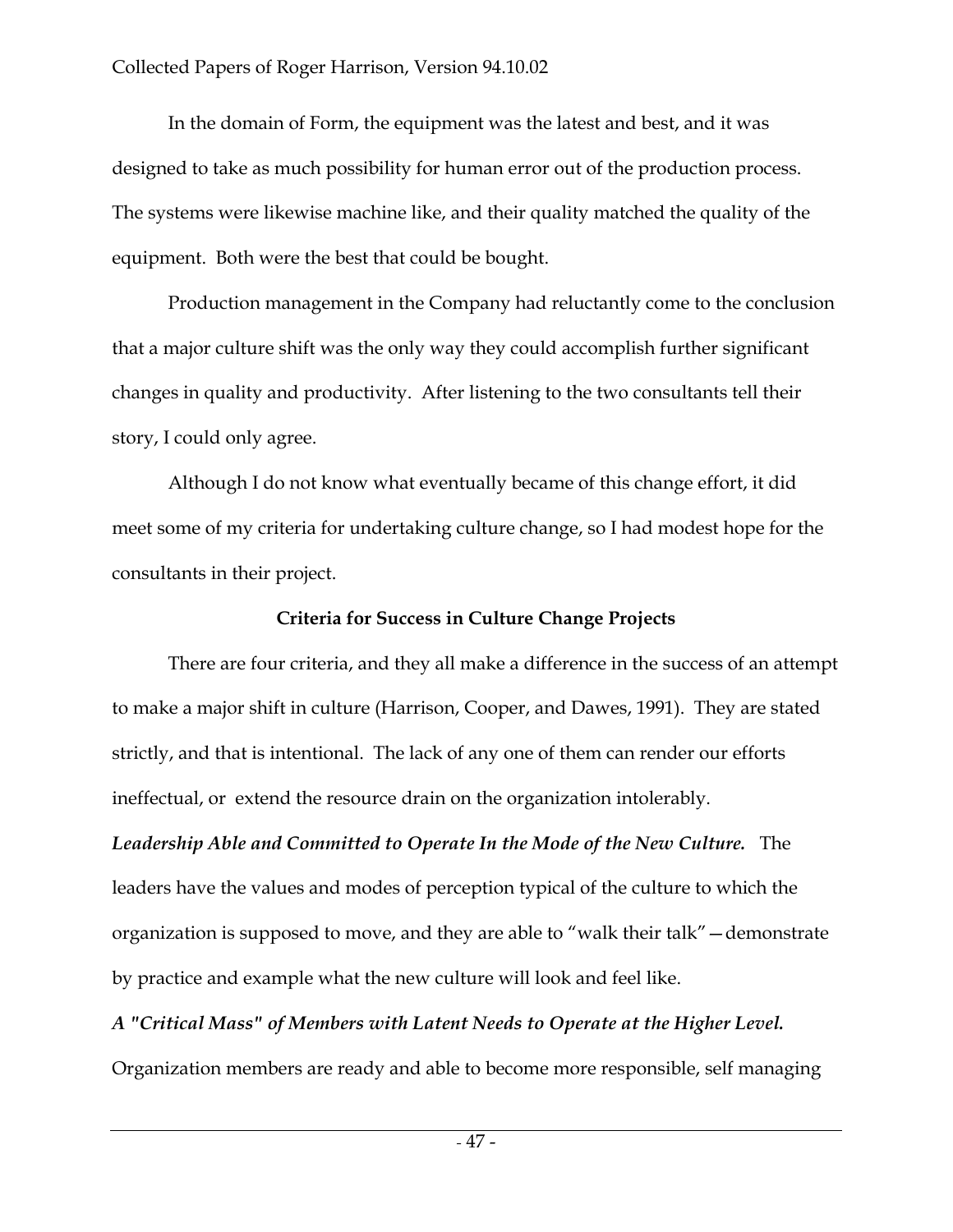In the domain of Form, the equipment was the latest and best, and it was designed to take as much possibility for human error out of the production process. The systems were likewise machine like, and their quality matched the quality of the equipment. Both were the best that could be bought.

Production management in the Company had reluctantly come to the conclusion that a major culture shift was the only way they could accomplish further significant changes in quality and productivity. After listening to the two consultants tell their story, I could only agree.

Although I do not know what eventually became of this change effort, it did meet some of my criteria for undertaking culture change, so I had modest hope for the consultants in their project.

# **Criteria for Success in Culture Change Projects**

There are four criteria, and they all make a difference in the success of an attempt to make a major shift in culture (Harrison, Cooper, and Dawes, 1991). They are stated strictly, and that is intentional. The lack of any one of them can render our efforts ineffectual, or extend the resource drain on the organization intolerably.

*Leadership Able and Committed to Operate In the Mode of the New Culture.*The leaders have the values and modes of perception typical of the culture to which the organization is supposed to move, and they are able to "walk their talk"—demonstrate by practice and example what the new culture will look and feel like.

*A "Critical Mass" of Members with Latent Needs to Operate at the Higher Level.* Organization members are ready and able to become more responsible, self managing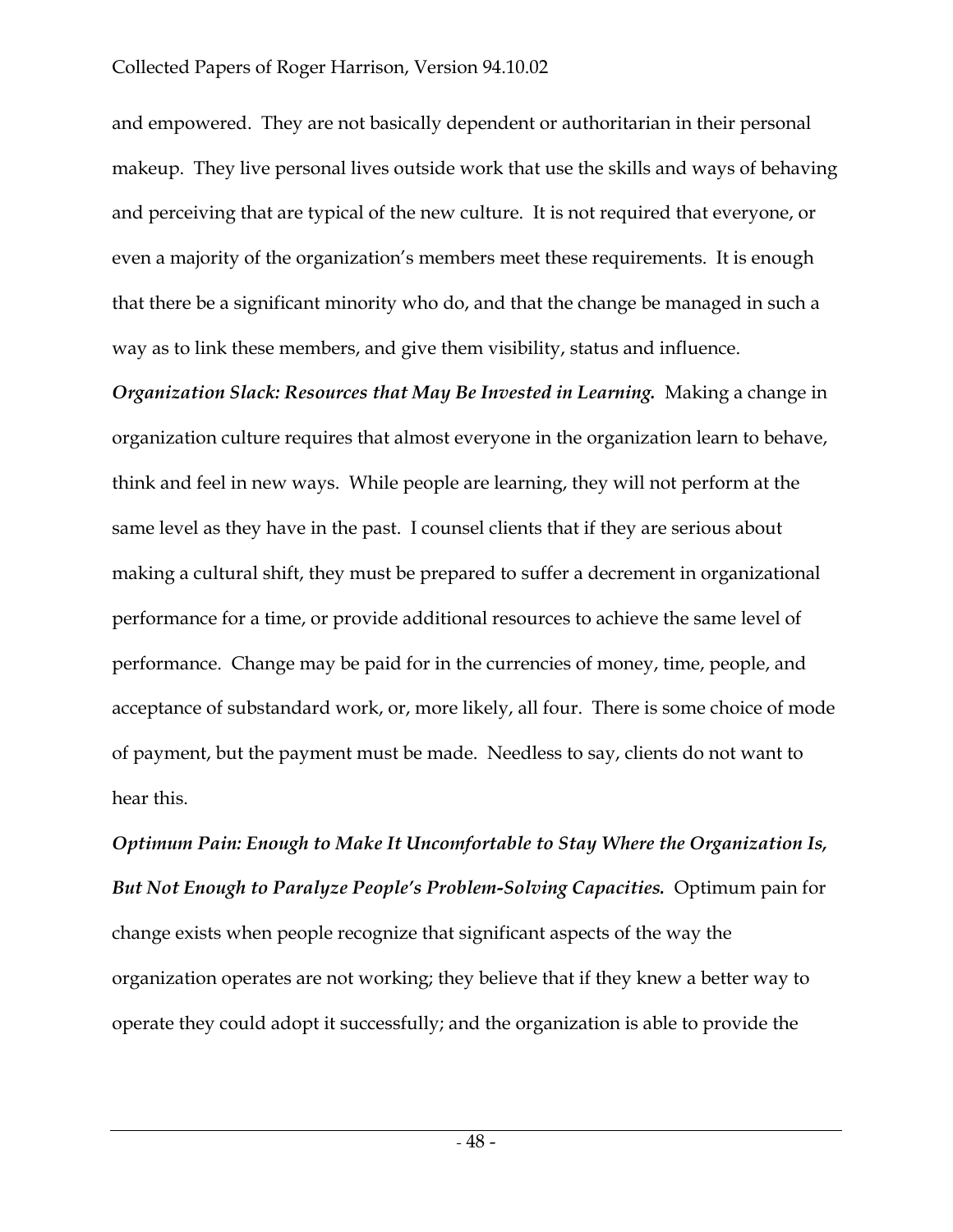and empowered. They are not basically dependent or authoritarian in their personal makeup. They live personal lives outside work that use the skills and ways of behaving and perceiving that are typical of the new culture. It is not required that everyone, or even a majority of the organization's members meet these requirements. It is enough that there be a significant minority who do, and that the change be managed in such a way as to link these members, and give them visibility, status and influence.

*Organization Slack: Resources that May Be Invested in Learning.* Making a change in organization culture requires that almost everyone in the organization learn to behave, think and feel in new ways. While people are learning, they will not perform at the same level as they have in the past. I counsel clients that if they are serious about making a cultural shift, they must be prepared to suffer a decrement in organizational performance for a time, or provide additional resources to achieve the same level of performance. Change may be paid for in the currencies of money, time, people, and acceptance of substandard work, or, more likely, all four. There is some choice of mode of payment, but the payment must be made. Needless to say, clients do not want to hear this.

*Optimum Pain: Enough to Make It Uncomfortable to Stay Where the Organization Is, But Not Enough to Paralyze People's Problem-Solving Capacities.* Optimum pain for change exists when people recognize that significant aspects of the way the organization operates are not working; they believe that if they knew a better way to operate they could adopt it successfully; and the organization is able to provide the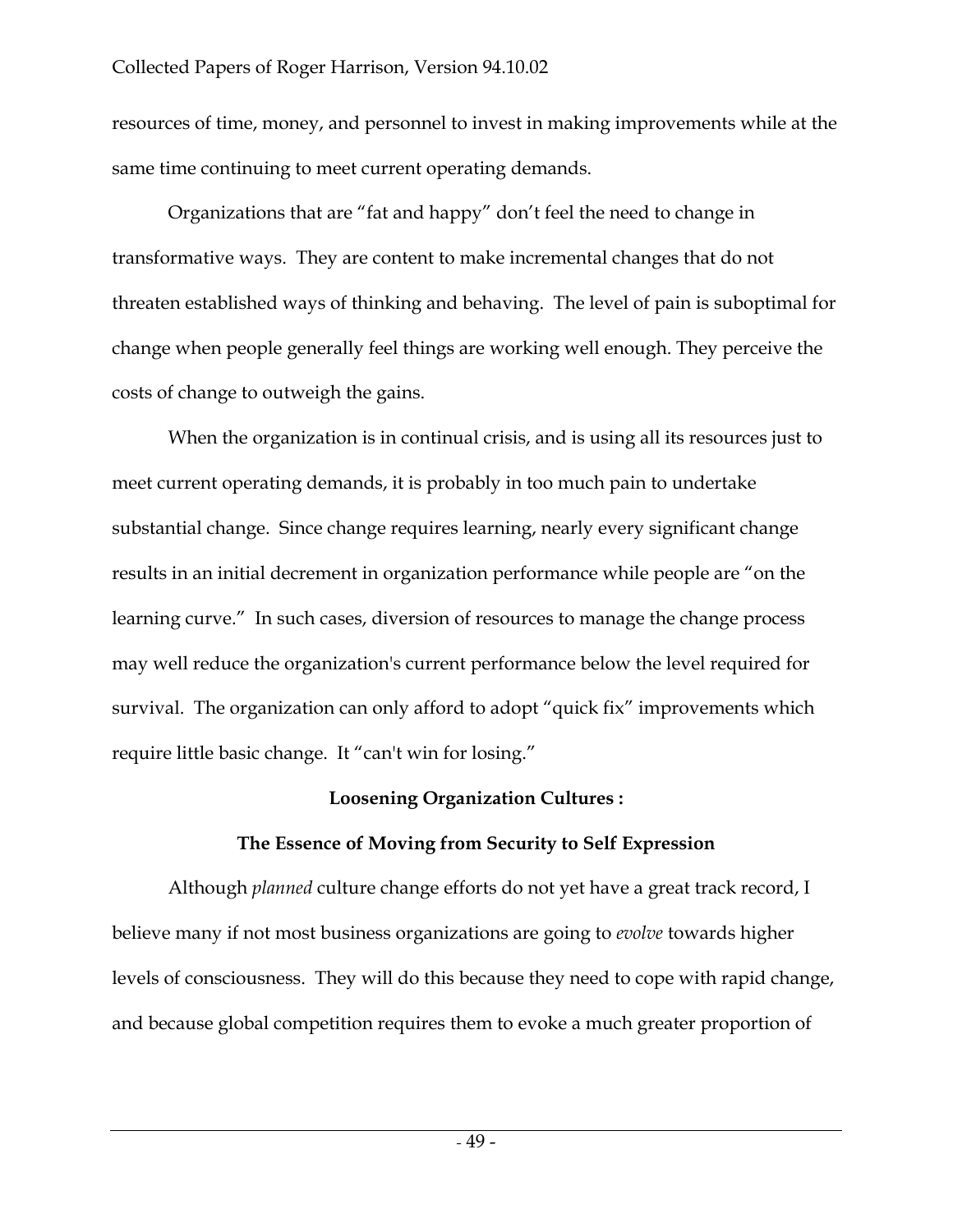resources of time, money, and personnel to invest in making improvements while at the same time continuing to meet current operating demands.

Organizations that are "fat and happy" don't feel the need to change in transformative ways. They are content to make incremental changes that do not threaten established ways of thinking and behaving. The level of pain is suboptimal for change when people generally feel things are working well enough. They perceive the costs of change to outweigh the gains.

When the organization is in continual crisis, and is using all its resources just to meet current operating demands, it is probably in too much pain to undertake substantial change. Since change requires learning, nearly every significant change results in an initial decrement in organization performance while people are "on the learning curve." In such cases, diversion of resources to manage the change process may well reduce the organization's current performance below the level required for survival. The organization can only afford to adopt "quick fix" improvements which require little basic change. It "can't win for losing."

# **Loosening Organization Cultures :**

# **The Essence of Moving from Security to Self Expression**

Although *planned* culture change efforts do not yet have a great track record, I believe many if not most business organizations are going to *evolve* towards higher levels of consciousness. They will do this because they need to cope with rapid change, and because global competition requires them to evoke a much greater proportion of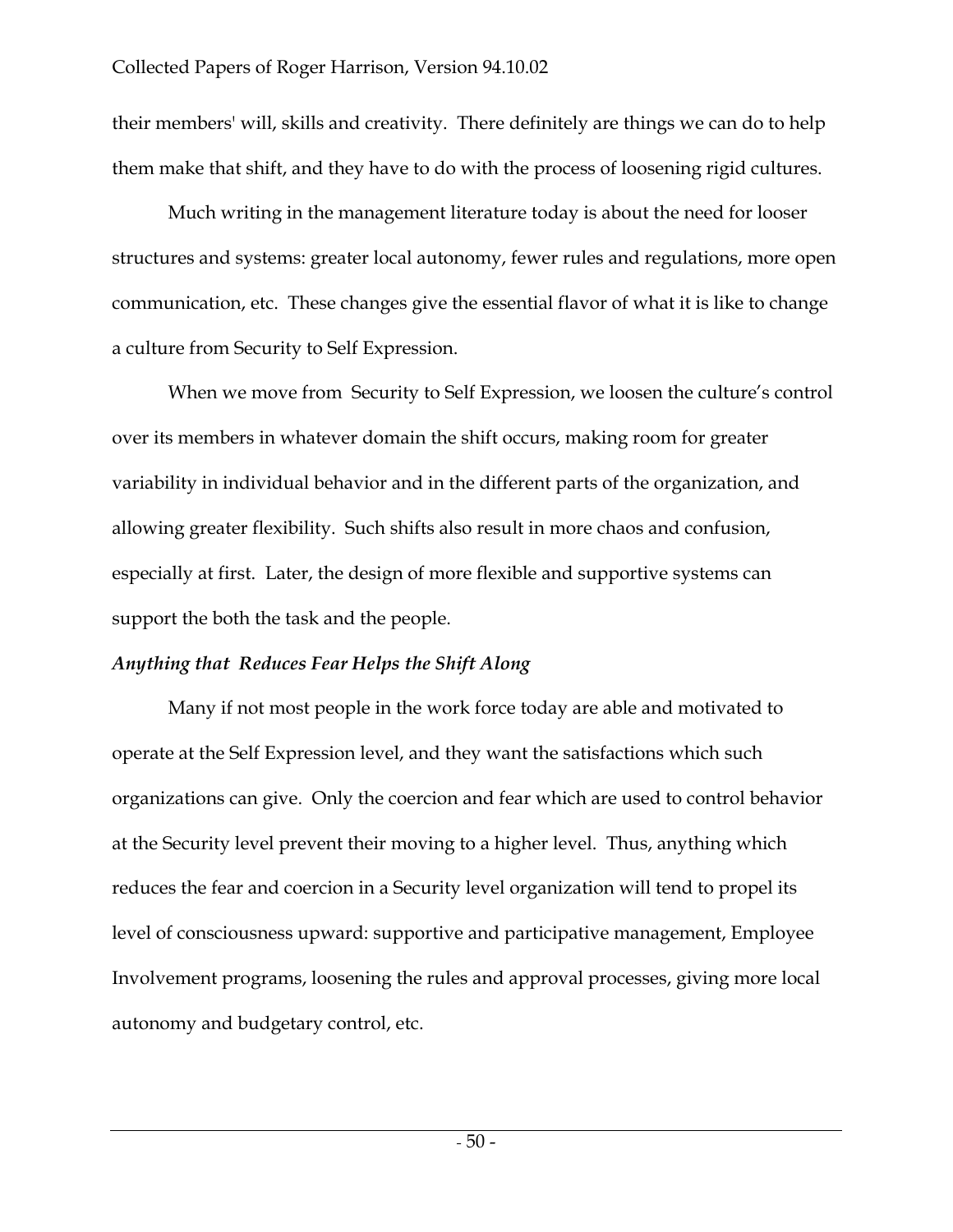their members' will, skills and creativity. There definitely are things we can do to help them make that shift, and they have to do with the process of loosening rigid cultures.

Much writing in the management literature today is about the need for looser structures and systems: greater local autonomy, fewer rules and regulations, more open communication, etc. These changes give the essential flavor of what it is like to change a culture from Security to Self Expression.

When we move from Security to Self Expression, we loosen the culture's control over its members in whatever domain the shift occurs, making room for greater variability in individual behavior and in the different parts of the organization, and allowing greater flexibility. Such shifts also result in more chaos and confusion, especially at first. Later, the design of more flexible and supportive systems can support the both the task and the people.

# *Anything that Reduces Fear Helps the Shift Along*

Many if not most people in the work force today are able and motivated to operate at the Self Expression level, and they want the satisfactions which such organizations can give. Only the coercion and fear which are used to control behavior at the Security level prevent their moving to a higher level. Thus, anything which reduces the fear and coercion in a Security level organization will tend to propel its level of consciousness upward: supportive and participative management, Employee Involvement programs, loosening the rules and approval processes, giving more local autonomy and budgetary control, etc.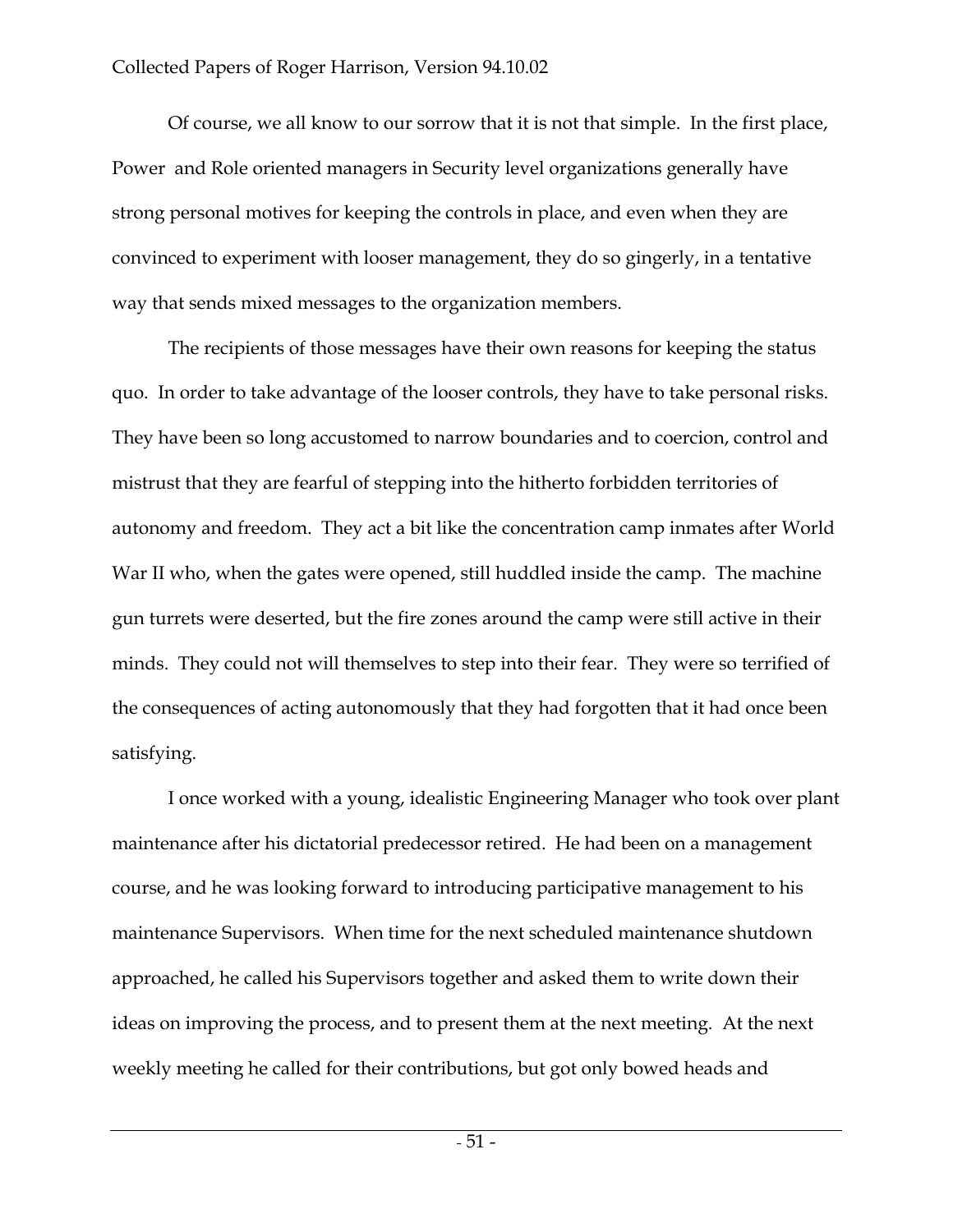Of course, we all know to our sorrow that it is not that simple. In the first place, Power and Role oriented managers in Security level organizations generally have strong personal motives for keeping the controls in place, and even when they are convinced to experiment with looser management, they do so gingerly, in a tentative way that sends mixed messages to the organization members.

The recipients of those messages have their own reasons for keeping the status quo. In order to take advantage of the looser controls, they have to take personal risks. They have been so long accustomed to narrow boundaries and to coercion, control and mistrust that they are fearful of stepping into the hitherto forbidden territories of autonomy and freedom. They act a bit like the concentration camp inmates after World War II who, when the gates were opened, still huddled inside the camp. The machine gun turrets were deserted, but the fire zones around the camp were still active in their minds. They could not will themselves to step into their fear. They were so terrified of the consequences of acting autonomously that they had forgotten that it had once been satisfying.

I once worked with a young, idealistic Engineering Manager who took over plant maintenance after his dictatorial predecessor retired. He had been on a management course, and he was looking forward to introducing participative management to his maintenance Supervisors. When time for the next scheduled maintenance shutdown approached, he called his Supervisors together and asked them to write down their ideas on improving the process, and to present them at the next meeting. At the next weekly meeting he called for their contributions, but got only bowed heads and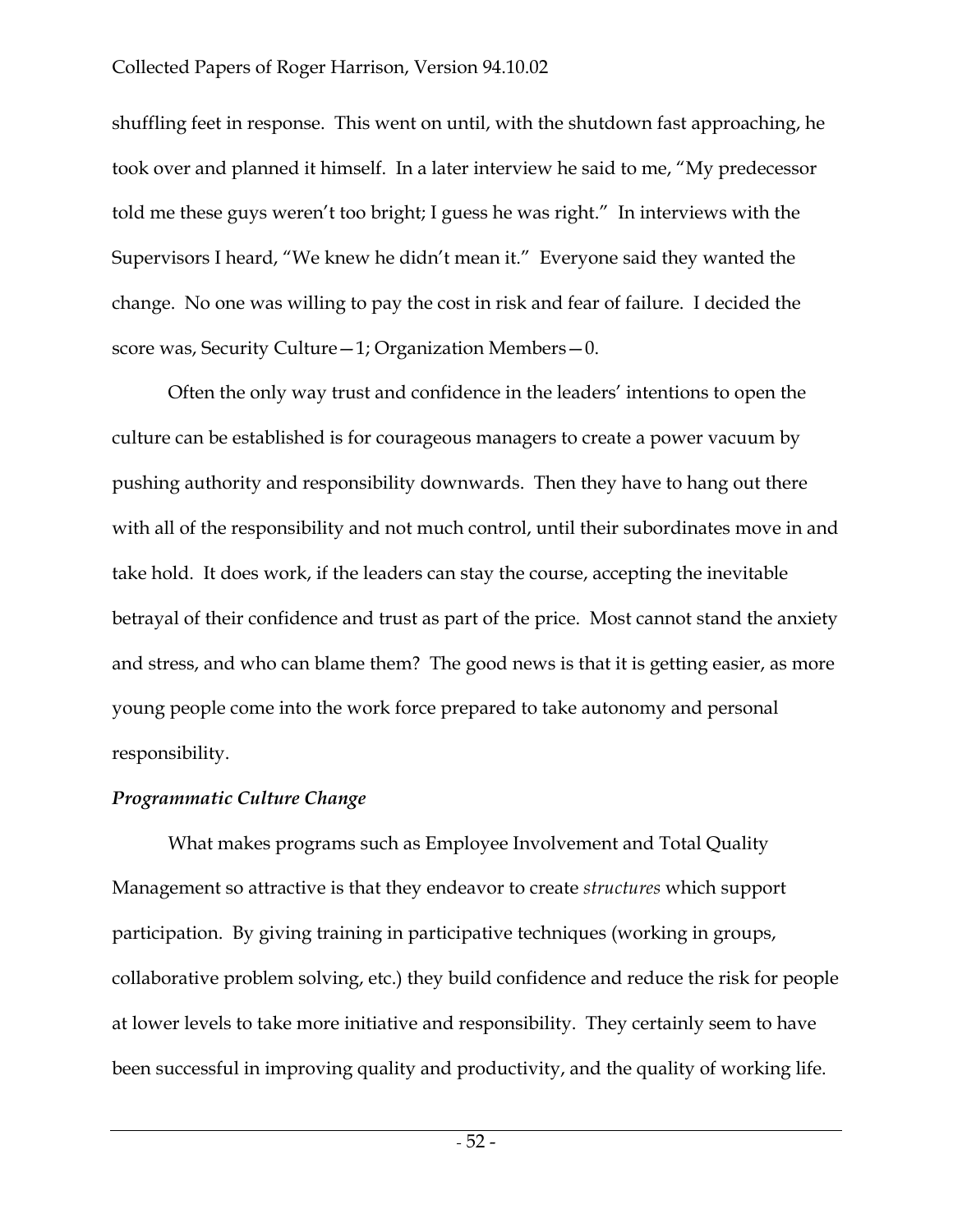shuffling feet in response. This went on until, with the shutdown fast approaching, he took over and planned it himself. In a later interview he said to me, "My predecessor told me these guys weren't too bright; I guess he was right." In interviews with the Supervisors I heard, "We knew he didn't mean it." Everyone said they wanted the change. No one was willing to pay the cost in risk and fear of failure. I decided the score was, Security Culture—1; Organization Members—0.

Often the only way trust and confidence in the leaders' intentions to open the culture can be established is for courageous managers to create a power vacuum by pushing authority and responsibility downwards. Then they have to hang out there with all of the responsibility and not much control, until their subordinates move in and take hold. It does work, if the leaders can stay the course, accepting the inevitable betrayal of their confidence and trust as part of the price. Most cannot stand the anxiety and stress, and who can blame them? The good news is that it is getting easier, as more young people come into the work force prepared to take autonomy and personal responsibility.

#### *Programmatic Culture Change*

What makes programs such as Employee Involvement and Total Quality Management so attractive is that they endeavor to create *structures* which support participation. By giving training in participative techniques (working in groups, collaborative problem solving, etc.) they build confidence and reduce the risk for people at lower levels to take more initiative and responsibility. They certainly seem to have been successful in improving quality and productivity, and the quality of working life.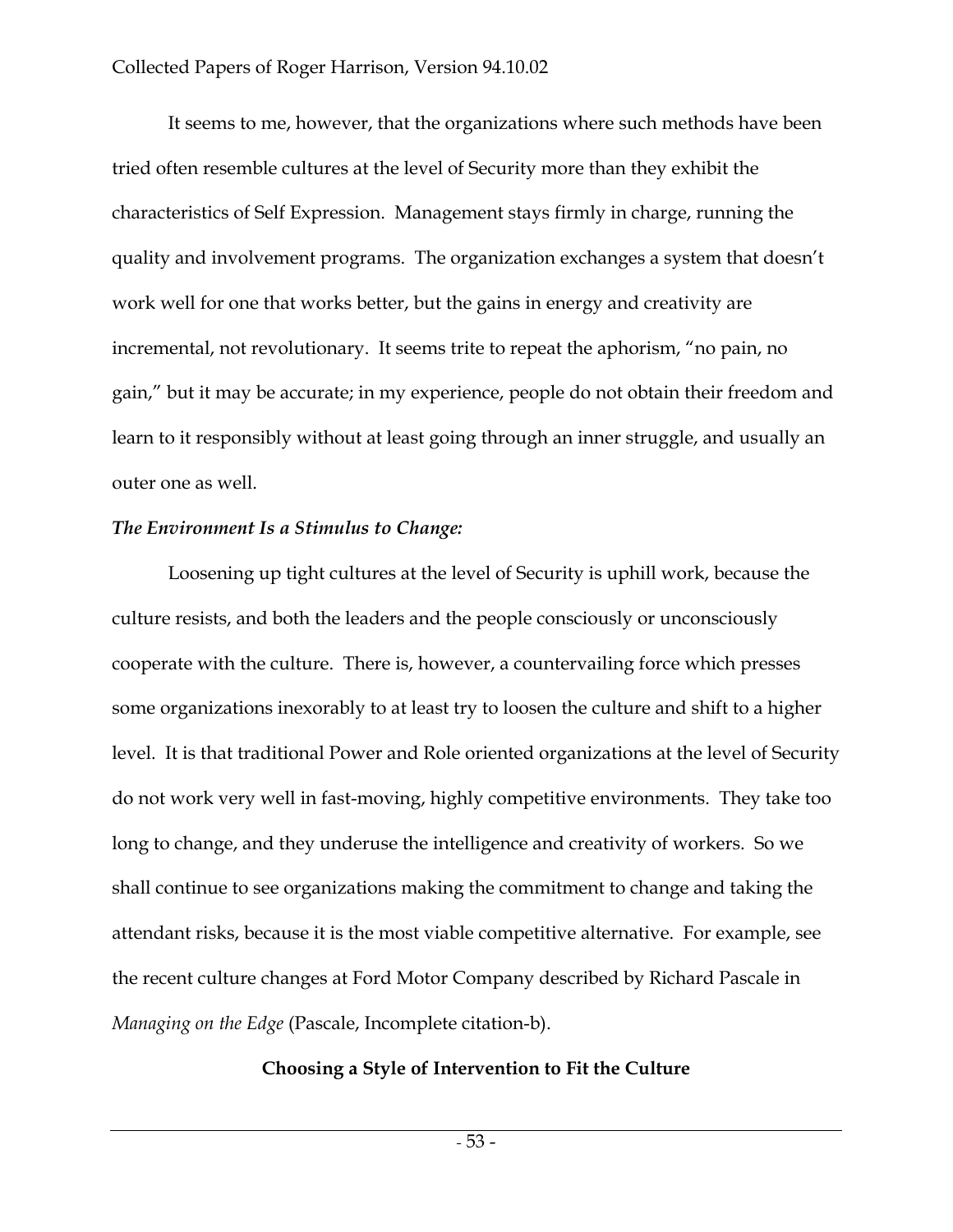It seems to me, however, that the organizations where such methods have been tried often resemble cultures at the level of Security more than they exhibit the characteristics of Self Expression. Management stays firmly in charge, running the quality and involvement programs. The organization exchanges a system that doesn't work well for one that works better, but the gains in energy and creativity are incremental, not revolutionary. It seems trite to repeat the aphorism, "no pain, no gain," but it may be accurate; in my experience, people do not obtain their freedom and learn to it responsibly without at least going through an inner struggle, and usually an outer one as well.

#### *The Environment Is a Stimulus to Change:*

Loosening up tight cultures at the level of Security is uphill work, because the culture resists, and both the leaders and the people consciously or unconsciously cooperate with the culture. There is, however, a countervailing force which presses some organizations inexorably to at least try to loosen the culture and shift to a higher level. It is that traditional Power and Role oriented organizations at the level of Security do not work very well in fast-moving, highly competitive environments. They take too long to change, and they underuse the intelligence and creativity of workers. So we shall continue to see organizations making the commitment to change and taking the attendant risks, because it is the most viable competitive alternative. For example, see the recent culture changes at Ford Motor Company described by Richard Pascale in *Managing on the Edge* (Pascale, Incomplete citation-b).

#### **Choosing a Style of Intervention to Fit the Culture**

*-* 53 -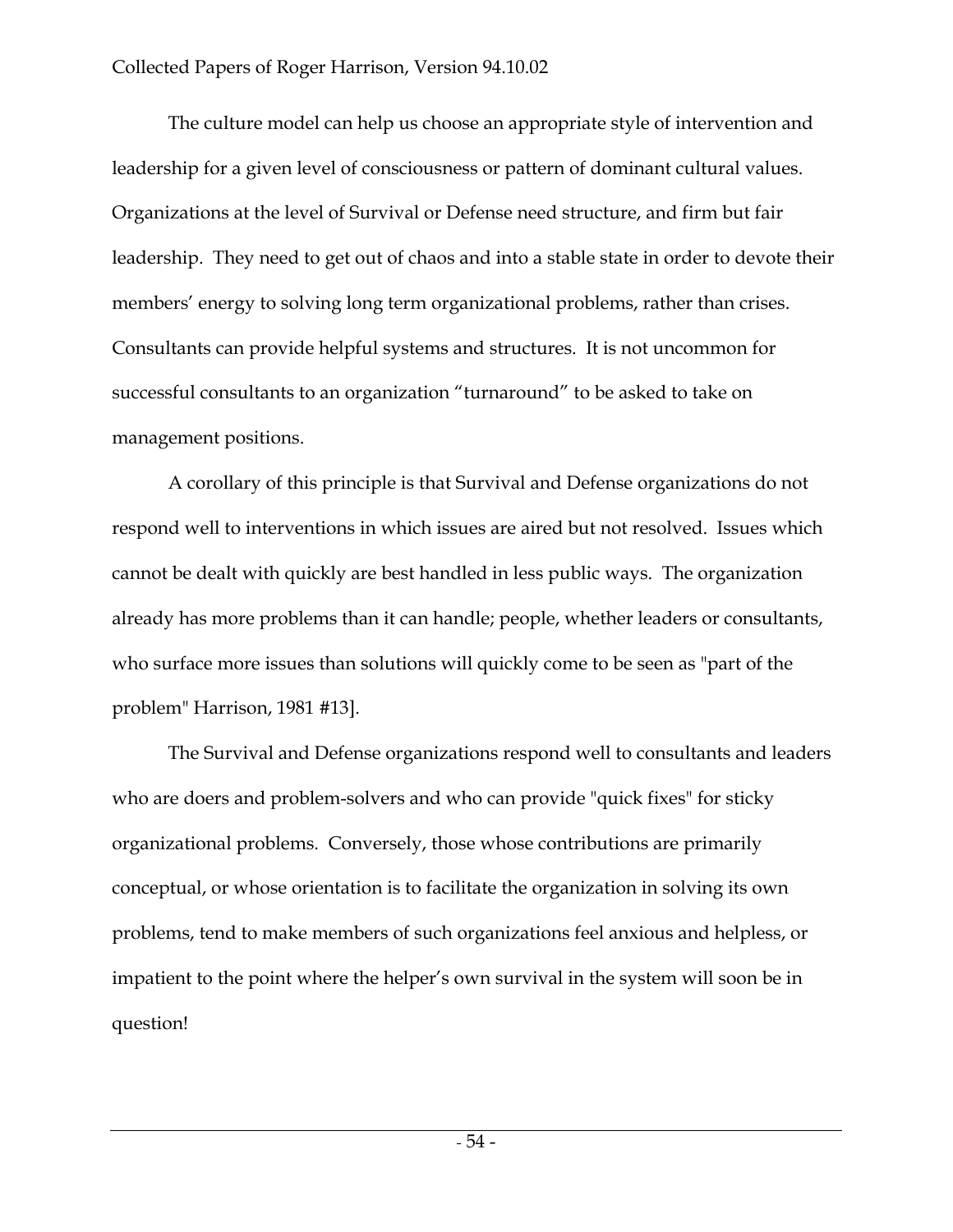The culture model can help us choose an appropriate style of intervention and leadership for a given level of consciousness or pattern of dominant cultural values. Organizations at the level of Survival or Defense need structure, and firm but fair leadership. They need to get out of chaos and into a stable state in order to devote their members' energy to solving long term organizational problems, rather than crises. Consultants can provide helpful systems and structures. It is not uncommon for successful consultants to an organization "turnaround" to be asked to take on management positions.

A corollary of this principle is that Survival and Defense organizations do not respond well to interventions in which issues are aired but not resolved. Issues which cannot be dealt with quickly are best handled in less public ways. The organization already has more problems than it can handle; people, whether leaders or consultants, who surface more issues than solutions will quickly come to be seen as "part of the problem" Harrison, 1981 #13].

The Survival and Defense organizations respond well to consultants and leaders who are doers and problem-solvers and who can provide "quick fixes" for sticky organizational problems. Conversely, those whose contributions are primarily conceptual, or whose orientation is to facilitate the organization in solving its own problems, tend to make members of such organizations feel anxious and helpless, or impatient to the point where the helper's own survival in the system will soon be in question!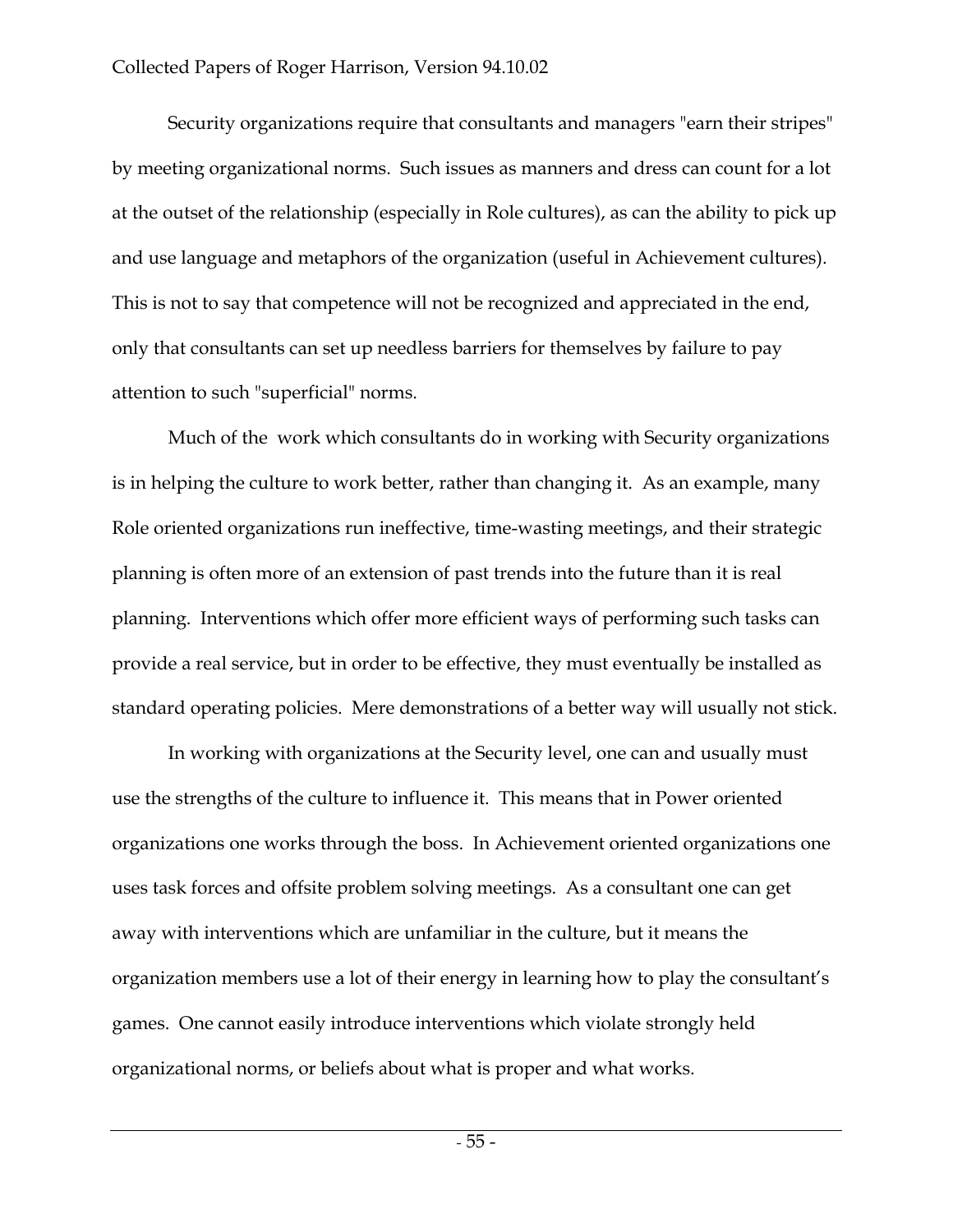Security organizations require that consultants and managers "earn their stripes" by meeting organizational norms. Such issues as manners and dress can count for a lot at the outset of the relationship (especially in Role cultures), as can the ability to pick up and use language and metaphors of the organization (useful in Achievement cultures). This is not to say that competence will not be recognized and appreciated in the end, only that consultants can set up needless barriers for themselves by failure to pay attention to such "superficial" norms.

Much of the work which consultants do in working with Security organizations is in helping the culture to work better, rather than changing it. As an example, many Role oriented organizations run ineffective, time-wasting meetings, and their strategic planning is often more of an extension of past trends into the future than it is real planning. Interventions which offer more efficient ways of performing such tasks can provide a real service, but in order to be effective, they must eventually be installed as standard operating policies. Mere demonstrations of a better way will usually not stick.

In working with organizations at the Security level, one can and usually must use the strengths of the culture to influence it. This means that in Power oriented organizations one works through the boss. In Achievement oriented organizations one uses task forces and offsite problem solving meetings. As a consultant one can get away with interventions which are unfamiliar in the culture, but it means the organization members use a lot of their energy in learning how to play the consultant's games. One cannot easily introduce interventions which violate strongly held organizational norms, or beliefs about what is proper and what works.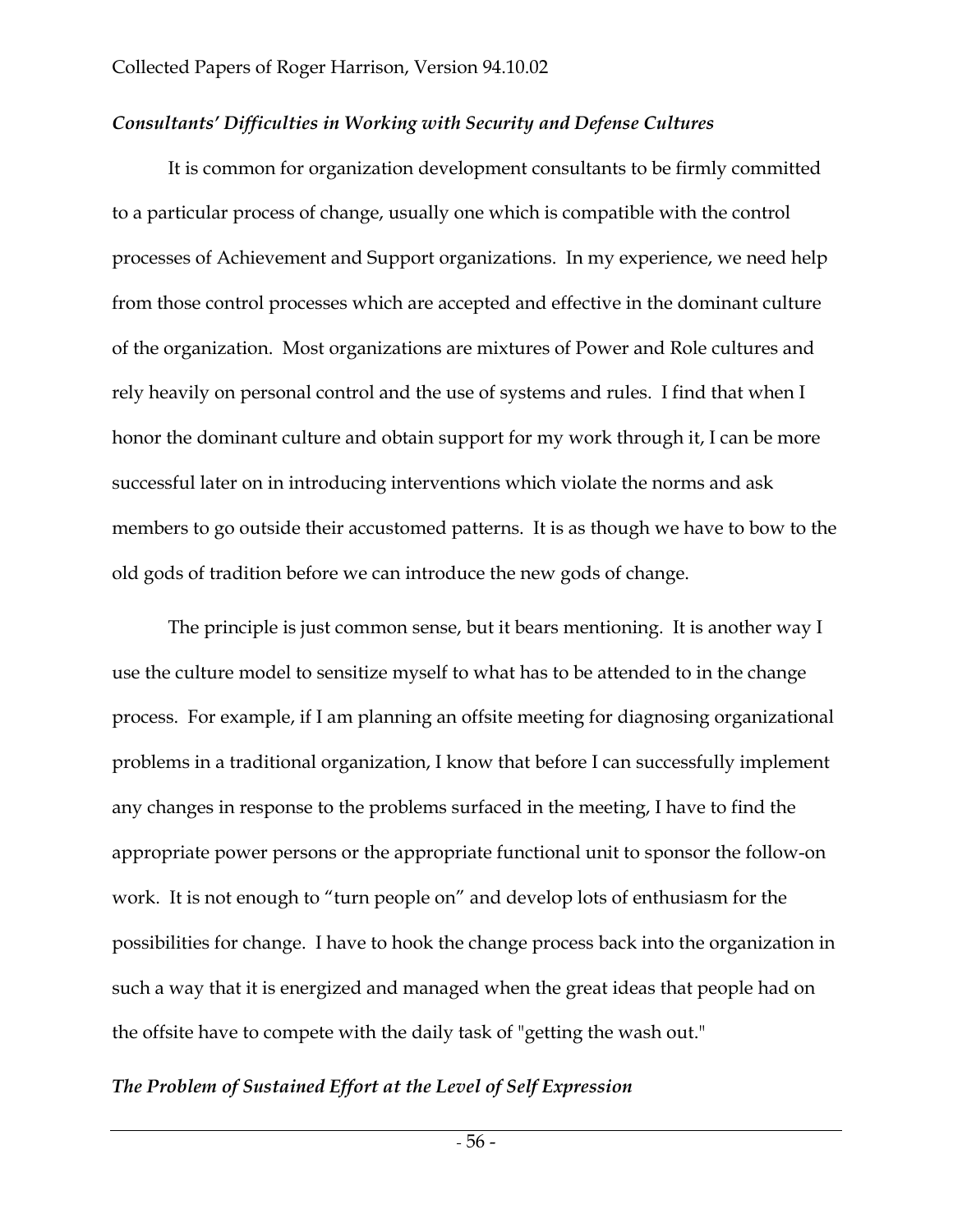#### *Consultants' Difficulties in Working with Security and Defense Cultures*

It is common for organization development consultants to be firmly committed to a particular process of change, usually one which is compatible with the control processes of Achievement and Support organizations. In my experience, we need help from those control processes which are accepted and effective in the dominant culture of the organization. Most organizations are mixtures of Power and Role cultures and rely heavily on personal control and the use of systems and rules. I find that when I honor the dominant culture and obtain support for my work through it, I can be more successful later on in introducing interventions which violate the norms and ask members to go outside their accustomed patterns. It is as though we have to bow to the old gods of tradition before we can introduce the new gods of change.

The principle is just common sense, but it bears mentioning. It is another way I use the culture model to sensitize myself to what has to be attended to in the change process. For example, if I am planning an offsite meeting for diagnosing organizational problems in a traditional organization, I know that before I can successfully implement any changes in response to the problems surfaced in the meeting, I have to find the appropriate power persons or the appropriate functional unit to sponsor the follow-on work. It is not enough to "turn people on" and develop lots of enthusiasm for the possibilities for change. I have to hook the change process back into the organization in such a way that it is energized and managed when the great ideas that people had on the offsite have to compete with the daily task of "getting the wash out."

#### *The Problem of Sustained Effort at the Level of Self Expression*

*-* 56 -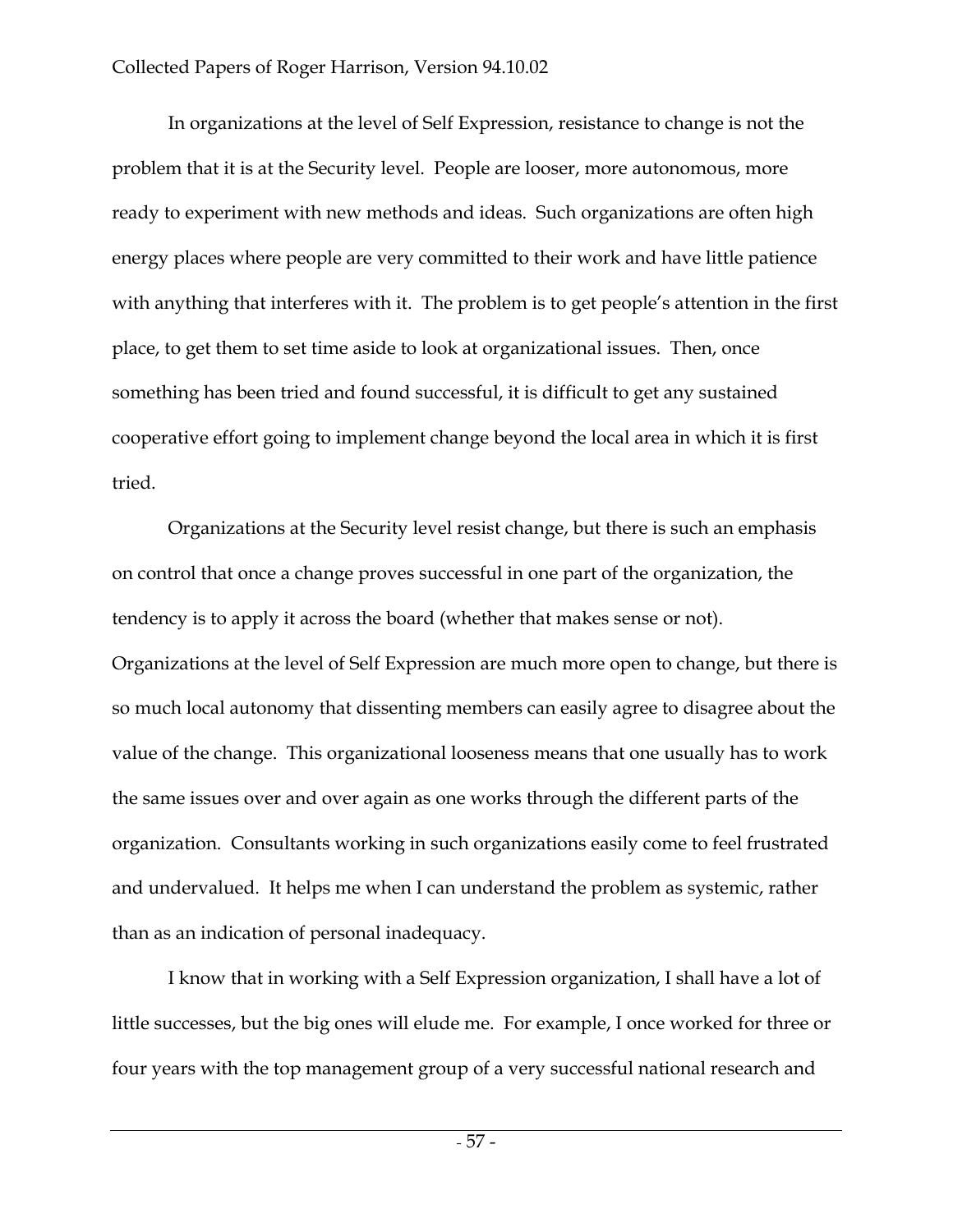In organizations at the level of Self Expression, resistance to change is not the problem that it is at the Security level. People are looser, more autonomous, more ready to experiment with new methods and ideas. Such organizations are often high energy places where people are very committed to their work and have little patience with anything that interferes with it. The problem is to get people's attention in the first place, to get them to set time aside to look at organizational issues. Then, once something has been tried and found successful, it is difficult to get any sustained cooperative effort going to implement change beyond the local area in which it is first tried.

Organizations at the Security level resist change, but there is such an emphasis on control that once a change proves successful in one part of the organization, the tendency is to apply it across the board (whether that makes sense or not). Organizations at the level of Self Expression are much more open to change, but there is so much local autonomy that dissenting members can easily agree to disagree about the value of the change. This organizational looseness means that one usually has to work the same issues over and over again as one works through the different parts of the organization. Consultants working in such organizations easily come to feel frustrated and undervalued. It helps me when I can understand the problem as systemic, rather than as an indication of personal inadequacy.

I know that in working with a Self Expression organization, I shall have a lot of little successes, but the big ones will elude me. For example, I once worked for three or four years with the top management group of a very successful national research and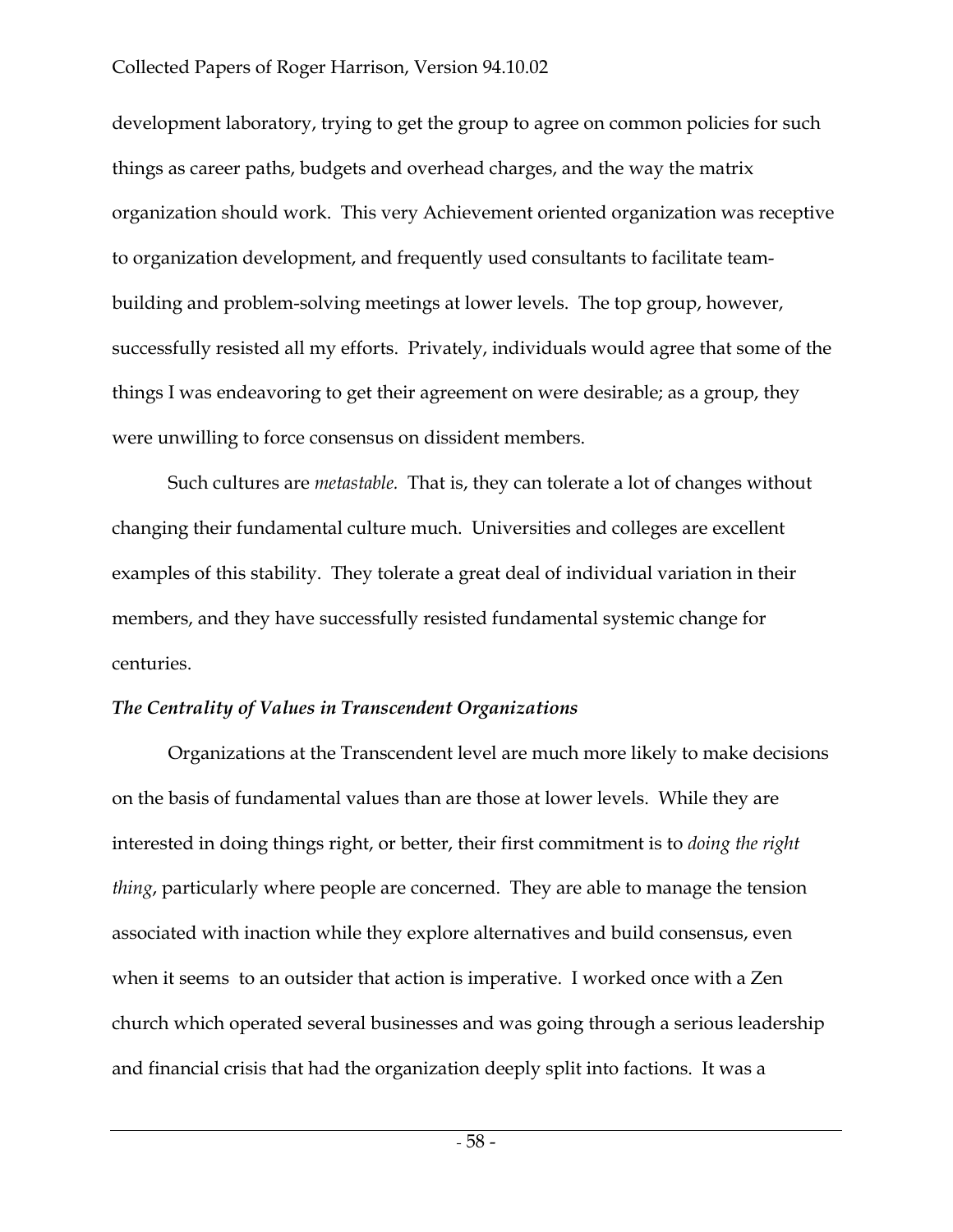development laboratory, trying to get the group to agree on common policies for such things as career paths, budgets and overhead charges, and the way the matrix organization should work. This very Achievement oriented organization was receptive to organization development, and frequently used consultants to facilitate teambuilding and problem-solving meetings at lower levels. The top group, however, successfully resisted all my efforts. Privately, individuals would agree that some of the things I was endeavoring to get their agreement on were desirable; as a group, they were unwilling to force consensus on dissident members.

Such cultures are *metastable.* That is, they can tolerate a lot of changes without changing their fundamental culture much. Universities and colleges are excellent examples of this stability. They tolerate a great deal of individual variation in their members, and they have successfully resisted fundamental systemic change for centuries.

#### *The Centrality of Values in Transcendent Organizations*

Organizations at the Transcendent level are much more likely to make decisions on the basis of fundamental values than are those at lower levels. While they are interested in doing things right, or better, their first commitment is to *doing the right thing*, particularly where people are concerned. They are able to manage the tension associated with inaction while they explore alternatives and build consensus, even when it seems to an outsider that action is imperative. I worked once with a Zen church which operated several businesses and was going through a serious leadership and financial crisis that had the organization deeply split into factions. It was a